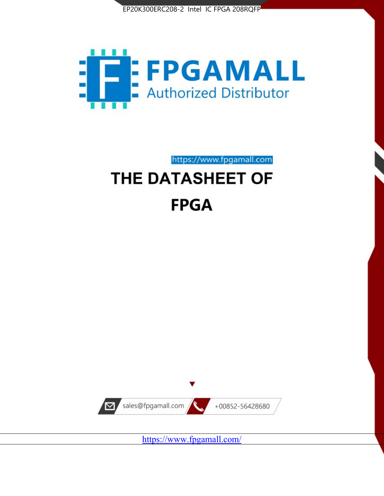



https://www.fpgamall.com

# THE DATASHEET OF **FPGA**



<https://www.fpgamall.com/>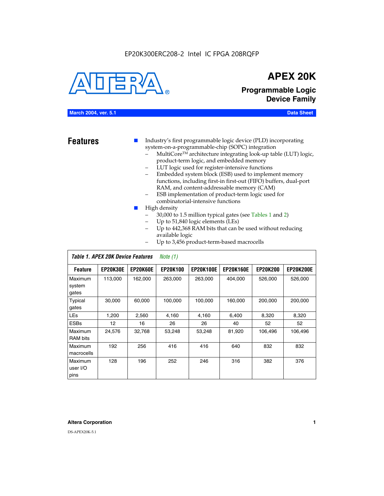

## **APEX 20K**

### **Programmable Logic Device Family**

#### **March 2004, ver. 5.1 Data Sheet**

- **Features ■** Industry's first programmable logic device (PLD) incorporating system-on-a-programmable-chip (SOPC) integration
	- MultiCore™ architecture integrating look-up table (LUT) logic, product-term logic, and embedded memory
	- LUT logic used for register-intensive functions
	- Embedded system block (ESB) used to implement memory functions, including first-in first-out (FIFO) buffers, dual-port RAM, and content-addressable memory (CAM)
	- ESB implementation of product-term logic used for combinatorial-intensive functions
	- High density
		- 30,000 to 1.5 million typical gates (see Tables 1 and 2)
		- Up to 51,840 logic elements (LEs)
		- Up to 442,368 RAM bits that can be used without reducing available logic
		- Up to 3,456 product-term-based macrocells

|                             | Table 1. APEX 20K Device Features |                 | Note $(1)$      |                  |                  |                 |                  |
|-----------------------------|-----------------------------------|-----------------|-----------------|------------------|------------------|-----------------|------------------|
| <b>Feature</b>              | <b>EP20K30E</b>                   | <b>EP20K60E</b> | <b>EP20K100</b> | <b>EP20K100E</b> | <b>EP20K160E</b> | <b>EP20K200</b> | <b>EP20K200E</b> |
| Maximum<br>system<br>gates  | 113,000                           | 162,000         | 263.000         | 263,000          | 404.000          | 526,000         | 526,000          |
| Typical<br>gates            | 30,000                            | 60,000          | 100,000         | 100,000          | 160,000          | 200,000         | 200,000          |
| <b>LEs</b>                  | 1,200                             | 2,560           | 4,160           | 4,160            | 6.400            | 8,320           | 8,320            |
| <b>ESBs</b>                 | 12                                | 16              | 26              | 26               | 40               | 52              | 52               |
| Maximum<br><b>RAM</b> bits  | 24,576                            | 32,768          | 53,248          | 53,248           | 81,920           | 106,496         | 106,496          |
| Maximum<br>macrocells       | 192                               | 256             | 416             | 416              | 640              | 832             | 832              |
| Maximum<br>user I/O<br>pins | 128                               | 196             | 252             | 246              | 316              | 382             | 376              |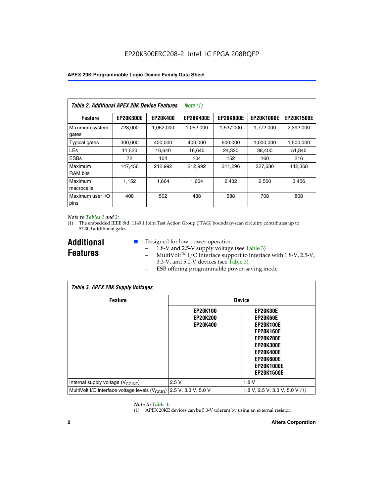| Table 2. Additional APEX 20K Device Features |                  |                 | <i>Note</i> $(1)$ |                  |                   |                   |
|----------------------------------------------|------------------|-----------------|-------------------|------------------|-------------------|-------------------|
| <b>Feature</b>                               | <b>EP20K300E</b> | <b>EP20K400</b> | <b>EP20K400E</b>  | <b>EP20K600E</b> | <b>EP20K1000E</b> | <b>EP20K1500E</b> |
| Maximum system<br>gates                      | 728,000          | 1,052,000       | 1,052,000         | 1,537,000        | 1,772,000         | 2,392,000         |
| <b>Typical gates</b>                         | 300,000          | 400,000         | 400,000           | 600,000          | 1,000,000         | 1,500,000         |
| <b>LEs</b>                                   | 11,520           | 16.640          | 16,640            | 24,320           | 38,400            | 51,840            |
| <b>ESBs</b>                                  | 72               | 104             | 104               | 152              | 160               | 216               |
| Maximum<br><b>RAM bits</b>                   | 147,456          | 212,992         | 212.992           | 311,296          | 327,680           | 442.368           |
| Maximum<br>macrocells                        | 1,152            | 1,664           | 1,664             | 2.432            | 2,560             | 3,456             |
| Maximum user I/O<br>pins                     | 408              | 502             | 488               | 588              | 708               | 808               |

#### *Note to Tables 1 and 2:*

*Table 3. APEX 20K Supply Voltages*

(1) The embedded IEEE Std. 1149.1 Joint Test Action Group (JTAG) boundary-scan circuitry contributes up to 57,000 additional gates.

**Additional Features**

 $\mathbf{I}$ 

- Designed for low-power operation
	- $\overrightarrow{1.8}$ -V and 2.5-V supply voltage (see Table 3)
	- $-$  MultiVolt<sup>TM</sup> I/O interface support to interface with 1.8-V, 2.5-V, 3.3-V, and 5.0-V devices (see Table 3)
	- ESB offering programmable power-saving mode

| Tadie 3. Apex zuk Supply voltages                                               |                                                       |                                                                                                                                                                                 |  |  |  |  |
|---------------------------------------------------------------------------------|-------------------------------------------------------|---------------------------------------------------------------------------------------------------------------------------------------------------------------------------------|--|--|--|--|
| <b>Feature</b>                                                                  | <b>Device</b>                                         |                                                                                                                                                                                 |  |  |  |  |
|                                                                                 | <b>EP20K100</b><br><b>EP20K200</b><br><b>EP20K400</b> | EP20K30E<br>EP20K60E<br><b>EP20K100E</b><br><b>EP20K160E</b><br><b>EP20K200E</b><br><b>EP20K300E</b><br><b>EP20K400E</b><br>EP20K600E<br><b>EP20K1000E</b><br><b>EP20K1500E</b> |  |  |  |  |
| Internal supply voltage (V <sub>CCINT</sub> )                                   | 2.5V                                                  | 1.8V                                                                                                                                                                            |  |  |  |  |
| MultiVolt I/O interface voltage levels (V <sub>CCIO</sub> ) 2.5 V, 3.3 V, 5.0 V |                                                       | 1.8 V, 2.5 V, 3.3 V, 5.0 V (1)                                                                                                                                                  |  |  |  |  |

#### *Note to Table 3:*

(1) APEX 20KE devices can be 5.0-V tolerant by using an external resistor.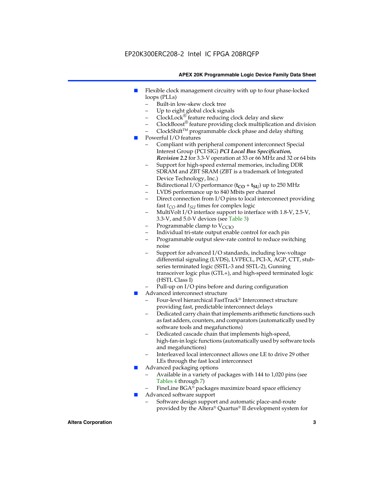#### EP20K300ERC208-2 Intel IC FPGA 208RQFP

#### **APEX 20K Programmable Logic Device Family Data Sheet**

- Flexible clock management circuitry with up to four phase-locked loops (PLLs)
	- Built-in low-skew clock tree
	- Up to eight global clock signals
	- $ClockLock^{\circledR}$  feature reducing clock delay and skew
	- $ClockBoost^{\circledR}$  feature providing clock multiplication and division
	- ClockShiftTM programmable clock phase and delay shifting
- Powerful I/O features
	- Compliant with peripheral component interconnect Special Interest Group (PCI SIG) *PCI Local Bus Specification, Revision 2.2* for 3.3-V operation at 33 or 66 MHz and 32 or 64 bits
	- Support for high-speed external memories, including DDR SDRAM and ZBT SRAM (ZBT is a trademark of Integrated Device Technology, Inc.)
	- Bidirectional I/O performance  $(t_{CO} + t_{SU})$  up to 250 MHz
	- LVDS performance up to 840 Mbits per channel
	- Direct connection from I/O pins to local interconnect providing fast  $t_{CO}$  and  $t_{SU}$  times for complex logic
	- MultiVolt I/O interface support to interface with 1.8-V, 2.5-V, 3.3-V, and 5.0-V devices (see Table 3)
	- Programmable clamp to  $V_{\text{C}CD}$
	- Individual tri-state output enable control for each pin
	- Programmable output slew-rate control to reduce switching noise
	- Support for advanced I/O standards, including low-voltage differential signaling (LVDS), LVPECL, PCI-X, AGP, CTT, stubseries terminated logic (SSTL-3 and SSTL-2), Gunning transceiver logic plus (GTL+), and high-speed terminated logic (HSTL Class I)
	- Pull-up on I/O pins before and during configuration
- Advanced interconnect structure
	- Four-level hierarchical FastTrack® Interconnect structure providing fast, predictable interconnect delays
	- Dedicated carry chain that implements arithmetic functions such as fast adders, counters, and comparators (automatically used by software tools and megafunctions)
	- Dedicated cascade chain that implements high-speed, high-fan-in logic functions (automatically used by software tools and megafunctions)
	- Interleaved local interconnect allows one LE to drive 29 other LEs through the fast local interconnect
- Advanced packaging options
	- Available in a variety of packages with 144 to 1,020 pins (see Tables 4 through 7)
	- FineLine BGA® packages maximize board space efficiency
- Advanced software support
	- Software design support and automatic place-and-route provided by the Altera® Quartus® II development system for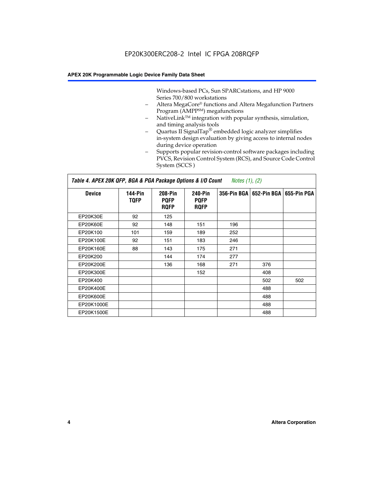Windows-based PCs, Sun SPARCstations, and HP 9000 Series 700/800 workstations

- Altera MegaCore® functions and Altera Megafunction Partners Program (AMPP<sup>SM</sup>) megafunctions
- NativeLink™ integration with popular synthesis, simulation, and timing analysis tools
- Quartus II SignalTap® embedded logic analyzer simplifies in-system design evaluation by giving access to internal nodes during device operation
- Supports popular revision-control software packages including PVCS, Revision Control System (RCS), and Source Code Control System (SCCS )

#### *Table 4. APEX 20K QFP, BGA & PGA Package Options & I/O Count Notes (1), (2)*

| <b>Device</b> | 144-Pin<br><b>TOFP</b> | 208-Pin<br><b>PQFP</b><br><b>ROFP</b> | 240-Pin<br><b>PQFP</b><br><b>ROFP</b> |     | 356-Pin BGA   652-Pin BGA   655-Pin PGA |     |
|---------------|------------------------|---------------------------------------|---------------------------------------|-----|-----------------------------------------|-----|
| EP20K30E      | 92                     | 125                                   |                                       |     |                                         |     |
| EP20K60E      | 92                     | 148                                   | 151                                   | 196 |                                         |     |
| EP20K100      | 101                    | 159                                   | 189                                   | 252 |                                         |     |
| EP20K100E     | 92                     | 151                                   | 183                                   | 246 |                                         |     |
| EP20K160E     | 88                     | 143                                   | 175                                   | 271 |                                         |     |
| EP20K200      |                        | 144                                   | 174                                   | 277 |                                         |     |
| EP20K200E     |                        | 136                                   | 168                                   | 271 | 376                                     |     |
| EP20K300E     |                        |                                       | 152                                   |     | 408                                     |     |
| EP20K400      |                        |                                       |                                       |     | 502                                     | 502 |
| EP20K400E     |                        |                                       |                                       |     | 488                                     |     |
| EP20K600E     |                        |                                       |                                       |     | 488                                     |     |
| EP20K1000E    |                        |                                       |                                       |     | 488                                     |     |
| EP20K1500E    |                        |                                       |                                       |     | 488                                     |     |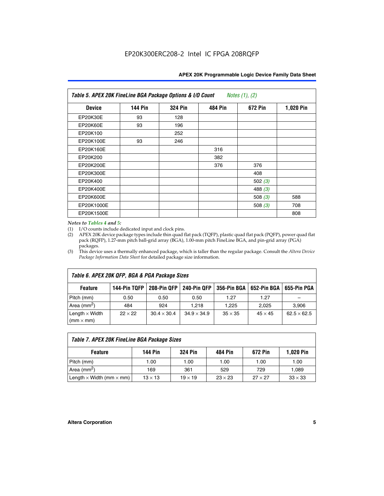| <b>APEX 20K Programmable Logic Device Family Data Sheet</b> |  |  |
|-------------------------------------------------------------|--|--|
|-------------------------------------------------------------|--|--|

| Table 5. APEX 20K FineLine BGA Package Options & I/O Count<br>Notes $(1)$ , $(2)$ |                |                |                |           |           |  |  |  |
|-----------------------------------------------------------------------------------|----------------|----------------|----------------|-----------|-----------|--|--|--|
| <b>Device</b>                                                                     | <b>144 Pin</b> | <b>324 Pin</b> | <b>484 Pin</b> | 672 Pin   | 1,020 Pin |  |  |  |
| EP20K30E                                                                          | 93             | 128            |                |           |           |  |  |  |
| <b>EP20K60E</b>                                                                   | 93             | 196            |                |           |           |  |  |  |
| EP20K100                                                                          |                | 252            |                |           |           |  |  |  |
| EP20K100E                                                                         | 93             | 246            |                |           |           |  |  |  |
| EP20K160E                                                                         |                |                | 316            |           |           |  |  |  |
| EP20K200                                                                          |                |                | 382            |           |           |  |  |  |
| EP20K200E                                                                         |                |                | 376            | 376       |           |  |  |  |
| EP20K300E                                                                         |                |                |                | 408       |           |  |  |  |
| EP20K400                                                                          |                |                |                | 502 $(3)$ |           |  |  |  |
| EP20K400E                                                                         |                |                |                | 488 $(3)$ |           |  |  |  |
| EP20K600E                                                                         |                |                |                | 508 $(3)$ | 588       |  |  |  |
| EP20K1000E                                                                        |                |                |                | 508 $(3)$ | 708       |  |  |  |
| EP20K1500E                                                                        |                |                |                |           | 808       |  |  |  |

#### *Notes to Tables 4 and 5:*

(1) I/O counts include dedicated input and clock pins.

(2) APEX 20K device package types include thin quad flat pack (TQFP), plastic quad flat pack (PQFP), power quad flat pack (RQFP), 1.27-mm pitch ball-grid array (BGA), 1.00-mm pitch FineLine BGA, and pin-grid array (PGA) packages.

(3) This device uses a thermally enhanced package, which is taller than the regular package. Consult the *Altera Device Package Information Data Sheet* for detailed package size information.

| Table 6. APEX 20K QFP, BGA & PGA Package Sizes           |                |                    |                    |                |                |                    |  |  |
|----------------------------------------------------------|----------------|--------------------|--------------------|----------------|----------------|--------------------|--|--|
| <b>Feature</b>                                           | 144-Pin TQFP   | 208-Pin QFP        | 240-Pin QFP        | 356-Pin BGA    | 652-Pin BGA    | 655-Pin PGA        |  |  |
| Pitch (mm)                                               | 0.50           | 0.50               | 0.50               | 1.27           | 1.27           |                    |  |  |
| Area ( $mm2$ )                                           | 484            | 924                | 1.218              | 1.225          | 2.025          | 3,906              |  |  |
| Length $\times$ Width<br>$\mathsf{mmm}\times\mathsf{mm}$ | $22 \times 22$ | $30.4 \times 30.4$ | $34.9 \times 34.9$ | $35 \times 35$ | $45 \times 45$ | $62.5 \times 62.5$ |  |  |

| Table 7. APEX 20K FineLine BGA Package Sizes |                |                |                |                |                |  |  |  |
|----------------------------------------------|----------------|----------------|----------------|----------------|----------------|--|--|--|
| <b>Feature</b>                               | 144 Pin        | <b>324 Pin</b> | 484 Pin        | 672 Pin        | 1,020 Pin      |  |  |  |
| Pitch (mm)                                   | 1.00           | 1.00           | 1.00           | 1.00           | 1.00           |  |  |  |
| Area ( $mm2$ )                               | 169            | 361            | 529            | 729            | 1,089          |  |  |  |
| Length $\times$ Width (mm $\times$ mm)       | $13 \times 13$ | $19 \times 19$ | $23 \times 23$ | $27 \times 27$ | $33 \times 33$ |  |  |  |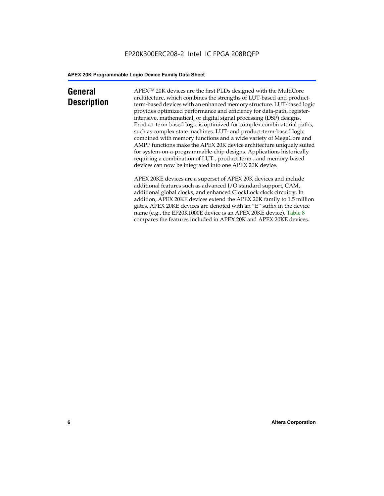### **General Description**

APEXTM 20K devices are the first PLDs designed with the MultiCore architecture, which combines the strengths of LUT-based and productterm-based devices with an enhanced memory structure. LUT-based logic provides optimized performance and efficiency for data-path, registerintensive, mathematical, or digital signal processing (DSP) designs. Product-term-based logic is optimized for complex combinatorial paths, such as complex state machines. LUT- and product-term-based logic combined with memory functions and a wide variety of MegaCore and AMPP functions make the APEX 20K device architecture uniquely suited for system-on-a-programmable-chip designs. Applications historically requiring a combination of LUT-, product-term-, and memory-based devices can now be integrated into one APEX 20K device.

APEX 20KE devices are a superset of APEX 20K devices and include additional features such as advanced I/O standard support, CAM, additional global clocks, and enhanced ClockLock clock circuitry. In addition, APEX 20KE devices extend the APEX 20K family to 1.5 million gates. APEX 20KE devices are denoted with an "E" suffix in the device name (e.g., the EP20K1000E device is an APEX 20KE device). Table 8 compares the features included in APEX 20K and APEX 20KE devices.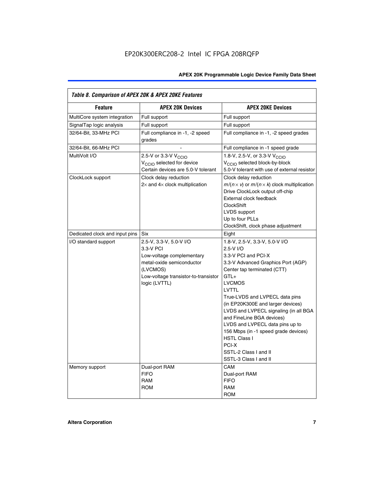| Table 8. Comparison of APEX 20K & APEX 20KE Features |                                                                                                                                                                     |                                                                                                                                                                                                                                                                                                                                                                                                                                                                                       |
|------------------------------------------------------|---------------------------------------------------------------------------------------------------------------------------------------------------------------------|---------------------------------------------------------------------------------------------------------------------------------------------------------------------------------------------------------------------------------------------------------------------------------------------------------------------------------------------------------------------------------------------------------------------------------------------------------------------------------------|
| <b>Feature</b>                                       | <b>APEX 20K Devices</b>                                                                                                                                             | <b>APEX 20KE Devices</b>                                                                                                                                                                                                                                                                                                                                                                                                                                                              |
| MultiCore system integration                         | Full support                                                                                                                                                        | Full support                                                                                                                                                                                                                                                                                                                                                                                                                                                                          |
| SignalTap logic analysis                             | Full support                                                                                                                                                        | Full support                                                                                                                                                                                                                                                                                                                                                                                                                                                                          |
| 32/64-Bit, 33-MHz PCI                                | Full compliance in -1, -2 speed<br>grades                                                                                                                           | Full compliance in -1, -2 speed grades                                                                                                                                                                                                                                                                                                                                                                                                                                                |
| 32/64-Bit, 66-MHz PCI                                |                                                                                                                                                                     | Full compliance in -1 speed grade                                                                                                                                                                                                                                                                                                                                                                                                                                                     |
| MultiVolt I/O                                        | 2.5-V or 3.3-V V <sub>CCIO</sub><br>V <sub>CCIO</sub> selected for device<br>Certain devices are 5.0-V tolerant                                                     | 1.8-V, 2.5-V, or 3.3-V V <sub>CCIO</sub><br>V <sub>CCIO</sub> selected block-by-block<br>5.0-V tolerant with use of external resistor                                                                                                                                                                                                                                                                                                                                                 |
| ClockLock support                                    | Clock delay reduction<br>$2\times$ and $4\times$ clock multiplication                                                                                               | Clock delay reduction<br>$m/(n \times v)$ or $m/(n \times k)$ clock multiplication<br>Drive ClockLock output off-chip<br>External clock feedback<br>ClockShift<br>LVDS support<br>Up to four PLLs<br>ClockShift, clock phase adjustment                                                                                                                                                                                                                                               |
| Dedicated clock and input pins                       | Six                                                                                                                                                                 | Eight                                                                                                                                                                                                                                                                                                                                                                                                                                                                                 |
| I/O standard support                                 | 2.5-V, 3.3-V, 5.0-V I/O<br>3.3-V PCI<br>Low-voltage complementary<br>metal-oxide semiconductor<br>(LVCMOS)<br>Low-voltage transistor-to-transistor<br>logic (LVTTL) | 1.8-V, 2.5-V, 3.3-V, 5.0-V I/O<br>2.5-V I/O<br>3.3-V PCI and PCI-X<br>3.3-V Advanced Graphics Port (AGP)<br>Center tap terminated (CTT)<br>$GTL+$<br><b>LVCMOS</b><br>LVTTL<br>True-LVDS and LVPECL data pins<br>(in EP20K300E and larger devices)<br>LVDS and LVPECL signaling (in all BGA<br>and FineLine BGA devices)<br>LVDS and LVPECL data pins up to<br>156 Mbps (in -1 speed grade devices)<br><b>HSTL Class I</b><br>PCI-X<br>SSTL-2 Class I and II<br>SSTL-3 Class I and II |
| Memory support                                       | Dual-port RAM<br><b>FIFO</b><br><b>RAM</b><br><b>ROM</b>                                                                                                            | CAM<br>Dual-port RAM<br><b>FIFO</b><br><b>RAM</b><br><b>ROM</b>                                                                                                                                                                                                                                                                                                                                                                                                                       |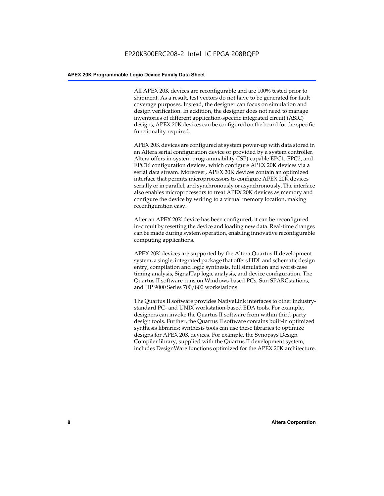All APEX 20K devices are reconfigurable and are 100% tested prior to shipment. As a result, test vectors do not have to be generated for fault coverage purposes. Instead, the designer can focus on simulation and design verification. In addition, the designer does not need to manage inventories of different application-specific integrated circuit (ASIC) designs; APEX 20K devices can be configured on the board for the specific functionality required.

APEX 20K devices are configured at system power-up with data stored in an Altera serial configuration device or provided by a system controller. Altera offers in-system programmability (ISP)-capable EPC1, EPC2, and EPC16 configuration devices, which configure APEX 20K devices via a serial data stream. Moreover, APEX 20K devices contain an optimized interface that permits microprocessors to configure APEX 20K devices serially or in parallel, and synchronously or asynchronously. The interface also enables microprocessors to treat APEX 20K devices as memory and configure the device by writing to a virtual memory location, making reconfiguration easy.

After an APEX 20K device has been configured, it can be reconfigured in-circuit by resetting the device and loading new data. Real-time changes can be made during system operation, enabling innovative reconfigurable computing applications.

APEX 20K devices are supported by the Altera Quartus II development system, a single, integrated package that offers HDL and schematic design entry, compilation and logic synthesis, full simulation and worst-case timing analysis, SignalTap logic analysis, and device configuration. The Quartus II software runs on Windows-based PCs, Sun SPARCstations, and HP 9000 Series 700/800 workstations.

The Quartus II software provides NativeLink interfaces to other industrystandard PC- and UNIX workstation-based EDA tools. For example, designers can invoke the Quartus II software from within third-party design tools. Further, the Quartus II software contains built-in optimized synthesis libraries; synthesis tools can use these libraries to optimize designs for APEX 20K devices. For example, the Synopsys Design Compiler library, supplied with the Quartus II development system, includes DesignWare functions optimized for the APEX 20K architecture.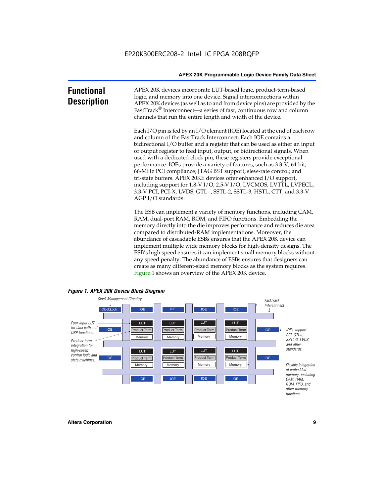| <b>Functional</b><br><b>Description</b> | APEX 20K devices incorporate LUT-based logic, product-term-based<br>logic, and memory into one device. Signal interconnections within<br>APEX 20K devices (as well as to and from device pins) are provided by the<br>FastTrack <sup>®</sup> Interconnect—a series of fast, continuous row and column<br>channels that run the entire length and width of the device.                                                                                                                                                                                                                                                                                                                                                                                              |
|-----------------------------------------|--------------------------------------------------------------------------------------------------------------------------------------------------------------------------------------------------------------------------------------------------------------------------------------------------------------------------------------------------------------------------------------------------------------------------------------------------------------------------------------------------------------------------------------------------------------------------------------------------------------------------------------------------------------------------------------------------------------------------------------------------------------------|
|                                         | Each I/O pin is fed by an I/O element (IOE) located at the end of each row<br>and column of the FastTrack Interconnect. Each IOE contains a<br>bidirectional I/O buffer and a register that can be used as either an input<br>or output register to feed input, output, or bidirectional signals. When<br>used with a dedicated clock pin, these registers provide exceptional<br>performance. IOEs provide a variety of features, such as 3.3-V, 64-bit,<br>66-MHz PCI compliance; JTAG BST support; slew-rate control; and<br>tri-state buffers. APEX 20KE devices offer enhanced I/O support,<br>including support for 1.8-V I/O, 2.5-V I/O, LVCMOS, LVTTL, LVPECL,<br>3.3-V PCI, PCI-X, LVDS, GTL+, SSTL-2, SSTL-3, HSTL, CTT, and 3.3-V<br>AGP I/O standards. |
|                                         | The ESB can implement a variety of memory functions, including CAM,<br>RAM, dual-port RAM, ROM, and FIFO functions. Embedding the<br>memory directly into the die improves performance and reduces die area<br>compared to distributed-RAM implementations. Moreover, the<br>abundance of cascadable ESBs ensures that the APEX 20K device can<br>implement multiple wide memory blocks for high-density designs. The<br>ESB's high speed ensures it can implement small memory blocks without<br>any speed penalty. The abundance of ESBs ensures that designers can<br>create as many different-sized memory blocks as the system requires.                                                                                                                      |



Figure 1 shows an overview of the APEX 20K device.

#### *Figure 1. APEX 20K Device Block Diagram*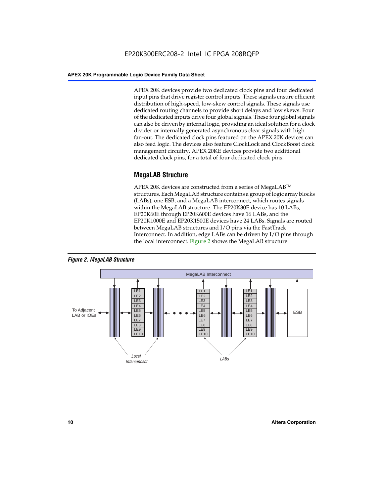APEX 20K devices provide two dedicated clock pins and four dedicated input pins that drive register control inputs. These signals ensure efficient distribution of high-speed, low-skew control signals. These signals use dedicated routing channels to provide short delays and low skews. Four of the dedicated inputs drive four global signals. These four global signals can also be driven by internal logic, providing an ideal solution for a clock divider or internally generated asynchronous clear signals with high fan-out. The dedicated clock pins featured on the APEX 20K devices can also feed logic. The devices also feature ClockLock and ClockBoost clock management circuitry. APEX 20KE devices provide two additional dedicated clock pins, for a total of four dedicated clock pins.

#### **MegaLAB Structure**

APEX 20K devices are constructed from a series of MegaLAB<sup>™</sup> structures. Each MegaLAB structure contains a group of logic array blocks (LABs), one ESB, and a MegaLAB interconnect, which routes signals within the MegaLAB structure. The EP20K30E device has 10 LABs, EP20K60E through EP20K600E devices have 16 LABs, and the EP20K1000E and EP20K1500E devices have 24 LABs. Signals are routed between MegaLAB structures and I/O pins via the FastTrack Interconnect. In addition, edge LABs can be driven by I/O pins through the local interconnect. Figure 2 shows the MegaLAB structure.



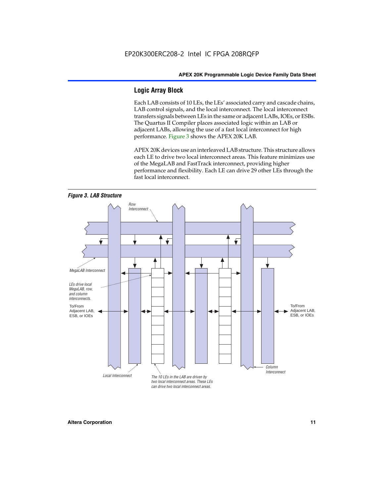#### **Logic Array Block**

Each LAB consists of 10 LEs, the LEs' associated carry and cascade chains, LAB control signals, and the local interconnect. The local interconnect transfers signals between LEs in the same or adjacent LABs, IOEs, or ESBs. The Quartus II Compiler places associated logic within an LAB or adjacent LABs, allowing the use of a fast local interconnect for high performance. Figure 3 shows the APEX 20K LAB.

APEX 20K devices use an interleaved LAB structure. This structure allows each LE to drive two local interconnect areas. This feature minimizes use of the MegaLAB and FastTrack interconnect, providing higher performance and flexibility. Each LE can drive 29 other LEs through the fast local interconnect.

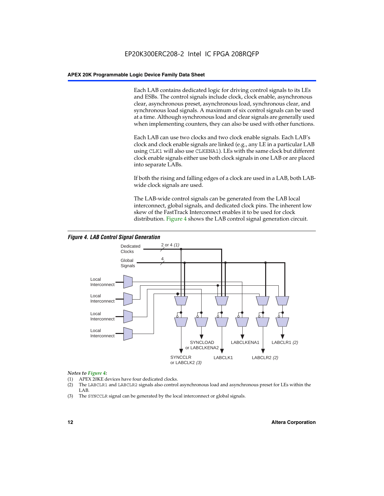Each LAB contains dedicated logic for driving control signals to its LEs and ESBs. The control signals include clock, clock enable, asynchronous clear, asynchronous preset, asynchronous load, synchronous clear, and synchronous load signals. A maximum of six control signals can be used at a time. Although synchronous load and clear signals are generally used when implementing counters, they can also be used with other functions.

Each LAB can use two clocks and two clock enable signals. Each LAB's clock and clock enable signals are linked (e.g., any LE in a particular LAB using CLK1 will also use CLKENA1). LEs with the same clock but different clock enable signals either use both clock signals in one LAB or are placed into separate LABs.

If both the rising and falling edges of a clock are used in a LAB, both LABwide clock signals are used.

The LAB-wide control signals can be generated from the LAB local interconnect, global signals, and dedicated clock pins. The inherent low skew of the FastTrack Interconnect enables it to be used for clock distribution. Figure 4 shows the LAB control signal generation circuit.



#### *Figure 4. LAB Control Signal Generation*

#### *Notes to Figure 4:*

- (1) APEX 20KE devices have four dedicated clocks.
- (2) The LABCLR1 and LABCLR2 signals also control asynchronous load and asynchronous preset for LEs within the LAB.
- (3) The SYNCCLR signal can be generated by the local interconnect or global signals.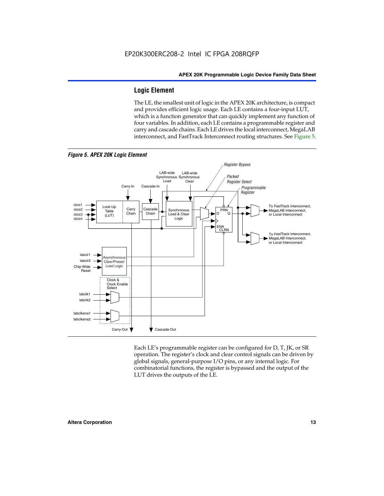#### **Logic Element**

The LE, the smallest unit of logic in the APEX 20K architecture, is compact and provides efficient logic usage. Each LE contains a four-input LUT, which is a function generator that can quickly implement any function of four variables. In addition, each LE contains a programmable register and carry and cascade chains. Each LE drives the local interconnect, MegaLAB interconnect, and FastTrack Interconnect routing structures. See Figure 5.



Each LE's programmable register can be configured for D, T, JK, or SR operation. The register's clock and clear control signals can be driven by global signals, general-purpose I/O pins, or any internal logic. For combinatorial functions, the register is bypassed and the output of the LUT drives the outputs of the LE.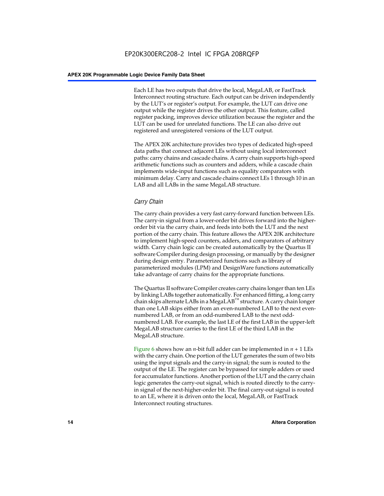Each LE has two outputs that drive the local, MegaLAB, or FastTrack Interconnect routing structure. Each output can be driven independently by the LUT's or register's output. For example, the LUT can drive one output while the register drives the other output. This feature, called register packing, improves device utilization because the register and the LUT can be used for unrelated functions. The LE can also drive out registered and unregistered versions of the LUT output.

The APEX 20K architecture provides two types of dedicated high-speed data paths that connect adjacent LEs without using local interconnect paths: carry chains and cascade chains. A carry chain supports high-speed arithmetic functions such as counters and adders, while a cascade chain implements wide-input functions such as equality comparators with minimum delay. Carry and cascade chains connect LEs 1 through 10 in an LAB and all LABs in the same MegaLAB structure.

#### *Carry Chain*

The carry chain provides a very fast carry-forward function between LEs. The carry-in signal from a lower-order bit drives forward into the higherorder bit via the carry chain, and feeds into both the LUT and the next portion of the carry chain. This feature allows the APEX 20K architecture to implement high-speed counters, adders, and comparators of arbitrary width. Carry chain logic can be created automatically by the Quartus II software Compiler during design processing, or manually by the designer during design entry. Parameterized functions such as library of parameterized modules (LPM) and DesignWare functions automatically take advantage of carry chains for the appropriate functions.

The Quartus II software Compiler creates carry chains longer than ten LEs by linking LABs together automatically. For enhanced fitting, a long carry chain skips alternate LABs in a MegaLAB<sup>™</sup> structure. A carry chain longer than one LAB skips either from an even-numbered LAB to the next evennumbered LAB, or from an odd-numbered LAB to the next oddnumbered LAB. For example, the last LE of the first LAB in the upper-left MegaLAB structure carries to the first LE of the third LAB in the MegaLAB structure.

Figure 6 shows how an *n*-bit full adder can be implemented in *n* + 1 LEs with the carry chain. One portion of the LUT generates the sum of two bits using the input signals and the carry-in signal; the sum is routed to the output of the LE. The register can be bypassed for simple adders or used for accumulator functions. Another portion of the LUT and the carry chain logic generates the carry-out signal, which is routed directly to the carryin signal of the next-higher-order bit. The final carry-out signal is routed to an LE, where it is driven onto the local, MegaLAB, or FastTrack Interconnect routing structures.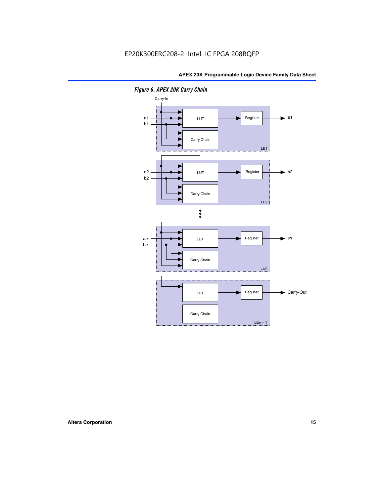

*Figure 6. APEX 20K Carry Chain*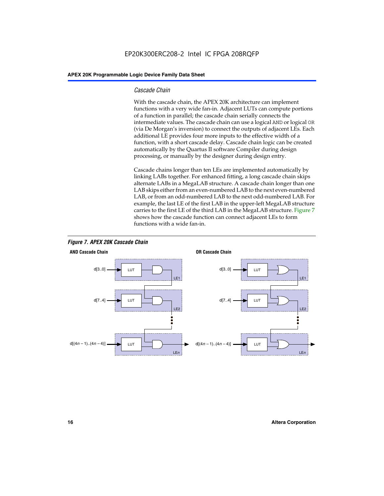#### *Cascade Chain*

With the cascade chain, the APEX 20K architecture can implement functions with a very wide fan-in. Adjacent LUTs can compute portions of a function in parallel; the cascade chain serially connects the intermediate values. The cascade chain can use a logical AND or logical OR (via De Morgan's inversion) to connect the outputs of adjacent LEs. Each additional LE provides four more inputs to the effective width of a function, with a short cascade delay. Cascade chain logic can be created automatically by the Quartus II software Compiler during design processing, or manually by the designer during design entry.

Cascade chains longer than ten LEs are implemented automatically by linking LABs together. For enhanced fitting, a long cascade chain skips alternate LABs in a MegaLAB structure. A cascade chain longer than one LAB skips either from an even-numbered LAB to the next even-numbered LAB, or from an odd-numbered LAB to the next odd-numbered LAB. For example, the last LE of the first LAB in the upper-left MegaLAB structure carries to the first LE of the third LAB in the MegaLAB structure. Figure 7 shows how the cascade function can connect adjacent LEs to form functions with a wide fan-in.



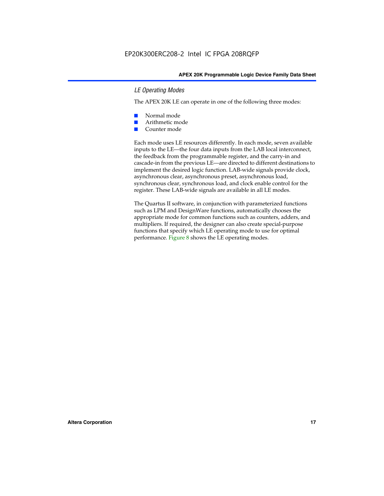#### *LE Operating Modes*

The APEX 20K LE can operate in one of the following three modes:

- Normal mode
- Arithmetic mode
- Counter mode

Each mode uses LE resources differently. In each mode, seven available inputs to the LE—the four data inputs from the LAB local interconnect, the feedback from the programmable register, and the carry-in and cascade-in from the previous LE—are directed to different destinations to implement the desired logic function. LAB-wide signals provide clock, asynchronous clear, asynchronous preset, asynchronous load, synchronous clear, synchronous load, and clock enable control for the register. These LAB-wide signals are available in all LE modes.

The Quartus II software, in conjunction with parameterized functions such as LPM and DesignWare functions, automatically chooses the appropriate mode for common functions such as counters, adders, and multipliers. If required, the designer can also create special-purpose functions that specify which LE operating mode to use for optimal performance. Figure 8 shows the LE operating modes.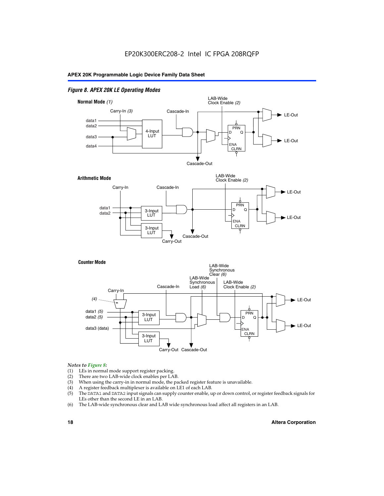#### *Figure 8. APEX 20K LE Operating Modes*



#### *Notes to Figure 8:*

- (1) LEs in normal mode support register packing.
- (2) There are two LAB-wide clock enables per LAB.
- (3) When using the carry-in in normal mode, the packed register feature is unavailable.
- (4) A register feedback multiplexer is available on LE1 of each LAB.
- (5) The DATA1 and DATA2 input signals can supply counter enable, up or down control, or register feedback signals for LEs other than the second LE in an LAB.
- (6) The LAB-wide synchronous clear and LAB wide synchronous load affect all registers in an LAB.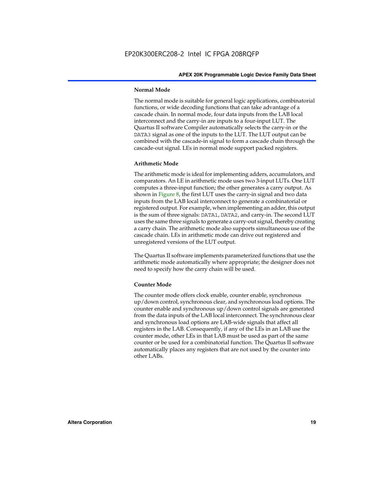#### **Normal Mode**

The normal mode is suitable for general logic applications, combinatorial functions, or wide decoding functions that can take advantage of a cascade chain. In normal mode, four data inputs from the LAB local interconnect and the carry-in are inputs to a four-input LUT. The Quartus II software Compiler automatically selects the carry-in or the DATA3 signal as one of the inputs to the LUT. The LUT output can be combined with the cascade-in signal to form a cascade chain through the cascade-out signal. LEs in normal mode support packed registers.

#### **Arithmetic Mode**

The arithmetic mode is ideal for implementing adders, accumulators, and comparators. An LE in arithmetic mode uses two 3-input LUTs. One LUT computes a three-input function; the other generates a carry output. As shown in Figure 8, the first LUT uses the carry-in signal and two data inputs from the LAB local interconnect to generate a combinatorial or registered output. For example, when implementing an adder, this output is the sum of three signals: DATA1, DATA2, and carry-in. The second LUT uses the same three signals to generate a carry-out signal, thereby creating a carry chain. The arithmetic mode also supports simultaneous use of the cascade chain. LEs in arithmetic mode can drive out registered and unregistered versions of the LUT output.

The Quartus II software implements parameterized functions that use the arithmetic mode automatically where appropriate; the designer does not need to specify how the carry chain will be used.

#### **Counter Mode**

The counter mode offers clock enable, counter enable, synchronous up/down control, synchronous clear, and synchronous load options. The counter enable and synchronous up/down control signals are generated from the data inputs of the LAB local interconnect. The synchronous clear and synchronous load options are LAB-wide signals that affect all registers in the LAB. Consequently, if any of the LEs in an LAB use the counter mode, other LEs in that LAB must be used as part of the same counter or be used for a combinatorial function. The Quartus II software automatically places any registers that are not used by the counter into other LABs.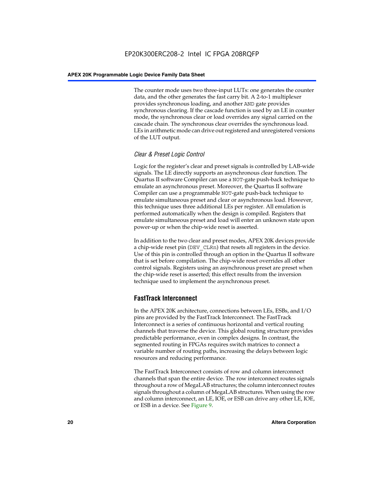The counter mode uses two three-input LUTs: one generates the counter data, and the other generates the fast carry bit. A 2-to-1 multiplexer provides synchronous loading, and another AND gate provides synchronous clearing. If the cascade function is used by an LE in counter mode, the synchronous clear or load overrides any signal carried on the cascade chain. The synchronous clear overrides the synchronous load. LEs in arithmetic mode can drive out registered and unregistered versions of the LUT output.

#### *Clear & Preset Logic Control*

Logic for the register's clear and preset signals is controlled by LAB-wide signals. The LE directly supports an asynchronous clear function. The Quartus II software Compiler can use a NOT-gate push-back technique to emulate an asynchronous preset. Moreover, the Quartus II software Compiler can use a programmable NOT-gate push-back technique to emulate simultaneous preset and clear or asynchronous load. However, this technique uses three additional LEs per register. All emulation is performed automatically when the design is compiled. Registers that emulate simultaneous preset and load will enter an unknown state upon power-up or when the chip-wide reset is asserted.

In addition to the two clear and preset modes, APEX 20K devices provide a chip-wide reset pin (DEV\_CLRn) that resets all registers in the device. Use of this pin is controlled through an option in the Quartus II software that is set before compilation. The chip-wide reset overrides all other control signals. Registers using an asynchronous preset are preset when the chip-wide reset is asserted; this effect results from the inversion technique used to implement the asynchronous preset.

#### **FastTrack Interconnect**

In the APEX 20K architecture, connections between LEs, ESBs, and I/O pins are provided by the FastTrack Interconnect. The FastTrack Interconnect is a series of continuous horizontal and vertical routing channels that traverse the device. This global routing structure provides predictable performance, even in complex designs. In contrast, the segmented routing in FPGAs requires switch matrices to connect a variable number of routing paths, increasing the delays between logic resources and reducing performance.

The FastTrack Interconnect consists of row and column interconnect channels that span the entire device. The row interconnect routes signals throughout a row of MegaLAB structures; the column interconnect routes signals throughout a column of MegaLAB structures. When using the row and column interconnect, an LE, IOE, or ESB can drive any other LE, IOE, or ESB in a device. See Figure 9.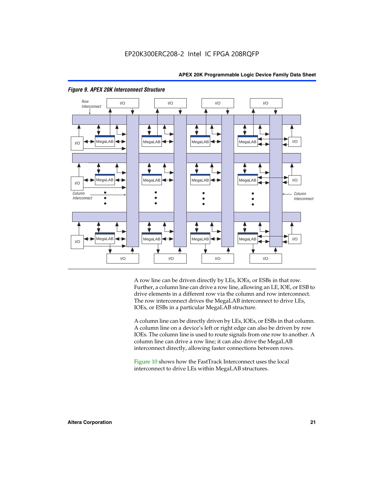

#### *Figure 9. APEX 20K Interconnect Structure*

A row line can be driven directly by LEs, IOEs, or ESBs in that row. Further, a column line can drive a row line, allowing an LE, IOE, or ESB to drive elements in a different row via the column and row interconnect. The row interconnect drives the MegaLAB interconnect to drive LEs, IOEs, or ESBs in a particular MegaLAB structure.

A column line can be directly driven by LEs, IOEs, or ESBs in that column. A column line on a device's left or right edge can also be driven by row IOEs. The column line is used to route signals from one row to another. A column line can drive a row line; it can also drive the MegaLAB interconnect directly, allowing faster connections between rows.

Figure 10 shows how the FastTrack Interconnect uses the local interconnect to drive LEs within MegaLAB structures.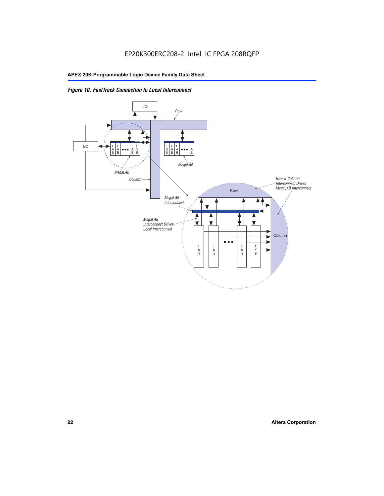

*Figure 10. FastTrack Connection to Local Interconnect*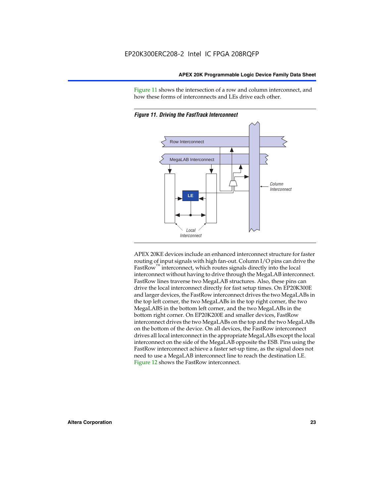Figure 11 shows the intersection of a row and column interconnect, and how these forms of interconnects and LEs drive each other.



*Figure 11. Driving the FastTrack Interconnect*

APEX 20KE devices include an enhanced interconnect structure for faster routing of input signals with high fan-out. Column I/O pins can drive the FastRow<sup>™</sup> interconnect, which routes signals directly into the local interconnect without having to drive through the MegaLAB interconnect. FastRow lines traverse two MegaLAB structures. Also, these pins can drive the local interconnect directly for fast setup times. On EP20K300E and larger devices, the FastRow interconnect drives the two MegaLABs in the top left corner, the two MegaLABs in the top right corner, the two MegaLABS in the bottom left corner, and the two MegaLABs in the bottom right corner. On EP20K200E and smaller devices, FastRow interconnect drives the two MegaLABs on the top and the two MegaLABs on the bottom of the device. On all devices, the FastRow interconnect drives all local interconnect in the appropriate MegaLABs except the local interconnect on the side of the MegaLAB opposite the ESB. Pins using the FastRow interconnect achieve a faster set-up time, as the signal does not need to use a MegaLAB interconnect line to reach the destination LE. Figure 12 shows the FastRow interconnect.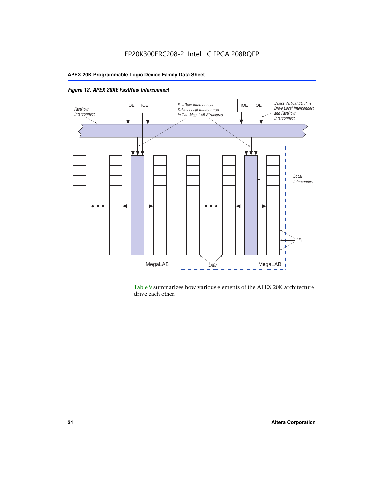

*Figure 12. APEX 20KE FastRow Interconnect*

Table 9 summarizes how various elements of the APEX 20K architecture drive each other.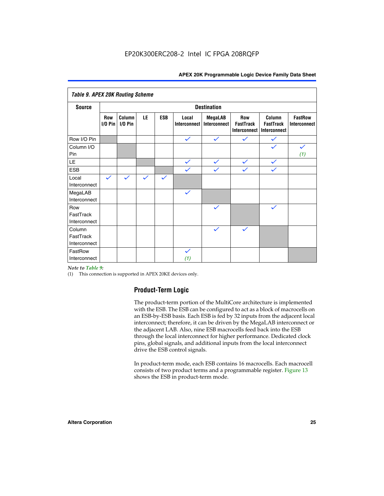| <b>Table 9. APEX 20K Routing Scheme</b> |                  |                      |              |              |                              |                                |                                                |                                            |                                |
|-----------------------------------------|------------------|----------------------|--------------|--------------|------------------------------|--------------------------------|------------------------------------------------|--------------------------------------------|--------------------------------|
| <b>Source</b>                           |                  |                      |              |              |                              | <b>Destination</b>             |                                                |                                            |                                |
|                                         | Row<br>$1/0$ Pin | Column<br>$I/O P$ in | LE           | <b>ESB</b>   | Local<br><b>Interconnect</b> | <b>MegaLAB</b><br>Interconnect | Row<br><b>FastTrack</b><br><b>Interconnect</b> | Column<br><b>FastTrack</b><br>Interconnect | <b>FastRow</b><br>Interconnect |
| Row I/O Pin                             |                  |                      |              |              | $\checkmark$                 | $\checkmark$                   | $\checkmark$                                   | $\checkmark$                               |                                |
| Column I/O<br>Pin                       |                  |                      |              |              |                              |                                |                                                | $\checkmark$                               | $\checkmark$<br>(1)            |
| LE                                      |                  |                      |              |              | $\checkmark$                 | $\checkmark$                   | $\checkmark$                                   | $\checkmark$                               |                                |
| <b>ESB</b>                              |                  |                      |              |              | $\checkmark$                 | $\checkmark$                   | $\checkmark$                                   | $\checkmark$                               |                                |
| Local<br>Interconnect                   | $\checkmark$     | $\checkmark$         | $\checkmark$ | $\checkmark$ |                              |                                |                                                |                                            |                                |
| MegaLAB<br>Interconnect                 |                  |                      |              |              | $\checkmark$                 |                                |                                                |                                            |                                |
| Row<br>FastTrack<br>Interconnect        |                  |                      |              |              |                              | $\checkmark$                   |                                                | $\checkmark$                               |                                |
| Column<br>FastTrack<br>Interconnect     |                  |                      |              |              |                              | $\checkmark$                   | $\checkmark$                                   |                                            |                                |
| FastRow<br>Interconnect                 |                  |                      |              |              | $\checkmark$<br>(1)          |                                |                                                |                                            |                                |

#### *Note to Table 9:*

(1) This connection is supported in APEX 20KE devices only.

#### **Product-Term Logic**

The product-term portion of the MultiCore architecture is implemented with the ESB. The ESB can be configured to act as a block of macrocells on an ESB-by-ESB basis. Each ESB is fed by 32 inputs from the adjacent local interconnect; therefore, it can be driven by the MegaLAB interconnect or the adjacent LAB. Also, nine ESB macrocells feed back into the ESB through the local interconnect for higher performance. Dedicated clock pins, global signals, and additional inputs from the local interconnect drive the ESB control signals.

In product-term mode, each ESB contains 16 macrocells. Each macrocell consists of two product terms and a programmable register. Figure 13 shows the ESB in product-term mode.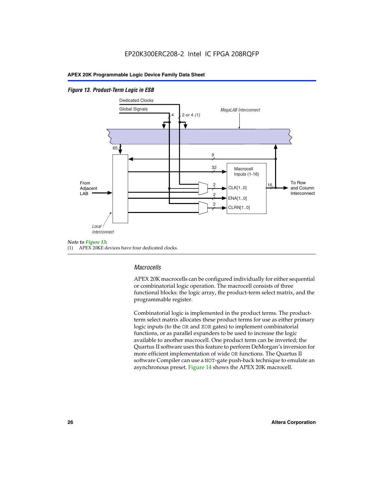#### *Figure 13. Product-Term Logic in ESB*



(1) APEX 20KE devices have four dedicated clocks.

#### *Macrocells*

APEX 20K macrocells can be configured individually for either sequential or combinatorial logic operation. The macrocell consists of three functional blocks: the logic array, the product-term select matrix, and the programmable register.

Combinatorial logic is implemented in the product terms. The productterm select matrix allocates these product terms for use as either primary logic inputs (to the OR and XOR gates) to implement combinatorial functions, or as parallel expanders to be used to increase the logic available to another macrocell. One product term can be inverted; the Quartus II software uses this feature to perform DeMorgan's inversion for more efficient implementation of wide OR functions. The Quartus II software Compiler can use a NOT-gate push-back technique to emulate an asynchronous preset. Figure 14 shows the APEX 20K macrocell.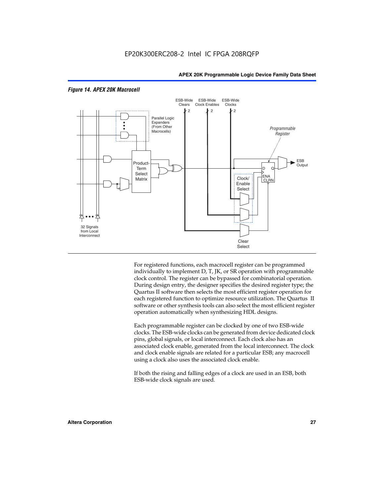

#### *Figure 14. APEX 20K Macrocell*

For registered functions, each macrocell register can be programmed individually to implement D, T, JK, or SR operation with programmable clock control. The register can be bypassed for combinatorial operation. During design entry, the designer specifies the desired register type; the Quartus II software then selects the most efficient register operation for each registered function to optimize resource utilization. The Quartus II software or other synthesis tools can also select the most efficient register operation automatically when synthesizing HDL designs.

Each programmable register can be clocked by one of two ESB-wide clocks. The ESB-wide clocks can be generated from device dedicated clock pins, global signals, or local interconnect. Each clock also has an associated clock enable, generated from the local interconnect. The clock and clock enable signals are related for a particular ESB; any macrocell using a clock also uses the associated clock enable.

If both the rising and falling edges of a clock are used in an ESB, both ESB-wide clock signals are used.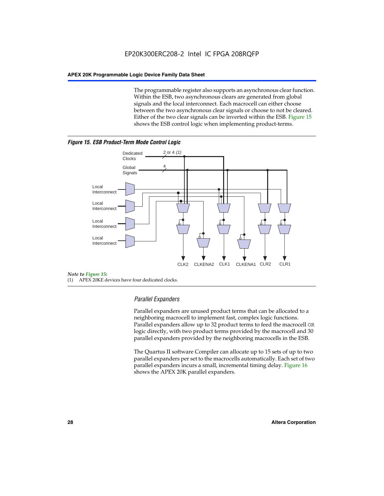The programmable register also supports an asynchronous clear function. Within the ESB, two asynchronous clears are generated from global signals and the local interconnect. Each macrocell can either choose between the two asynchronous clear signals or choose to not be cleared. Either of the two clear signals can be inverted within the ESB. Figure 15 shows the ESB control logic when implementing product-terms.





(1) APEX 20KE devices have four dedicated clocks.

#### *Parallel Expanders*

Parallel expanders are unused product terms that can be allocated to a neighboring macrocell to implement fast, complex logic functions. Parallel expanders allow up to 32 product terms to feed the macrocell OR logic directly, with two product terms provided by the macrocell and 30 parallel expanders provided by the neighboring macrocells in the ESB.

The Quartus II software Compiler can allocate up to 15 sets of up to two parallel expanders per set to the macrocells automatically. Each set of two parallel expanders incurs a small, incremental timing delay. Figure 16 shows the APEX 20K parallel expanders.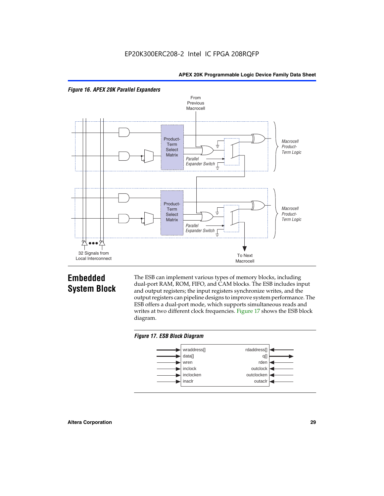



### **Embedded System Block**

The ESB can implement various types of memory blocks, including dual-port RAM, ROM, FIFO, and CAM blocks. The ESB includes input and output registers; the input registers synchronize writes, and the output registers can pipeline designs to improve system performance. The ESB offers a dual-port mode, which supports simultaneous reads and writes at two different clock frequencies. Figure 17 shows the ESB block diagram.



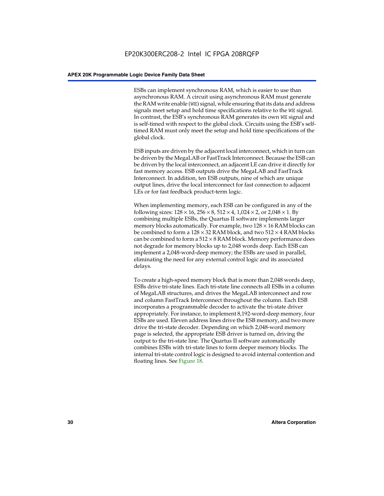ESBs can implement synchronous RAM, which is easier to use than asynchronous RAM. A circuit using asynchronous RAM must generate the RAM write enable (WE) signal, while ensuring that its data and address signals meet setup and hold time specifications relative to the WE signal. In contrast, the ESB's synchronous RAM generates its own WE signal and is self-timed with respect to the global clock. Circuits using the ESB's selftimed RAM must only meet the setup and hold time specifications of the global clock.

ESB inputs are driven by the adjacent local interconnect, which in turn can be driven by the MegaLAB or FastTrack Interconnect. Because the ESB can be driven by the local interconnect, an adjacent LE can drive it directly for fast memory access. ESB outputs drive the MegaLAB and FastTrack Interconnect. In addition, ten ESB outputs, nine of which are unique output lines, drive the local interconnect for fast connection to adjacent LEs or for fast feedback product-term logic.

When implementing memory, each ESB can be configured in any of the following sizes:  $128 \times 16$ ,  $256 \times 8$ ,  $512 \times 4$ ,  $1,024 \times 2$ , or  $2,048 \times 1$ . By combining multiple ESBs, the Quartus II software implements larger memory blocks automatically. For example, two  $128 \times 16$  RAM blocks can be combined to form a  $128 \times 32$  RAM block, and two  $512 \times 4$  RAM blocks can be combined to form a  $512 \times 8$  RAM block. Memory performance does not degrade for memory blocks up to 2,048 words deep. Each ESB can implement a 2,048-word-deep memory; the ESBs are used in parallel, eliminating the need for any external control logic and its associated delays.

To create a high-speed memory block that is more than 2,048 words deep, ESBs drive tri-state lines. Each tri-state line connects all ESBs in a column of MegaLAB structures, and drives the MegaLAB interconnect and row and column FastTrack Interconnect throughout the column. Each ESB incorporates a programmable decoder to activate the tri-state driver appropriately. For instance, to implement 8,192-word-deep memory, four ESBs are used. Eleven address lines drive the ESB memory, and two more drive the tri-state decoder. Depending on which 2,048-word memory page is selected, the appropriate ESB driver is turned on, driving the output to the tri-state line. The Quartus II software automatically combines ESBs with tri-state lines to form deeper memory blocks. The internal tri-state control logic is designed to avoid internal contention and floating lines. See Figure 18.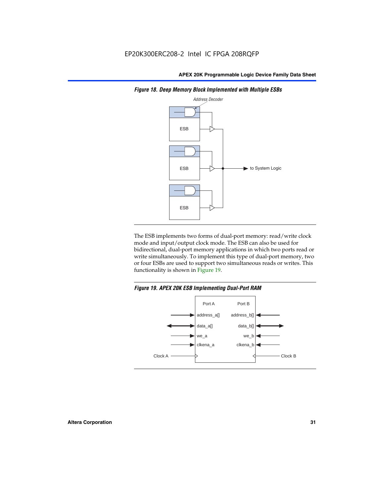

*Figure 18. Deep Memory Block Implemented with Multiple ESBs*

The ESB implements two forms of dual-port memory: read/write clock mode and input/output clock mode. The ESB can also be used for bidirectional, dual-port memory applications in which two ports read or write simultaneously. To implement this type of dual-port memory, two or four ESBs are used to support two simultaneous reads or writes. This functionality is shown in Figure 19.

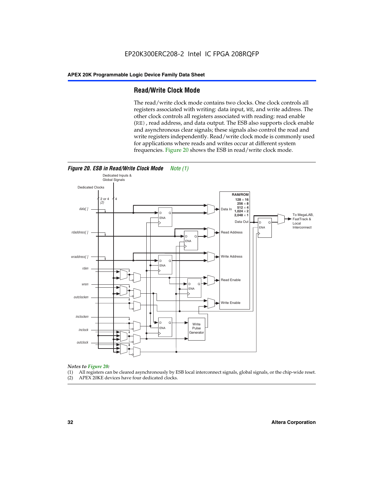#### **Read/Write Clock Mode**

The read/write clock mode contains two clocks. One clock controls all registers associated with writing: data input, WE, and write address. The other clock controls all registers associated with reading: read enable (RE), read address, and data output. The ESB also supports clock enable and asynchronous clear signals; these signals also control the read and write registers independently. Read/write clock mode is commonly used for applications where reads and writes occur at different system frequencies. Figure 20 shows the ESB in read/write clock mode.



### *Notes to Figure 20:*

- (1) All registers can be cleared asynchronously by ESB local interconnect signals, global signals, or the chip-wide reset.
- (2) APEX 20KE devices have four dedicated clocks.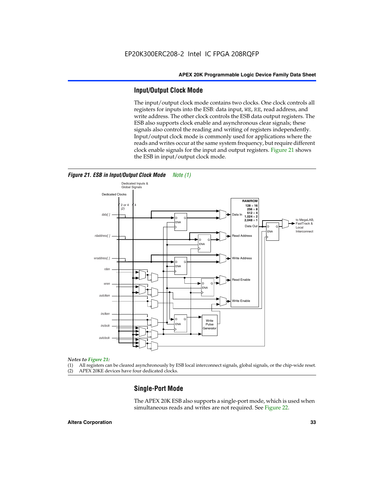#### **Input/Output Clock Mode**

The input/output clock mode contains two clocks. One clock controls all registers for inputs into the ESB: data input, WE, RE, read address, and write address. The other clock controls the ESB data output registers. The ESB also supports clock enable and asynchronous clear signals; these signals also control the reading and writing of registers independently. Input/output clock mode is commonly used for applications where the reads and writes occur at the same system frequency, but require different clock enable signals for the input and output registers. Figure 21 shows the ESB in input/output clock mode.



*Figure 21. ESB in Input/Output Clock Mode Note (1)*

#### *Notes to Figure 21:*

(1) All registers can be cleared asynchronously by ESB local interconnect signals, global signals, or the chip-wide reset.

(2) APEX 20KE devices have four dedicated clocks.

#### **Single-Port Mode**

The APEX 20K ESB also supports a single-port mode, which is used when simultaneous reads and writes are not required. See Figure 22.

#### **Altera Corporation 33**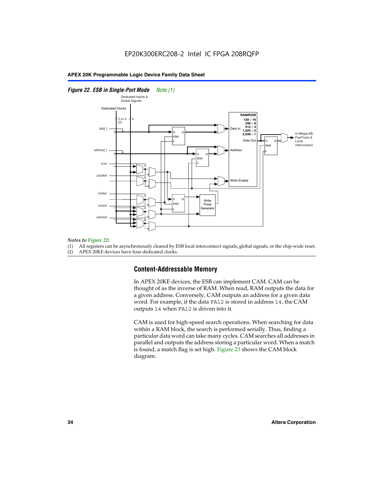#### *Figure 22. ESB in Single-Port Mode Note (1)*



#### *Notes to Figure 22:*

(1) All registers can be asynchronously cleared by ESB local interconnect signals, global signals, or the chip-wide reset.

(2) APEX 20KE devices have four dedicated clocks.

#### **Content-Addressable Memory**

In APEX 20KE devices, the ESB can implement CAM. CAM can be thought of as the inverse of RAM. When read, RAM outputs the data for a given address. Conversely, CAM outputs an address for a given data word. For example, if the data FA12 is stored in address 14, the CAM outputs 14 when FA12 is driven into it.

CAM is used for high-speed search operations. When searching for data within a RAM block, the search is performed serially. Thus, finding a particular data word can take many cycles. CAM searches all addresses in parallel and outputs the address storing a particular word. When a match is found, a match flag is set high. Figure 23 shows the CAM block diagram.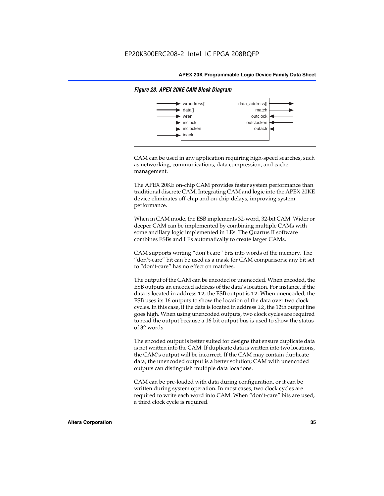

#### *Figure 23. APEX 20KE CAM Block Diagram*

CAM can be used in any application requiring high-speed searches, such as networking, communications, data compression, and cache management.

The APEX 20KE on-chip CAM provides faster system performance than traditional discrete CAM. Integrating CAM and logic into the APEX 20KE device eliminates off-chip and on-chip delays, improving system performance.

When in CAM mode, the ESB implements 32-word, 32-bit CAM. Wider or deeper CAM can be implemented by combining multiple CAMs with some ancillary logic implemented in LEs. The Quartus II software combines ESBs and LEs automatically to create larger CAMs.

CAM supports writing "don't care" bits into words of the memory. The "don't-care" bit can be used as a mask for CAM comparisons; any bit set to "don't-care" has no effect on matches.

The output of the CAM can be encoded or unencoded. When encoded, the ESB outputs an encoded address of the data's location. For instance, if the data is located in address 12, the ESB output is 12. When unencoded, the ESB uses its 16 outputs to show the location of the data over two clock cycles. In this case, if the data is located in address 12, the 12th output line goes high. When using unencoded outputs, two clock cycles are required to read the output because a 16-bit output bus is used to show the status of 32 words.

The encoded output is better suited for designs that ensure duplicate data is not written into the CAM. If duplicate data is written into two locations, the CAM's output will be incorrect. If the CAM may contain duplicate data, the unencoded output is a better solution; CAM with unencoded outputs can distinguish multiple data locations.

CAM can be pre-loaded with data during configuration, or it can be written during system operation. In most cases, two clock cycles are required to write each word into CAM. When "don't-care" bits are used, a third clock cycle is required.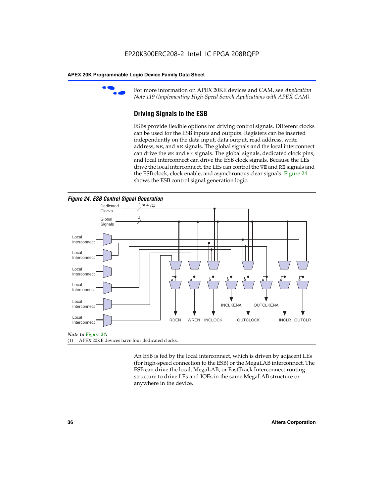

For more information on APEX 20KE devices and CAM, see *Application Note 119 (Implementing High-Speed Search Applications with APEX CAM).*

# **Driving Signals to the ESB**

ESBs provide flexible options for driving control signals. Different clocks can be used for the ESB inputs and outputs. Registers can be inserted independently on the data input, data output, read address, write address, WE, and RE signals. The global signals and the local interconnect can drive the WE and RE signals. The global signals, dedicated clock pins, and local interconnect can drive the ESB clock signals. Because the LEs drive the local interconnect, the LEs can control the WE and RE signals and the ESB clock, clock enable, and asynchronous clear signals. Figure 24 shows the ESB control signal generation logic.





#### *Note to Figure 24:*

(1) APEX 20KE devices have four dedicated clocks.

An ESB is fed by the local interconnect, which is driven by adjacent LEs (for high-speed connection to the ESB) or the MegaLAB interconnect. The ESB can drive the local, MegaLAB, or FastTrack Interconnect routing structure to drive LEs and IOEs in the same MegaLAB structure or anywhere in the device.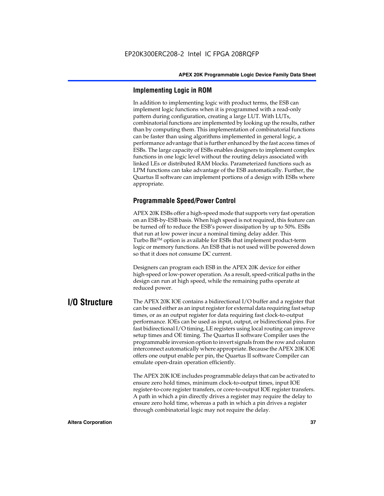# **Implementing Logic in ROM**

In addition to implementing logic with product terms, the ESB can implement logic functions when it is programmed with a read-only pattern during configuration, creating a large LUT. With LUTs, combinatorial functions are implemented by looking up the results, rather than by computing them. This implementation of combinatorial functions can be faster than using algorithms implemented in general logic, a performance advantage that is further enhanced by the fast access times of ESBs. The large capacity of ESBs enables designers to implement complex functions in one logic level without the routing delays associated with linked LEs or distributed RAM blocks. Parameterized functions such as LPM functions can take advantage of the ESB automatically. Further, the Quartus II software can implement portions of a design with ESBs where appropriate.

# **Programmable Speed/Power Control**

APEX 20K ESBs offer a high-speed mode that supports very fast operation on an ESB-by-ESB basis. When high speed is not required, this feature can be turned off to reduce the ESB's power dissipation by up to 50%. ESBs that run at low power incur a nominal timing delay adder. This Turbo  $Bit^{TM}$  option is available for ESBs that implement product-term logic or memory functions. An ESB that is not used will be powered down so that it does not consume DC current.

Designers can program each ESB in the APEX 20K device for either high-speed or low-power operation. As a result, speed-critical paths in the design can run at high speed, while the remaining paths operate at reduced power.

**I/O Structure** The APEX 20K IOE contains a bidirectional I/O buffer and a register that can be used either as an input register for external data requiring fast setup times, or as an output register for data requiring fast clock-to-output performance. IOEs can be used as input, output, or bidirectional pins. For fast bidirectional I/O timing, LE registers using local routing can improve setup times and OE timing. The Quartus II software Compiler uses the programmable inversion option to invert signals from the row and column interconnect automatically where appropriate. Because the APEX 20K IOE offers one output enable per pin, the Quartus II software Compiler can emulate open-drain operation efficiently.

> The APEX 20K IOE includes programmable delays that can be activated to ensure zero hold times, minimum clock-to-output times, input IOE register-to-core register transfers, or core-to-output IOE register transfers. A path in which a pin directly drives a register may require the delay to ensure zero hold time, whereas a path in which a pin drives a register through combinatorial logic may not require the delay.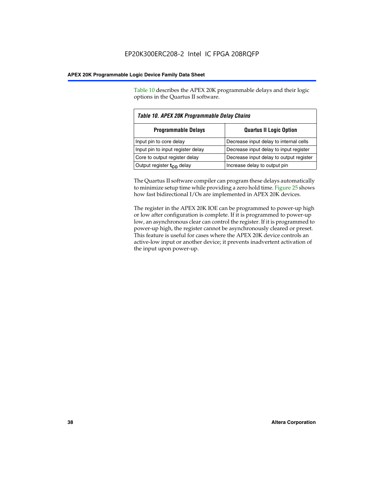Table 10 describes the APEX 20K programmable delays and their logic options in the Quartus II software.

| Table 10. APEX 20K Programmable Delay Chains                 |                                         |  |  |  |
|--------------------------------------------------------------|-----------------------------------------|--|--|--|
| <b>Programmable Delays</b><br><b>Quartus II Logic Option</b> |                                         |  |  |  |
| Input pin to core delay                                      | Decrease input delay to internal cells  |  |  |  |
| Input pin to input register delay                            | Decrease input delay to input register  |  |  |  |
| Core to output register delay                                | Decrease input delay to output register |  |  |  |
| Output register $t_{\rm CO}$ delay                           | Increase delay to output pin            |  |  |  |

The Quartus II software compiler can program these delays automatically to minimize setup time while providing a zero hold time. Figure 25 shows how fast bidirectional I/Os are implemented in APEX 20K devices.

The register in the APEX 20K IOE can be programmed to power-up high or low after configuration is complete. If it is programmed to power-up low, an asynchronous clear can control the register. If it is programmed to power-up high, the register cannot be asynchronously cleared or preset. This feature is useful for cases where the APEX 20K device controls an active-low input or another device; it prevents inadvertent activation of the input upon power-up.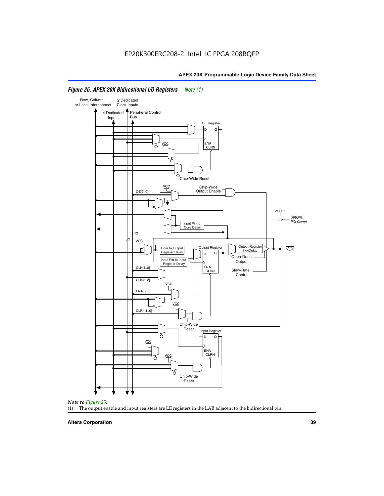

# *Figure 25. APEX 20K Bidirectional I/O Registers Note (1)*



#### **Altera Corporation 39**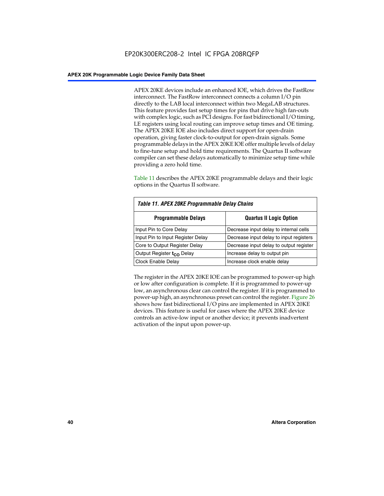APEX 20KE devices include an enhanced IOE, which drives the FastRow interconnect. The FastRow interconnect connects a column I/O pin directly to the LAB local interconnect within two MegaLAB structures. This feature provides fast setup times for pins that drive high fan-outs with complex logic, such as PCI designs. For fast bidirectional I/O timing, LE registers using local routing can improve setup times and OE timing. The APEX 20KE IOE also includes direct support for open-drain operation, giving faster clock-to-output for open-drain signals. Some programmable delays in the APEX 20KE IOE offer multiple levels of delay to fine-tune setup and hold time requirements. The Quartus II software compiler can set these delays automatically to minimize setup time while providing a zero hold time.

Table 11 describes the APEX 20KE programmable delays and their logic options in the Quartus II software.

| Table 11. APEX 20KE Programmable Delay Chains |                                         |  |  |  |
|-----------------------------------------------|-----------------------------------------|--|--|--|
| <b>Programmable Delays</b>                    | <b>Quartus II Logic Option</b>          |  |  |  |
| Input Pin to Core Delay                       | Decrease input delay to internal cells  |  |  |  |
| Input Pin to Input Register Delay             | Decrease input delay to input registers |  |  |  |
| Core to Output Register Delay                 | Decrease input delay to output register |  |  |  |
| Output Register t <sub>CO</sub> Delay         | Increase delay to output pin            |  |  |  |
| <b>Clock Enable Delay</b>                     | Increase clock enable delay             |  |  |  |

The register in the APEX 20KE IOE can be programmed to power-up high or low after configuration is complete. If it is programmed to power-up low, an asynchronous clear can control the register. If it is programmed to power-up high, an asynchronous preset can control the register. Figure 26 shows how fast bidirectional I/O pins are implemented in APEX 20KE devices. This feature is useful for cases where the APEX 20KE device controls an active-low input or another device; it prevents inadvertent activation of the input upon power-up.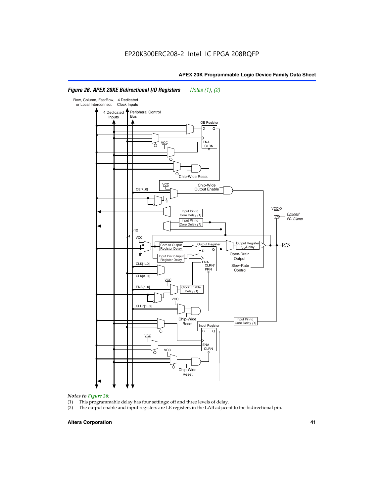#### Row, Column, FastRow, 4 Dedicated or Local Interconnect Clock Inputs Peripheral Control 4 Dedicated **Bus** Inputs OE Register D Q ENA VCC CLRN 7 Chip-Wide Reset vcc Chip-Wide Output Enable OE[7..0] VC Input Pin to **Optional** Core Delay (1) PCI Clamp Input Pin to Core Delay (1) 12 4 **VCC** Output Register **Output Registe**  $\approx$ Core to Output | Output Hegister | Durbut Tropieding | Contput Tropieding | Durbut Tropieding | Output Tropied<br>Register Delay | Durbut Tropieding | Contput Tropieding | Contput Tropieding | O t<sub>CO</sub>Delay  $D$  Q ī Open-Drain Input Pin to Input **Output** Register Delay ENA CLK[1..0] CLRN/ Slew-Rate PR<sub>N</sub> Control CLK[3..0] VCC ENA[5..0] Clock Enable Delay (1) VCC CLRn[1..0] Chip-Wide Input Pin to Core Delay (1) Reset Input Register D Q <u>vcc</u> .<br>ENA CLRN **VCC**

# *Figure 26. APEX 20KE Bidirectional I/O Registers Notes (1), (2)*

#### *Notes to Figure 26:*

- (1) This programmable delay has four settings: off and three levels of delay.<br>(2) The output enable and input registers are LE registers in the LAB adjacer
- The output enable and input registers are LE registers in the LAB adjacent to the bidirectional pin.

Chip-Wide Reset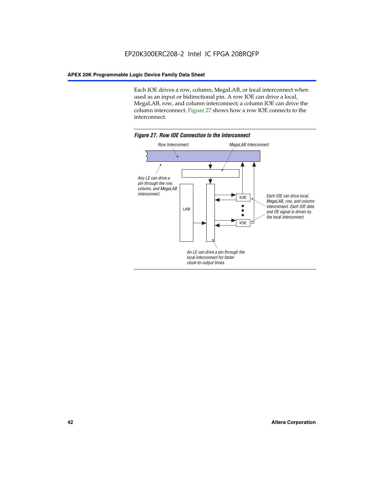Each IOE drives a row, column, MegaLAB, or local interconnect when used as an input or bidirectional pin. A row IOE can drive a local, MegaLAB, row, and column interconnect; a column IOE can drive the column interconnect. Figure 27 shows how a row IOE connects to the interconnect.

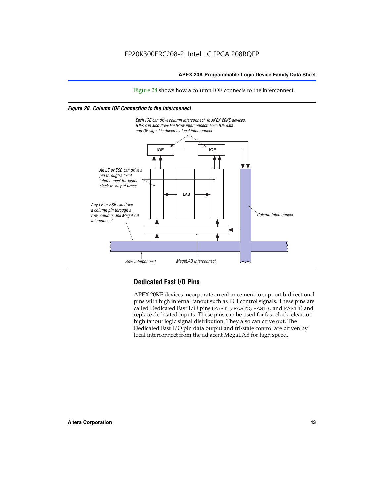Figure 28 shows how a column IOE connects to the interconnect.

#### *Figure 28. Column IOE Connection to the Interconnect*



# **Dedicated Fast I/O Pins**

APEX 20KE devices incorporate an enhancement to support bidirectional pins with high internal fanout such as PCI control signals. These pins are called Dedicated Fast I/O pins (FAST1, FAST2, FAST3, and FAST4) and replace dedicated inputs. These pins can be used for fast clock, clear, or high fanout logic signal distribution. They also can drive out. The Dedicated Fast I/O pin data output and tri-state control are driven by local interconnect from the adjacent MegaLAB for high speed.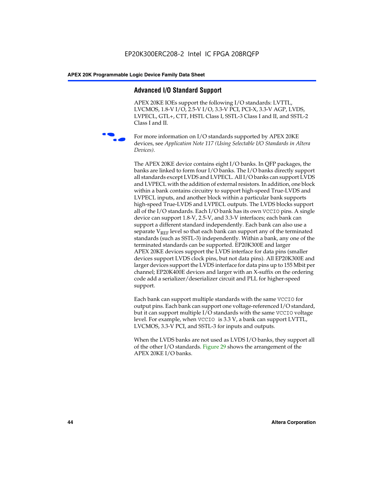# **Advanced I/O Standard Support**

APEX 20KE IOEs support the following I/O standards: LVTTL, LVCMOS, 1.8-V I/O, 2.5-V I/O, 3.3-V PCI, PCI-X, 3.3-V AGP, LVDS, LVPECL, GTL+, CTT, HSTL Class I, SSTL-3 Class I and II, and SSTL-2 Class I and II.



For more information on I/O standards supported by APEX 20KE devices, see *Application Note 117 (Using Selectable I/O Standards in Altera Devices)*.

The APEX 20KE device contains eight I/O banks. In QFP packages, the banks are linked to form four I/O banks. The I/O banks directly support all standards except LVDS and LVPECL. All I/O banks can support LVDS and LVPECL with the addition of external resistors. In addition, one block within a bank contains circuitry to support high-speed True-LVDS and LVPECL inputs, and another block within a particular bank supports high-speed True-LVDS and LVPECL outputs. The LVDS blocks support all of the I/O standards. Each I/O bank has its own VCCIO pins. A single device can support 1.8-V, 2.5-V, and 3.3-V interfaces; each bank can support a different standard independently. Each bank can also use a separate  $V_{\text{REF}}$  level so that each bank can support any of the terminated standards (such as SSTL-3) independently. Within a bank, any one of the terminated standards can be supported. EP20K300E and larger APEX 20KE devices support the LVDS interface for data pins (smaller devices support LVDS clock pins, but not data pins). All EP20K300E and larger devices support the LVDS interface for data pins up to 155 Mbit per channel; EP20K400E devices and larger with an X-suffix on the ordering code add a serializer/deserializer circuit and PLL for higher-speed support.

Each bank can support multiple standards with the same VCCIO for output pins. Each bank can support one voltage-referenced I/O standard, but it can support multiple I/O standards with the same VCCIO voltage level. For example, when VCCIO is 3.3 V, a bank can support LVTTL, LVCMOS, 3.3-V PCI, and SSTL-3 for inputs and outputs.

When the LVDS banks are not used as LVDS I/O banks, they support all of the other I/O standards. Figure 29 shows the arrangement of the APEX 20KE I/O banks.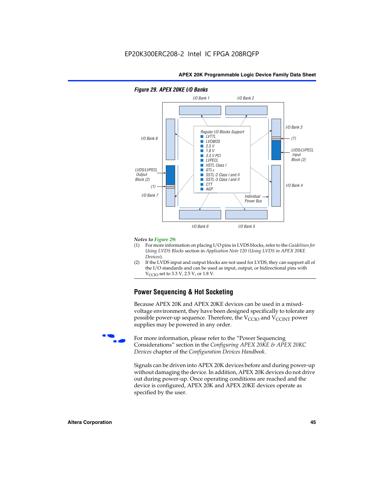

#### *Figure 29. APEX 20KE I/O Banks*

#### *Notes to Figure 29:*

- (1) For more information on placing I/O pins in LVDS blocks, refer to the *Guidelines for Using LVDS Blocks* section in *Application Note 120 (Using LVDS in APEX 20KE Devices*).
- (2) If the LVDS input and output blocks are not used for LVDS, they can support all of the I/O standards and can be used as input, output, or bidirectional pins with  $V_{\text{C} \cap \text{O}}$  set to 3.3 V, 2.5 V, or 1.8 V.

# **Power Sequencing & Hot Socketing**

Because APEX 20K and APEX 20KE devices can be used in a mixedvoltage environment, they have been designed specifically to tolerate any possible power-up sequence. Therefore, the  $V_{\text{CCIO}}$  and  $V_{\text{CCINT}}$  power supplies may be powered in any order.

For more information, please refer to the "Power Sequencing Considerations" section in the *Configuring APEX 20KE & APEX 20KC Devices* chapter of the *Configuration Devices Handbook*.

Signals can be driven into APEX 20K devices before and during power-up without damaging the device. In addition, APEX 20K devices do not drive out during power-up. Once operating conditions are reached and the device is configured, APEX 20K and APEX 20KE devices operate as specified by the user.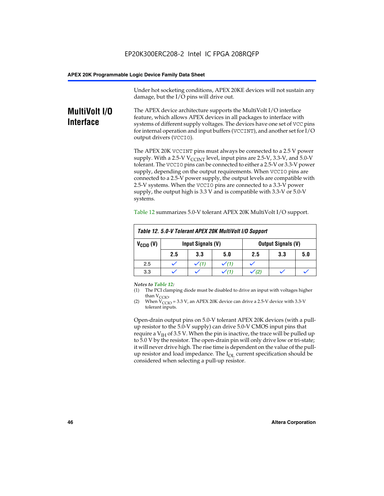Under hot socketing conditions, APEX 20KE devices will not sustain any damage, but the I/O pins will drive out.

# **MultiVolt I/O Interface**

The APEX device architecture supports the MultiVolt I/O interface feature, which allows APEX devices in all packages to interface with systems of different supply voltages. The devices have one set of VCC pins for internal operation and input buffers (VCCINT), and another set for I/O output drivers (VCCIO).

The APEX 20K VCCINT pins must always be connected to a 2.5 V power supply. With a 2.5-V  $V_{\text{CCMT}}$  level, input pins are 2.5-V, 3.3-V, and 5.0-V tolerant. The VCCIO pins can be connected to either a 2.5-V or 3.3-V power supply, depending on the output requirements. When VCCIO pins are connected to a 2.5-V power supply, the output levels are compatible with 2.5-V systems. When the VCCIO pins are connected to a 3.3-V power supply, the output high is 3.3 V and is compatible with 3.3-V or 5.0-V systems.

| Table 12. 5.0-V Tolerant APEX 20K MultiVolt I/O Support |                                                |     |     |     |     |     |  |
|---------------------------------------------------------|------------------------------------------------|-----|-----|-----|-----|-----|--|
| $V_{\text{CCIO}}(V)$                                    | Input Signals (V)<br><b>Output Signals (V)</b> |     |     |     |     |     |  |
|                                                         | 2.5                                            | 3.3 | 5.0 | 2.5 | 3.3 | 5.0 |  |
| 2.5                                                     |                                                |     |     |     |     |     |  |
| 3.3                                                     |                                                |     |     |     |     |     |  |

Table 12 summarizes 5.0-V tolerant APEX 20K MultiVolt I/O support.

#### *Notes to Table 12:*

- (1) The PCI clamping diode must be disabled to drive an input with voltages higher than  $V_{CCIO}$ .
- (2) When  $V_{CCIO} = 3.3 V$ , an APEX 20K device can drive a 2.5-V device with 3.3-V tolerant inputs.

Open-drain output pins on 5.0-V tolerant APEX 20K devices (with a pullup resistor to the 5.0-V supply) can drive 5.0-V CMOS input pins that require a  $V_{IH}$  of 3.5 V. When the pin is inactive, the trace will be pulled up to 5.0 V by the resistor. The open-drain pin will only drive low or tri-state; it will never drive high. The rise time is dependent on the value of the pullup resistor and load impedance. The  $I_{OI}$  current specification should be considered when selecting a pull-up resistor.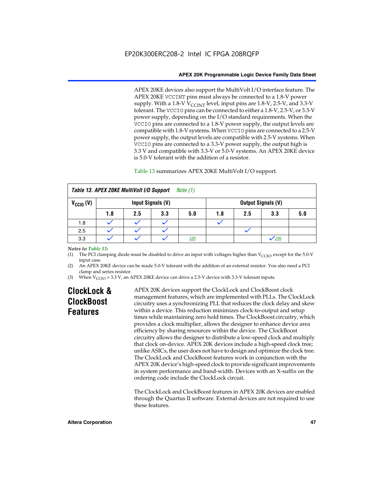APEX 20KE devices also support the MultiVolt I/O interface feature. The APEX 20KE VCCINT pins must always be connected to a 1.8-V power supply. With a 1.8-V  $V_{\text{CCINT}}$  level, input pins are 1.8-V, 2.5-V, and 3.3-V tolerant. The VCCIO pins can be connected to either a 1.8-V, 2.5-V, or 3.3-V power supply, depending on the I/O standard requirements. When the VCCIO pins are connected to a 1.8-V power supply, the output levels are compatible with 1.8-V systems. When VCCIO pins are connected to a 2.5-V power supply, the output levels are compatible with 2.5-V systems. When VCCIO pins are connected to a 3.3-V power supply, the output high is 3.3 V and compatible with 3.3-V or 5.0-V systems. An APEX 20KE device is 5.0-V tolerant with the addition of a resistor.

#### Table 13 summarizes APEX 20KE MultiVolt I/O support.

| Table 13. APEX 20KE MultiVolt I/O Support<br>Note $(1)$ |                   |     |     |     |     |     |                           |     |
|---------------------------------------------------------|-------------------|-----|-----|-----|-----|-----|---------------------------|-----|
| $V_{\text{CCIO}}(V)$                                    | Input Signals (V) |     |     |     |     |     | <b>Output Signals (V)</b> |     |
|                                                         | 1.8               | 2.5 | 3.3 | 5.0 | 1.8 | 2.5 | 3.3                       | 5.0 |
| 1.8                                                     |                   |     |     |     |     |     |                           |     |
| 2.5                                                     |                   |     |     |     |     |     |                           |     |
| 3.3                                                     |                   |     |     | (2) |     |     | (3)                       |     |

#### *Notes to Table 13:*

(1) The PCI clamping diode must be disabled to drive an input with voltages higher than  $V_{CCIO}$ , except for the 5.0-V input case.

(2) An APEX 20KE device can be made 5.0-V tolerant with the addition of an external resistor. You also need a PCI clamp and series resistor.

(3) When  $V_{\text{CCIO}} = 3.3$  V, an APEX 20KE device can drive a 2.5-V device with 3.3-V tolerant inputs.

# **ClockLock & ClockBoost Features**

APEX 20K devices support the ClockLock and ClockBoost clock management features, which are implemented with PLLs. The ClockLock circuitry uses a synchronizing PLL that reduces the clock delay and skew within a device. This reduction minimizes clock-to-output and setup times while maintaining zero hold times. The ClockBoost circuitry, which provides a clock multiplier, allows the designer to enhance device area efficiency by sharing resources within the device. The ClockBoost circuitry allows the designer to distribute a low-speed clock and multiply that clock on-device. APEX 20K devices include a high-speed clock tree; unlike ASICs, the user does not have to design and optimize the clock tree. The ClockLock and ClockBoost features work in conjunction with the APEX 20K device's high-speed clock to provide significant improvements in system performance and band-width. Devices with an X-suffix on the ordering code include the ClockLock circuit.

The ClockLock and ClockBoost features in APEX 20K devices are enabled through the Quartus II software. External devices are not required to use these features.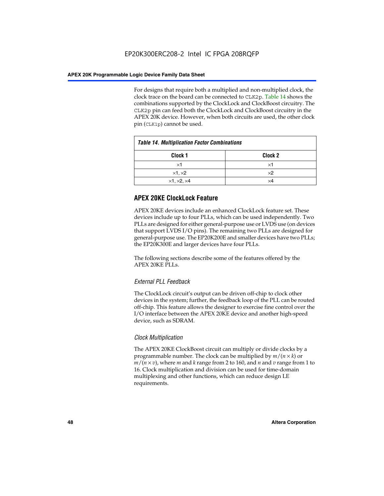For designs that require both a multiplied and non-multiplied clock, the clock trace on the board can be connected to CLK2p. Table 14 shows the combinations supported by the ClockLock and ClockBoost circuitry. The CLK2p pin can feed both the ClockLock and ClockBoost circuitry in the APEX 20K device. However, when both circuits are used, the other clock pin (CLK1p) cannot be used.

| <b>Table 14. Multiplication Factor Combinations</b> |            |  |  |  |
|-----------------------------------------------------|------------|--|--|--|
| Clock 1<br>Clock <sub>2</sub>                       |            |  |  |  |
| ×1                                                  | ×1         |  |  |  |
| $\times$ 1, $\times$ 2                              | $\times 2$ |  |  |  |
| $\times$ 1, $\times$ 2, $\times$ 4                  | ×4         |  |  |  |

# **APEX 20KE ClockLock Feature**

APEX 20KE devices include an enhanced ClockLock feature set. These devices include up to four PLLs, which can be used independently. Two PLLs are designed for either general-purpose use or LVDS use (on devices that support LVDS I/O pins). The remaining two PLLs are designed for general-purpose use. The EP20K200E and smaller devices have two PLLs; the EP20K300E and larger devices have four PLLs.

The following sections describe some of the features offered by the APEX 20KE PLLs.

# *External PLL Feedback*

The ClockLock circuit's output can be driven off-chip to clock other devices in the system; further, the feedback loop of the PLL can be routed off-chip. This feature allows the designer to exercise fine control over the I/O interface between the APEX 20KE device and another high-speed device, such as SDRAM.

# *Clock Multiplication*

The APEX 20KE ClockBoost circuit can multiply or divide clocks by a programmable number. The clock can be multiplied by  $m/(n \times k)$  or  $m/(n \times v)$ , where *m* and *k* range from 2 to 160, and *n* and *v* range from 1 to 16. Clock multiplication and division can be used for time-domain multiplexing and other functions, which can reduce design LE requirements.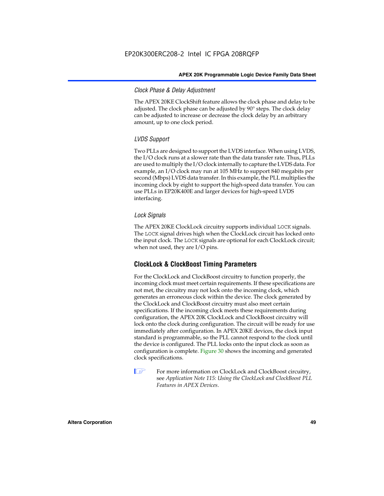#### *Clock Phase & Delay Adjustment*

The APEX 20KE ClockShift feature allows the clock phase and delay to be adjusted. The clock phase can be adjusted by 90° steps. The clock delay can be adjusted to increase or decrease the clock delay by an arbitrary amount, up to one clock period.

## *LVDS Support*

Two PLLs are designed to support the LVDS interface. When using LVDS, the I/O clock runs at a slower rate than the data transfer rate. Thus, PLLs are used to multiply the I/O clock internally to capture the LVDS data. For example, an I/O clock may run at 105 MHz to support 840 megabits per second (Mbps) LVDS data transfer. In this example, the PLL multiplies the incoming clock by eight to support the high-speed data transfer. You can use PLLs in EP20K400E and larger devices for high-speed LVDS interfacing.

### *Lock Signals*

The APEX 20KE ClockLock circuitry supports individual LOCK signals. The LOCK signal drives high when the ClockLock circuit has locked onto the input clock. The LOCK signals are optional for each ClockLock circuit; when not used, they are I/O pins.

# **ClockLock & ClockBoost Timing Parameters**

For the ClockLock and ClockBoost circuitry to function properly, the incoming clock must meet certain requirements. If these specifications are not met, the circuitry may not lock onto the incoming clock, which generates an erroneous clock within the device. The clock generated by the ClockLock and ClockBoost circuitry must also meet certain specifications. If the incoming clock meets these requirements during configuration, the APEX 20K ClockLock and ClockBoost circuitry will lock onto the clock during configuration. The circuit will be ready for use immediately after configuration. In APEX 20KE devices, the clock input standard is programmable, so the PLL cannot respond to the clock until the device is configured. The PLL locks onto the input clock as soon as configuration is complete. Figure 30 shows the incoming and generated clock specifications.

 $\mathbb{I} \mathcal{F}$  For more information on ClockLock and ClockBoost circuitry, see *Application Note 115: Using the ClockLock and ClockBoost PLL Features in APEX Devices*.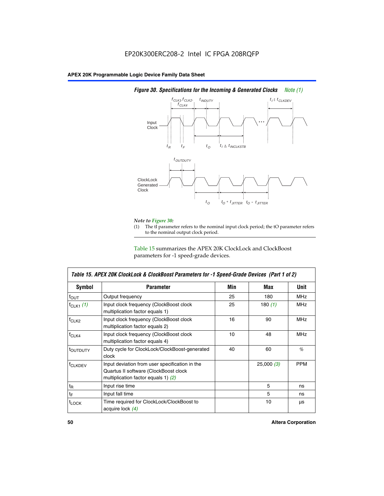

# *Figure 30. Specifications for the Incoming & Generated Clocks Note (1)*

# *Note to Figure 30:*

The tI parameter refers to the nominal input clock period; the tO parameter refers to the nominal output clock period.

Table 15 summarizes the APEX 20K ClockLock and ClockBoost parameters for -1 speed-grade devices.

| <b>Symbol</b>     | <b>Parameter</b>                                                                                                                 | Min | Max       | <b>Unit</b> |  |
|-------------------|----------------------------------------------------------------------------------------------------------------------------------|-----|-----------|-------------|--|
| $f_{OUT}$         | Output frequency                                                                                                                 | 25  | 180       | MHz         |  |
| $f_{CLK1}$ $(1)$  | Input clock frequency (ClockBoost clock<br>multiplication factor equals 1)                                                       | 25  | 180 $(1)$ | <b>MHz</b>  |  |
| $f_{CLK2}$        | Input clock frequency (ClockBoost clock<br>multiplication factor equals 2)                                                       | 16  | 90        | <b>MHz</b>  |  |
| $f_{CLK4}$        | 10<br>Input clock frequency (ClockBoost clock<br>multiplication factor equals 4)                                                 |     | 48        | <b>MHz</b>  |  |
| toutputy          | Duty cycle for ClockLock/ClockBoost-generated<br>clock                                                                           | 40  | 60        | %           |  |
| <b>f</b> CLKDEV   | Input deviation from user specification in the<br>Quartus II software (ClockBoost clock<br>multiplication factor equals 1) $(2)$ |     | 25,000(3) | <b>PPM</b>  |  |
| $t_{\mathsf{R}}$  | Input rise time                                                                                                                  |     | 5         | ns          |  |
| $t_{\mathsf{F}}$  | Input fall time                                                                                                                  |     | 5         | ns          |  |
| <sup>t</sup> LOCK | Time required for ClockLock/ClockBoost to<br>acquire lock (4)                                                                    |     | 10        | μs          |  |

 $\mathsf I$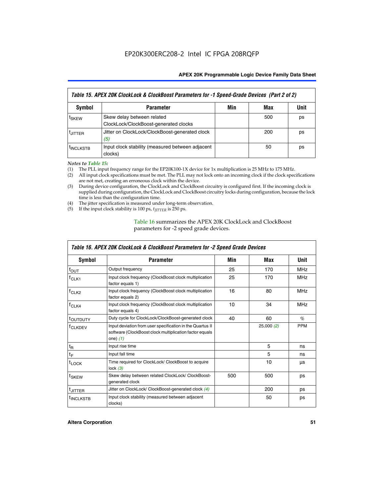| Table 15. APEX 20K ClockLock & ClockBoost Parameters for -1 Speed-Grade Devices (Part 2 of 2) |                                                                     |     |     |      |  |
|-----------------------------------------------------------------------------------------------|---------------------------------------------------------------------|-----|-----|------|--|
| Symbol                                                                                        | <b>Parameter</b>                                                    | Min | Max | Unit |  |
| <sup>t</sup> SKEW                                                                             | Skew delay between related<br>ClockLock/ClockBoost-generated clocks |     | 500 | ps   |  |
| <b>UITTER</b>                                                                                 | Jitter on ClockLock/ClockBoost-generated clock<br>(5)               |     | 200 | ps   |  |
| <b>INCLKSTB</b>                                                                               | Input clock stability (measured between adjacent<br>clocks)         |     | 50  | ps   |  |

*Notes to Table 15:*

- (1) The PLL input frequency range for the EP20K100-1X device for 1x multiplication is 25 MHz to 175 MHz.
- (2) All input clock specifications must be met. The PLL may not lock onto an incoming clock if the clock specifications are not met, creating an erroneous clock within the device.
- (3) During device configuration, the ClockLock and ClockBoost circuitry is configured first. If the incoming clock is supplied during configuration, the ClockLock and ClockBoost circuitry locks during configuration, because the lock time is less than the configuration time.
- (4) The jitter specification is measured under long-term observation.
- (5) If the input clock stability is 100 ps,  $t_{\text{JITTER}}$  is 250 ps.

### Table 16 summarizes the APEX 20K ClockLock and ClockBoost parameters for -2 speed grade devices.

| Symbol                | <b>Parameter</b>                                                                                                                   | Min | Max       | <b>Unit</b> |
|-----------------------|------------------------------------------------------------------------------------------------------------------------------------|-----|-----------|-------------|
| $f_{\text{OUT}}$      | Output frequency                                                                                                                   | 25  | 170       | <b>MHz</b>  |
| $r$ CLK1              | Input clock frequency (ClockBoost clock multiplication<br>factor equals 1)                                                         | 25  | 170       | <b>MHz</b>  |
| f <sub>CLK2</sub>     | 16<br>Input clock frequency (ClockBoost clock multiplication<br>factor equals 2)<br>10                                             |     | 80        | <b>MHz</b>  |
| $f_{CLK4}$            | Input clock frequency (ClockBoost clock multiplication<br>factor equals 4)                                                         |     | 34        | <b>MHz</b>  |
| <sup>t</sup> OUTDUTY  | Duty cycle for ClockLock/ClockBoost-generated clock                                                                                | 40  | 60        | $\%$        |
| <sup>T</sup> CLKDEV   | Input deviation from user specification in the Quartus II<br>software (ClockBoost clock multiplication factor equals<br>one) $(1)$ |     | 25,000(2) | <b>PPM</b>  |
| $t_{\mathsf{R}}$      | Input rise time                                                                                                                    |     | 5         | ns          |
| $t_F$                 | Input fall time                                                                                                                    |     | 5         | ns          |
| $t_{\text{LOCK}}$     | Time required for ClockLock/ ClockBoost to acquire<br>lock $(3)$                                                                   |     | 10        | μs          |
| t <sub>SKEW</sub>     | Skew delay between related ClockLock/ ClockBoost-<br>500<br>generated clock                                                        |     | 500       | ps          |
| <sup>t</sup> JITTER   | Jitter on ClockLock/ ClockBoost-generated clock (4)                                                                                |     | 200       | ps          |
| <sup>I</sup> INCLKSTB | Input clock stability (measured between adjacent<br>clocks)                                                                        |     | 50        | ps          |

# *Table 16. APEX 20K ClockLock & ClockBoost Parameters for -2 Speed Grade Devices*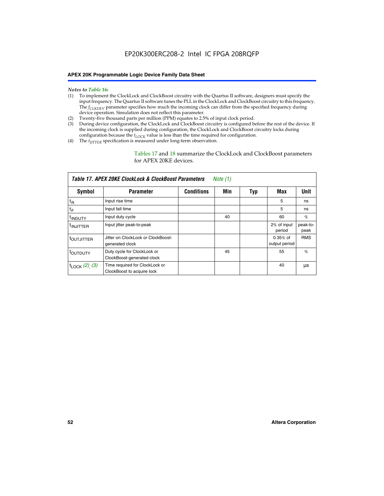#### *Notes to Table 16:*

- (1) To implement the ClockLock and ClockBoost circuitry with the Quartus II software, designers must specify the input frequency. The Quartus II software tunes the PLL in the ClockLock and ClockBoost circuitry to this frequency. The *f<sub>CLKDEV</sub>* parameter specifies how much the incoming clock can differ from the specified frequency during device operation. Simulation does not reflect this parameter.
- (2) Twenty-five thousand parts per million (PPM) equates to 2.5% of input clock period.
- (3) During device configuration, the ClockLock and ClockBoost circuitry is configured before the rest of the device. If the incoming clock is supplied during configuration, the ClockLock and ClockBoost circuitry locks during configuration because the  $t_{LOCK}$  value is less than the time required for configuration.
- (4) The  $t_{\text{ITTTER}}$  specification is measured under long-term observation.

Tables 17 and 18 summarize the ClockLock and ClockBoost parameters for APEX 20KE devices.

| Table 17. APEX 20KE ClockLock & ClockBoost Parameters<br>Note (1) |                                                              |                   |     |     |                             |                  |  |  |
|-------------------------------------------------------------------|--------------------------------------------------------------|-------------------|-----|-----|-----------------------------|------------------|--|--|
| Symbol                                                            | <b>Parameter</b>                                             | <b>Conditions</b> | Min | Typ | Max                         | <b>Unit</b>      |  |  |
| $t_{R}$                                                           | Input rise time                                              |                   |     |     | 5                           | ns               |  |  |
| tF                                                                | Input fall time                                              |                   |     |     | 5                           | ns               |  |  |
| <sup>t</sup> INDUTY                                               | Input duty cycle                                             |                   | 40  |     | 60                          | %                |  |  |
| <sup>t</sup> INJITTER                                             | Input jitter peak-to-peak                                    |                   |     |     | 2% of input<br>period       | peak-to-<br>peak |  |  |
| <sup>t</sup> OUTJITTER                                            | Jitter on ClockLock or ClockBoost-<br>generated clock        |                   |     |     | $0.35%$ of<br>output period | <b>RMS</b>       |  |  |
| t <sub>outputy</sub>                                              | Duty cycle for ClockLock or<br>ClockBoost-generated clock    |                   | 45  |     | 55                          | $\%$             |  |  |
| $t_{\text{LOCK}}$ (2), (3)                                        | Time required for ClockLock or<br>ClockBoost to acquire lock |                   |     |     | 40                          | μs               |  |  |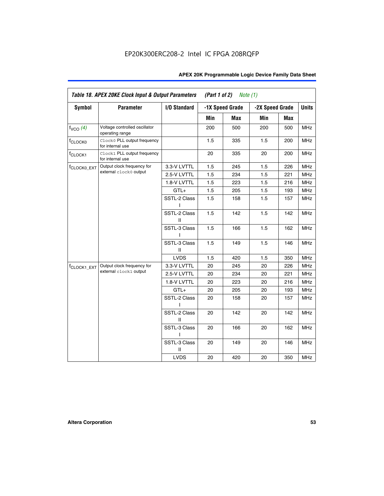|                         | Table 18. APEX 20KE Clock Input & Output Parameters<br>(Part 1 of 2)<br>Note $(1)$ |                   |     |                 |                 |     |              |
|-------------------------|------------------------------------------------------------------------------------|-------------------|-----|-----------------|-----------------|-----|--------------|
| <b>Symbol</b>           | <b>Parameter</b>                                                                   | I/O Standard      |     | -1X Speed Grade | -2X Speed Grade |     | <b>Units</b> |
|                         |                                                                                    |                   | Min | Max             | Min             | Max |              |
| $f_{VCO}$ (4)           | Voltage controlled oscillator<br>operating range                                   |                   | 200 | 500             | 200             | 500 | <b>MHz</b>   |
| f <sub>CLOCK0</sub>     | Clock0 PLL output frequency<br>for internal use                                    |                   | 1.5 | 335             | 1.5             | 200 | <b>MHz</b>   |
| f <sub>CLOCK1</sub>     | Clock1 PLL output frequency<br>for internal use                                    |                   | 20  | 335             | 20              | 200 | <b>MHz</b>   |
| f <sub>CLOCK0_EXT</sub> | Output clock frequency for                                                         | 3.3-V LVTTL       | 1.5 | 245             | 1.5             | 226 | <b>MHz</b>   |
|                         | external clock0 output                                                             | 2.5-V LVTTL       | 1.5 | 234             | 1.5             | 221 | <b>MHz</b>   |
|                         |                                                                                    | 1.8-V LVTTL       | 1.5 | 223             | 1.5             | 216 | <b>MHz</b>   |
|                         |                                                                                    | $GTL+$            | 1.5 | 205             | 1.5             | 193 | <b>MHz</b>   |
|                         |                                                                                    | SSTL-2 Class      | 1.5 | 158             | 1.5             | 157 | <b>MHz</b>   |
|                         |                                                                                    | SSTL-2 Class<br>Ш | 1.5 | 142             | 1.5             | 142 | <b>MHz</b>   |
|                         |                                                                                    | SSTL-3 Class<br>ı | 1.5 | 166             | 1.5             | 162 | <b>MHz</b>   |
|                         |                                                                                    | SSTL-3 Class<br>Ш | 1.5 | 149             | 1.5             | 146 | <b>MHz</b>   |
|                         |                                                                                    | <b>LVDS</b>       | 1.5 | 420             | 1.5             | 350 | <b>MHz</b>   |
| f <sub>CLOCK1_EXT</sub> | Output clock frequency for                                                         | 3.3-V LVTTL       | 20  | 245             | 20              | 226 | MHz          |
|                         | external clock1 output                                                             | 2.5-V LVTTL       | 20  | 234             | 20              | 221 | <b>MHz</b>   |
|                         |                                                                                    | 1.8-V LVTTL       | 20  | 223             | 20              | 216 | <b>MHz</b>   |
|                         |                                                                                    | $GTL+$            | 20  | 205             | 20              | 193 | <b>MHz</b>   |
|                         |                                                                                    | SSTL-2 Class      | 20  | 158             | 20              | 157 | <b>MHz</b>   |
|                         |                                                                                    | SSTL-2 Class<br>Ш | 20  | 142             | 20              | 142 | <b>MHz</b>   |
|                         |                                                                                    | SSTL-3 Class      | 20  | 166             | 20              | 162 | <b>MHz</b>   |
|                         |                                                                                    | SSTL-3 Class<br>Ш | 20  | 149             | 20              | 146 | <b>MHz</b>   |
|                         |                                                                                    | <b>LVDS</b>       | 20  | 420             | 20              | 350 | MHz          |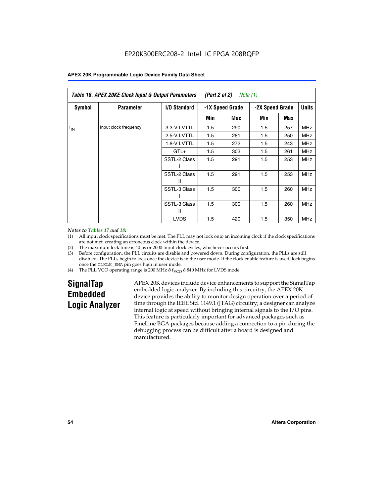| <b>APEX 20K Programmable Logic Device Family Data Sheet</b> |  |
|-------------------------------------------------------------|--|
|-------------------------------------------------------------|--|

|                 | Table 18. APEX 20KE Clock Input & Output Parameters<br><i>(Part 2 of 2)</i><br>Note (1) |                   |                 |     |                 |     |              |  |  |
|-----------------|-----------------------------------------------------------------------------------------|-------------------|-----------------|-----|-----------------|-----|--------------|--|--|
| <b>Symbol</b>   | <b>Parameter</b>                                                                        | I/O Standard      | -1X Speed Grade |     | -2X Speed Grade |     | <b>Units</b> |  |  |
|                 |                                                                                         |                   | Min             | Max | Min             | Max |              |  |  |
| $f_{\text{IN}}$ | Input clock frequency                                                                   | 3.3-V LVTTL       | 1.5             | 290 | 1.5             | 257 | <b>MHz</b>   |  |  |
|                 |                                                                                         | 2.5-V LVTTL       | 1.5             | 281 | 1.5             | 250 | <b>MHz</b>   |  |  |
|                 |                                                                                         | 1.8-V LVTTL       | 1.5             | 272 | 1.5             | 243 | <b>MHz</b>   |  |  |
|                 |                                                                                         | $GTL+$            | 1.5             | 303 | 1.5             | 261 | <b>MHz</b>   |  |  |
|                 |                                                                                         | SSTL-2 Class      | 1.5             | 291 | 1.5             | 253 | <b>MHz</b>   |  |  |
|                 |                                                                                         | SSTL-2 Class<br>Ш | 1.5             | 291 | 1.5             | 253 | <b>MHz</b>   |  |  |
|                 |                                                                                         | SSTL-3 Class      | 1.5             | 300 | 1.5             | 260 | <b>MHz</b>   |  |  |
|                 |                                                                                         | SSTL-3 Class<br>Ш | 1.5             | 300 | 1.5             | 260 | <b>MHz</b>   |  |  |
|                 |                                                                                         | <b>LVDS</b>       | 1.5             | 420 | 1.5             | 350 | <b>MHz</b>   |  |  |

#### *Notes to Tables 17 and 18:*

(1) All input clock specifications must be met. The PLL may not lock onto an incoming clock if the clock specifications are not met, creating an erroneous clock within the device.

- (2) The maximum lock time is 40 µs or 2000 input clock cycles, whichever occurs first.
- (3) Before configuration, the PLL circuits are disable and powered down. During configuration, the PLLs are still disabled. The PLLs begin to lock once the device is in the user mode. If the clock enable feature is used, lock begins once the CLKLK\_ENA pin goes high in user mode.
- (4) The PLL VCO operating range is 200 MHz  $\delta f_{VCO}$   $\delta$  840 MHz for LVDS mode.

# **SignalTap Embedded Logic Analyzer**

APEX 20K devices include device enhancements to support the SignalTap embedded logic analyzer. By including this circuitry, the APEX 20K device provides the ability to monitor design operation over a period of time through the IEEE Std. 1149.1 (JTAG) circuitry; a designer can analyze internal logic at speed without bringing internal signals to the I/O pins. This feature is particularly important for advanced packages such as FineLine BGA packages because adding a connection to a pin during the debugging process can be difficult after a board is designed and manufactured.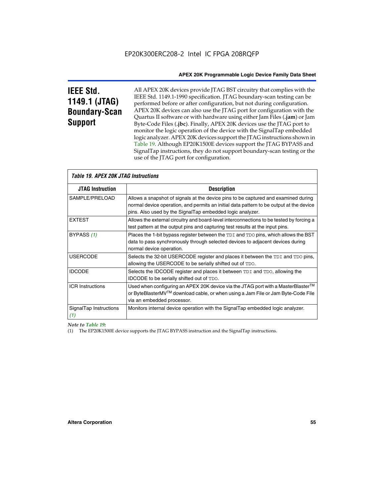# **IEEE Std. 1149.1 (JTAG) Boundary-Scan Support**

All APEX 20K devices provide JTAG BST circuitry that complies with the IEEE Std. 1149.1-1990 specification. JTAG boundary-scan testing can be performed before or after configuration, but not during configuration. APEX 20K devices can also use the JTAG port for configuration with the Quartus II software or with hardware using either Jam Files (**.jam**) or Jam Byte-Code Files (**.jbc**). Finally, APEX 20K devices use the JTAG port to monitor the logic operation of the device with the SignalTap embedded logic analyzer. APEX 20K devices support the JTAG instructions shown in Table 19. Although EP20K1500E devices support the JTAG BYPASS and SignalTap instructions, they do not support boundary-scan testing or the use of the JTAG port for configuration.

| <i><b>Table 19. APEX 20K JTAG Instructions</b></i> |                                                                                                                                                                                                                                            |  |  |  |
|----------------------------------------------------|--------------------------------------------------------------------------------------------------------------------------------------------------------------------------------------------------------------------------------------------|--|--|--|
| <b>JTAG Instruction</b>                            | <b>Description</b>                                                                                                                                                                                                                         |  |  |  |
| SAMPLE/PRELOAD                                     | Allows a snapshot of signals at the device pins to be captured and examined during<br>normal device operation, and permits an initial data pattern to be output at the device<br>pins. Also used by the SignalTap embedded logic analyzer. |  |  |  |
| <b>EXTEST</b>                                      | Allows the external circuitry and board-level interconnections to be tested by forcing a<br>test pattern at the output pins and capturing test results at the input pins.                                                                  |  |  |  |
| BYPASS (1)                                         | Places the 1-bit bypass register between the TDI and TDO pins, which allows the BST<br>data to pass synchronously through selected devices to adjacent devices during<br>normal device operation.                                          |  |  |  |
| <b>USERCODE</b>                                    | Selects the 32-bit USERCODE register and places it between the TDI and TDO pins,<br>allowing the USERCODE to be serially shifted out of TDO.                                                                                               |  |  |  |
| <b>IDCODE</b>                                      | Selects the IDCODE register and places it between TDI and TDO, allowing the<br>IDCODE to be serially shifted out of TDO.                                                                                                                   |  |  |  |
| <b>ICR Instructions</b>                            | Used when configuring an APEX 20K device via the JTAG port with a MasterBlaster™<br>or ByteBlasterMV™ download cable, or when using a Jam File or Jam Byte-Code File<br>via an embedded processor.                                         |  |  |  |
| SignalTap Instructions<br>(1)                      | Monitors internal device operation with the SignalTap embedded logic analyzer.                                                                                                                                                             |  |  |  |

 $\overline{\phantom{a}}$ 

#### *Note to Table 19:*

(1) The EP20K1500E device supports the JTAG BYPASS instruction and the SignalTap instructions.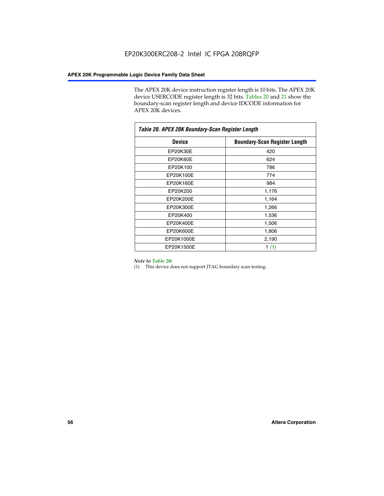The APEX 20K device instruction register length is 10 bits. The APEX 20K device USERCODE register length is 32 bits. Tables 20 and 21 show the boundary-scan register length and device IDCODE information for APEX 20K devices.

| Table 20. APEX 20K Boundary-Scan Register Length |                                      |
|--------------------------------------------------|--------------------------------------|
| <b>Device</b>                                    | <b>Boundary-Scan Register Length</b> |
| EP20K30E                                         | 420                                  |
| EP20K60E                                         | 624                                  |
| EP20K100                                         | 786                                  |
| EP20K100E                                        | 774                                  |
| EP20K160E                                        | 984                                  |
| EP20K200                                         | 1,176                                |
| EP20K200E                                        | 1,164                                |
| EP20K300E                                        | 1,266                                |
| EP20K400                                         | 1,536                                |
| EP20K400E                                        | 1,506                                |
| EP20K600E                                        | 1,806                                |
| EP20K1000E                                       | 2,190                                |
| EP20K1500E                                       | 1 $(1)$                              |

#### *Note to Table 20:*

(1) This device does not support JTAG boundary scan testing.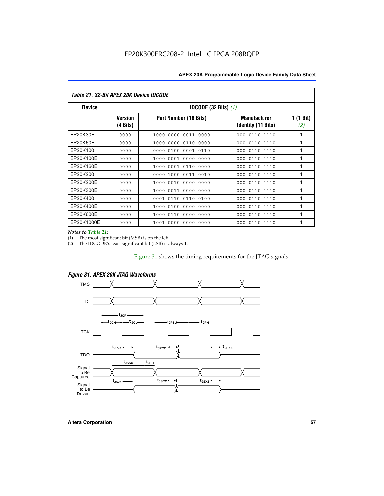| <i>Table 21. 32-Bit APEX 20K Device IDCODE</i> |                     |                                          |                                           |                  |  |  |
|------------------------------------------------|---------------------|------------------------------------------|-------------------------------------------|------------------|--|--|
| <b>Device</b>                                  |                     | <b>IDCODE (32 Bits) <math>(1)</math></b> |                                           |                  |  |  |
|                                                | Version<br>(4 Bits) | Part Number (16 Bits)                    | <b>Manufacturer</b><br>Identity (11 Bits) | 1 (1 Bit)<br>(2) |  |  |
| EP20K30E                                       | 0000                | 0011 0000<br>0000<br>1000                | 0110 1110<br>000                          | 1                |  |  |
| EP20K60E                                       | 0000                | 0000<br>0110<br>0000<br>1000             | 0110 1110<br>000                          | 1                |  |  |
| EP20K100                                       | 0000                | 0100<br>0001 0110<br>0000                | 0110 1110<br>000                          | 1                |  |  |
| EP20K100E                                      | 0000                | 0000 0000<br>1000<br>0001                | 0110 1110<br>000                          | 1                |  |  |
| EP20K160E                                      | 0000                | 0001<br>0110 0000<br>1000                | 0110 1110<br>000                          | 1                |  |  |
| EP20K200                                       | 0000                | 1000<br>0011 0010<br>0000                | 0110 1110<br>000                          |                  |  |  |
| EP20K200E                                      | 0000                | 0010<br>0000 0000<br>1000                | 0110 1110<br>000                          | 1                |  |  |
| EP20K300E                                      | 0000                | 0000 0000<br>1000<br>0011                | 0110 1110<br>000                          | 1                |  |  |
| EP20K400                                       | 0000                | 0110<br>0001<br>0110<br>0100             | 0110 1110<br>000                          |                  |  |  |
| EP20K400E                                      | 0000                | 0100<br>0000<br>0000<br>1000             | 0110 1110<br>000                          | 1                |  |  |
| EP20K600E                                      | 0000                | 1000<br>0110<br>0000<br>0000             | 0110 1110<br>000                          | 1                |  |  |
| EP20K1000E                                     | 0000                | 0000<br>0000 0000<br>1001                | 000 0110 1110                             |                  |  |  |

*Notes to Table 21:*

The most significant bit (MSB) is on the left.

(2) The IDCODE's least significant bit (LSB) is always 1.

## Figure 31 shows the timing requirements for the JTAG signals.



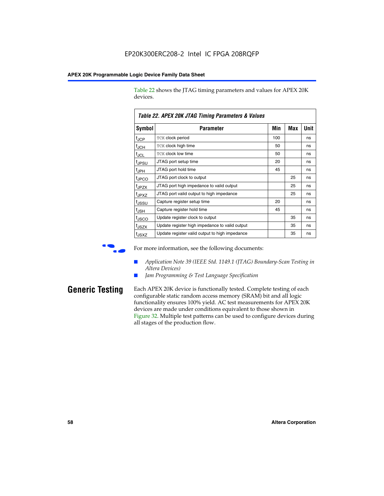Table 22 shows the JTAG timing parameters and values for APEX 20K devices.

| TADIE ZZ. AFEA ZUN JTAU TIIIIIIU FAIAIIIEIEIS & VAIUES |                                                |     |            |      |  |  |
|--------------------------------------------------------|------------------------------------------------|-----|------------|------|--|--|
| Symbol                                                 | Parameter                                      | Min | <b>Max</b> | Unit |  |  |
| $t_{JCP}$                                              | TCK clock period                               | 100 |            | ns   |  |  |
| $t_{JCH}$                                              | TCK clock high time                            | 50  |            | ns   |  |  |
| tjcl                                                   | TCK clock low time                             | 50  |            | ns   |  |  |
| t <sub>JPSU</sub>                                      | JTAG port setup time                           | 20  |            | ns   |  |  |
| t <sub>JPH</sub>                                       | JTAG port hold time                            | 45  |            | ns   |  |  |
| <sup>t</sup> JPCO                                      | JTAG port clock to output                      |     | 25         | ns   |  |  |
| t <sub>JPZX</sub>                                      | JTAG port high impedance to valid output       |     | 25         | ns   |  |  |
| t <sub>JPXZ</sub>                                      | JTAG port valid output to high impedance       |     | 25         | ns   |  |  |
| tussu                                                  | Capture register setup time                    | 20  |            | ns   |  |  |
| $t_{\sf JSH}$                                          | Capture register hold time                     | 45  |            | ns   |  |  |
| t <sub>JSCO</sub>                                      | Update register clock to output                |     | 35         | ns   |  |  |
| t <sub>JSZX</sub>                                      | Update register high impedance to valid output |     | 35         | ns   |  |  |
| t <sub>JSXZ</sub>                                      | Update register valid output to high impedance |     | 35         | ns   |  |  |

*Table 22. APEX 20K JTAG Timing Parameters & Values*

For more information, see the following documents:

- *Application Note 39 (IEEE Std. 1149.1 (JTAG) Boundary-Scan Testing in Altera Devices)*
- Jam Programming & Test Language Specification

**Generic Testing** Each APEX 20K device is functionally tested. Complete testing of each configurable static random access memory (SRAM) bit and all logic functionality ensures 100% yield. AC test measurements for APEX 20K devices are made under conditions equivalent to those shown in Figure 32. Multiple test patterns can be used to configure devices during all stages of the production flow.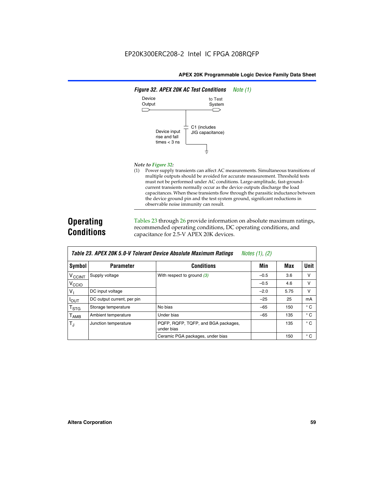

#### *Note to Figure 32:*

(1) Power supply transients can affect AC measurements. Simultaneous transitions of multiple outputs should be avoided for accurate measurement. Threshold tests must not be performed under AC conditions. Large-amplitude, fast-groundcurrent transients normally occur as the device outputs discharge the load capacitances. When these transients flow through the parasitic inductance between the device ground pin and the test system ground, significant reductions in observable noise immunity can result.

# **Operating Conditions**

Tables 23 through 26 provide information on absolute maximum ratings, recommended operating conditions, DC operating conditions, and capacitance for 2.5-V APEX 20K devices.

|                           | $1.00100 + 1.011 + 1.001$  |                                                   |        |      |              |  |  |  |
|---------------------------|----------------------------|---------------------------------------------------|--------|------|--------------|--|--|--|
| <b>Symbol</b>             | <b>Parameter</b>           | <b>Conditions</b>                                 | Min    | Max  | Unit         |  |  |  |
| $V_{\text{CCINT}}$        | Supply voltage             | With respect to ground $(3)$                      | $-0.5$ | 3.6  | v            |  |  |  |
| V <sub>CCIO</sub>         |                            |                                                   | $-0.5$ | 4.6  | $\vee$       |  |  |  |
| $V_1$                     | DC input voltage           |                                                   | $-2.0$ | 5.75 | v            |  |  |  |
| $I_{\text{OUT}}$          | DC output current, per pin |                                                   | $-25$  | 25   | mA           |  |  |  |
| $\mathsf{T}_{\text{STG}}$ | Storage temperature        | No bias                                           | $-65$  | 150  | $^{\circ}$ C |  |  |  |
| Т <sub>АМВ</sub>          | Ambient temperature        | Under bias                                        | $-65$  | 135  | $^{\circ}$ C |  |  |  |
| $T_{\rm J}$               | Junction temperature       | PQFP, RQFP, TQFP, and BGA packages,<br>under bias |        | 135  | $^{\circ}$ C |  |  |  |
|                           |                            | Ceramic PGA packages, under bias                  |        | 150  | $^{\circ}$ C |  |  |  |

| Table 23. APEX 20K 5.0-V Tolerant Device Absolute Maximum Ratings Notes (1), (2) |  |
|----------------------------------------------------------------------------------|--|
|----------------------------------------------------------------------------------|--|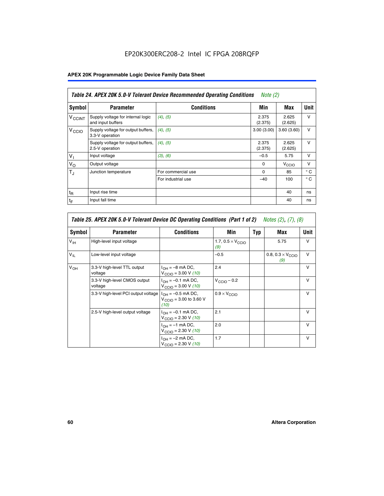# EP20K300ERC208-2 Intel IC FPGA 208RQFP

# **APEX 20K Programmable Logic Device Family Data Sheet**

| Table 24. APEX 20K 5.0-V Tolerant Device Recommended Operating Conditions<br><i>Note</i> $(2)$ |                                                        |                    |                  |                   |              |  |
|------------------------------------------------------------------------------------------------|--------------------------------------------------------|--------------------|------------------|-------------------|--------------|--|
| <b>Symbol</b>                                                                                  | <b>Parameter</b>                                       | <b>Conditions</b>  | Min              | Max               | <b>Unit</b>  |  |
| <b>V<sub>CCINT</sub></b>                                                                       | Supply voltage for internal logic<br>and input buffers | $(4)$ , $(5)$      | 2.375<br>(2.375) | 2.625<br>(2.625)  | $\vee$       |  |
| V <sub>CCIO</sub>                                                                              | Supply voltage for output buffers,<br>3.3-V operation  | (4), (5)           | 3.00(3.00)       | 3.60(3.60)        | $\vee$       |  |
|                                                                                                | Supply voltage for output buffers,<br>2.5-V operation  | (4), (5)           | 2.375<br>(2.375) | 2.625<br>(2.625)  | $\vee$       |  |
| $V_{1}$                                                                                        | Input voltage                                          | (3), (6)           | $-0.5$           | 5.75              | $\vee$       |  |
| $V_{\rm O}$                                                                                    | Output voltage                                         |                    | $\Omega$         | V <sub>CCIO</sub> | $\vee$       |  |
| $T_{\rm J}$                                                                                    | Junction temperature                                   | For commercial use | $\Omega$         | 85                | $^{\circ}$ C |  |
|                                                                                                |                                                        | For industrial use | $-40$            | 100               | $^{\circ}$ C |  |
| $t_{R}$                                                                                        | Input rise time                                        |                    |                  | 40                | ns           |  |
| $t_{\mathsf{F}}$                                                                               | Input fall time                                        |                    |                  | 40                | ns           |  |

| Table 25. APEX 20K 5.0-V Tolerant Device DC Operating Conditions (Part 1 of 2) Notes (2), (7), (8) |                                         |                                                                                       |                                          |     |                                          |              |  |
|----------------------------------------------------------------------------------------------------|-----------------------------------------|---------------------------------------------------------------------------------------|------------------------------------------|-----|------------------------------------------|--------------|--|
| Symbol                                                                                             | <b>Parameter</b>                        | <b>Conditions</b>                                                                     | Min                                      | Typ | Max                                      | Unit         |  |
| $V_{\text{IH}}$                                                                                    | High-level input voltage                |                                                                                       | 1.7, $0.5 \times V_{\text{CCIO}}$<br>(9) |     | 5.75                                     | v            |  |
| $V_{\parallel}$                                                                                    | Low-level input voltage                 |                                                                                       | $-0.5$                                   |     | 0.8, $0.3 \times V_{\text{CCIO}}$<br>(9) | $\vee$       |  |
| $V_{OH}$                                                                                           | 3.3-V high-level TTL output<br>voltage  | $I_{OH} = -8$ mA DC,<br>$V_{\text{CCIO}} = 3.00 \text{ V} (10)$                       | 2.4                                      |     |                                          | $\vee$       |  |
|                                                                                                    | 3.3-V high-level CMOS output<br>voltage | $I_{\text{OH}} = -0.1 \text{ mA DC},$<br>$V_{\text{CCIO}} = 3.00 \text{ V} (10)$      | $V_{\text{CCIO}} - 0.2$                  |     |                                          | $\mathsf{V}$ |  |
|                                                                                                    | 3.3-V high-level PCI output voltage     | $I_{OH} = -0.5$ mA DC,<br>$V_{\text{CClO}} = 3.00 \text{ to } 3.60 \text{ V}$<br>(10) | $0.9 \times V_{\text{CCIO}}$             |     |                                          | $\mathsf{V}$ |  |
|                                                                                                    | 2.5-V high-level output voltage         | $I_{OH} = -0.1$ mA DC,<br>$V_{\text{CCIO}} = 2.30 \text{ V} (10)$                     | 2.1                                      |     |                                          | $\mathsf{V}$ |  |
|                                                                                                    |                                         | $I_{\text{OH}} = -1 \text{ mA DC},$<br>$V_{\text{CCIO}} = 2.30 V (10)$                | 2.0                                      |     |                                          | $\vee$       |  |
|                                                                                                    |                                         | $I_{OH} = -2$ mA DC,<br>$V_{\text{CCIO}} = 2.30 V (10)$                               | 1.7                                      |     |                                          | v            |  |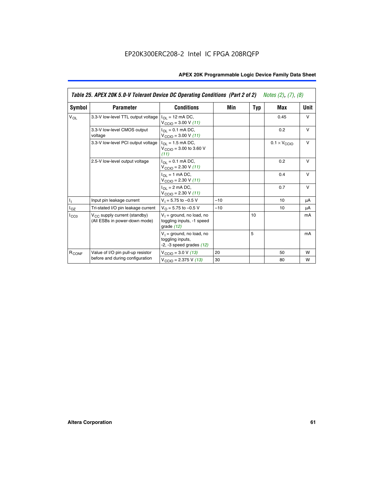|                                                     | Table 25. APEX 20K 5.0-V Tolerant Device DC Operating Conditions (Part 2 of 2) Notes (2), (7), (8) |                                                                                    |       |     |                              |        |  |  |
|-----------------------------------------------------|----------------------------------------------------------------------------------------------------|------------------------------------------------------------------------------------|-------|-----|------------------------------|--------|--|--|
| Symbol                                              | <b>Parameter</b>                                                                                   | <b>Conditions</b>                                                                  | Min   | Typ | Max                          | Unit   |  |  |
| $V_{OL}$                                            | 3.3-V low-level TTL output voltage                                                                 | $I_{\Omega}$ = 12 mA DC,<br>$V_{\text{CCIO}} = 3.00 V (11)$                        |       |     | 0.45                         | $\vee$ |  |  |
|                                                     | 3.3-V low-level CMOS output<br>voltage                                                             | $I_{\Omega I} = 0.1$ mA DC,<br>$V_{\text{CCIO}} = 3.00 V (11)$                     |       |     | 0.2                          | $\vee$ |  |  |
|                                                     | 3.3-V low-level PCI output voltage                                                                 | $I_{\Omega}$ = 1.5 mA DC,<br>$V_{\text{CCIO}} = 3.00$ to 3.60 V<br>(11)            |       |     | $0.1 \times V_{\text{CCLO}}$ | $\vee$ |  |  |
| h,<br>$I_{OZ}$<br>$_{\rm LCO}$<br>R <sub>CONF</sub> | 2.5-V low-level output voltage                                                                     | $I_{\Omega I} = 0.1$ mA DC,<br>$V_{\text{CCIO}} = 2.30 V (11)$                     |       |     | 0.2                          | $\vee$ |  |  |
|                                                     |                                                                                                    | $I_{\Omega}$ = 1 mA DC,<br>$V_{\text{CCIO}} = 2.30 V (11)$                         |       |     | 0.4                          | $\vee$ |  |  |
|                                                     |                                                                                                    | $I_{\Omega}$ = 2 mA DC,<br>$V_{\text{CCIO}} = 2.30 V (11)$                         |       |     | 0.7                          | $\vee$ |  |  |
|                                                     | Input pin leakage current                                                                          | $V_1 = 5.75$ to $-0.5$ V                                                           | $-10$ |     | 10                           | μA     |  |  |
|                                                     | Tri-stated I/O pin leakage current                                                                 | $V_{\Omega}$ = 5.75 to -0.5 V                                                      | $-10$ |     | 10                           | μA     |  |  |
|                                                     | $V_{CC}$ supply current (standby)<br>(All ESBs in power-down mode)                                 | $V_1$ = ground, no load, no<br>toggling inputs, -1 speed<br>grade $(12)$           |       | 10  |                              | mA     |  |  |
|                                                     |                                                                                                    | $V_1$ = ground, no load, no<br>toggling inputs,<br>$-2$ , $-3$ speed grades $(12)$ |       | 5   |                              | mA     |  |  |
|                                                     | Value of I/O pin pull-up resistor                                                                  | $V_{\text{CCIO}} = 3.0 V (13)$                                                     | 20    |     | 50                           | W      |  |  |
|                                                     | before and during configuration                                                                    | $V_{\text{CCIO}} = 2.375 \text{ V} (13)$                                           | 30    |     | 80                           | W      |  |  |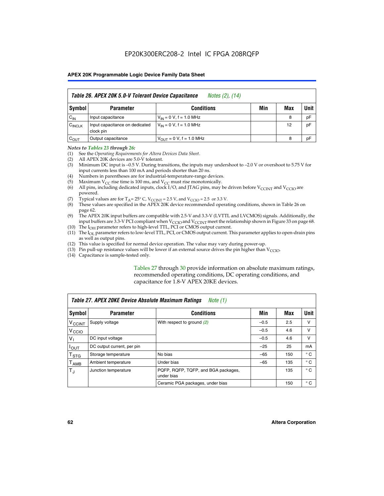| Table 26. APEX 20K 5.0-V Tolerant Device Capacitance<br>Notes (2), (14) |                                             |                               |     |     |      |  |
|-------------------------------------------------------------------------|---------------------------------------------|-------------------------------|-----|-----|------|--|
| Symbol                                                                  | <b>Parameter</b>                            | <b>Conditions</b>             | Min | Max | Unit |  |
| $C_{\text{IN}}$                                                         | Input capacitance                           | $V_{IN} = 0 V$ , f = 1.0 MHz  |     | 8   | pF   |  |
| C <sub>INCLK</sub>                                                      | Input capacitance on dedicated<br>clock pin | $V_{IN} = 0 V$ , f = 1.0 MHz  |     | 12  | pF   |  |
| $C_{OUT}$                                                               | Output capacitance                          | $V_{OUT} = 0 V$ , f = 1.0 MHz |     | 8   | pF   |  |

#### *Notes to Tables 23 through 26:*

- (1) See the *Operating Requirements for Altera Devices Data Sheet*.
- (2) All APEX 20K devices are 5.0-V tolerant.
- (3) Minimum DC input is –0.5 V. During transitions, the inputs may undershoot to –2.0 V or overshoot to 5.75 V for input currents less than 100 mA and periods shorter than 20 ns.
- (4) Numbers in parentheses are for industrial-temperature-range devices.
- (5) Maximum  $V_{CC}$  rise time is 100 ms, and  $V_{CC}$  must rise monotonically.<br>(6) All pins, including dedicated inputs, clock I/O, and JTAG pins, may b
- All pins, including dedicated inputs, clock I/O, and JTAG pins, may be driven before  $V_{\text{CCINT}}$  and  $V_{\text{CCIO}}$  are powered.
- (7) Typical values are for  $T_A = 25^\circ$  C, V<sub>CCINT</sub> = 2.5 V, and V<sub>CCIO</sub> = 2.5 or 3.3 V.<br>(8) These values are specified in the APEX 20K device recommended operat
- These values are specified in the APEX 20K device recommended operating conditions, shown in Table 26 on page 62.
- (9) The APEX 20K input buffers are compatible with 2.5-V and 3.3-V (LVTTL and LVCMOS) signals. Additionally, the input buffers are 3.3-V PCI compliant when  $V_{\text{CCIO}}$  and  $V_{\text{CCINI}}$  meet the relationship shown in Figure 33 on page 68.
- (10) The  $I<sub>OH</sub>$  parameter refers to high-level TTL, PCI or CMOS output current.
- (11) The I<sub>OL</sub> parameter refers to low-level TTL, PCI, or CMOS output current. This parameter applies to open-drain pins as well as output pins.
- (12) This value is specified for normal device operation. The value may vary during power-up.
- (13) Pin pull-up resistance values will be lower if an external source drives the pin higher than  $V_{\text{CCIO}}$ .
- (14) Capacitance is sample-tested only.

Tables 27 through 30 provide information on absolute maximum ratings, recommended operating conditions, DC operating conditions, and capacitance for 1.8-V APEX 20KE devices.

| Table 27. APEX 20KE Device Absolute Maximum Ratings<br>Note (1) |                            |                                                   |        |     |              |  |
|-----------------------------------------------------------------|----------------------------|---------------------------------------------------|--------|-----|--------------|--|
| Symbol                                                          | <b>Parameter</b>           | <b>Conditions</b>                                 | Min    | Max | Unit I       |  |
| $V_{\text{CCINT}}$                                              | Supply voltage             | With respect to ground $(2)$                      | $-0.5$ | 2.5 | v            |  |
| V <sub>CCIO</sub>                                               |                            |                                                   | $-0.5$ | 4.6 | v            |  |
| $V_{1}$                                                         | DC input voltage           |                                                   | $-0.5$ | 4.6 | v            |  |
| $I_{\text{OUT}}$                                                | DC output current, per pin |                                                   | $-25$  | 25  | mA           |  |
| $\mathsf{T}_{\text{STG}}$                                       | Storage temperature        | No bias                                           | $-65$  | 150 | $^{\circ}$ C |  |
| Т <sub>АМВ</sub>                                                | Ambient temperature        | Under bias                                        | $-65$  | 135 | $^{\circ}$ C |  |
| $\mathsf{T}_{\text{d}}$                                         | Junction temperature       | PQFP, RQFP, TQFP, and BGA packages,<br>under bias |        | 135 | $^{\circ}$ C |  |
|                                                                 |                            | Ceramic PGA packages, under bias                  |        | 150 | $^{\circ}$ C |  |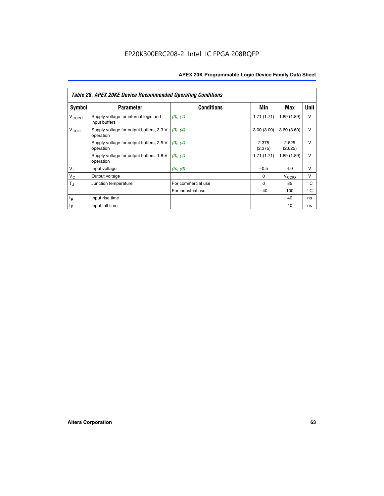|                          | <b>Table 28. APEX 20KE Device Recommended Operating Conditions</b> |                    |                  |                   |              |
|--------------------------|--------------------------------------------------------------------|--------------------|------------------|-------------------|--------------|
| <b>Symbol</b>            | <b>Parameter</b>                                                   | <b>Conditions</b>  | Min              | Max               | <b>Unit</b>  |
| <b>V<sub>CCINT</sub></b> | Supply voltage for internal logic and<br>input buffers             | (3), (4)           | 1.71(1.71)       | 1.89(1.89)        | V            |
| V <sub>CCIO</sub>        | Supply voltage for output buffers, 3.3-V<br>operation              | (3), (4)           | 3.00(3.00)       | 3.60(3.60)        | v            |
|                          | Supply voltage for output buffers, 2.5-V<br>operation              | (3), (4)           | 2.375<br>(2.375) | 2.625<br>(2.625)  | $\vee$       |
|                          | Supply voltage for output buffers, 1.8-V<br>operation              | (3), (4)           | 1.71(1.71)       | 1.89(1.89)        | v            |
| $V_1$                    | Input voltage                                                      | (5), (6)           | $-0.5$           | 4.0               | $\vee$       |
| $V_{\rm O}$              | Output voltage                                                     |                    | $\Omega$         | V <sub>CCIO</sub> | $\vee$       |
| $T_{\rm J}$              | Junction temperature                                               | For commercial use | $\Omega$         | 85                | $^{\circ}$ C |
|                          |                                                                    | For industrial use | $-40$            | 100               | $^{\circ}$ C |
| $t_{R}$                  | Input rise time                                                    |                    |                  | 40                | ns           |
| $t_{\mathsf{F}}$         | Input fall time                                                    |                    |                  | 40                | ns           |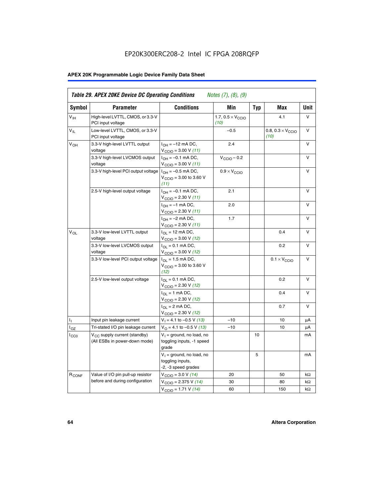# EP20K300ERC208-2 Intel IC FPGA 208RQFP

# **APEX 20K Programmable Logic Device Family Data Sheet**

| Symbol            | <b>Parameter</b>                                                          | <b>Conditions</b>                                                                    | Min                                       | <b>Typ</b> | Max                                       | Unit      |
|-------------------|---------------------------------------------------------------------------|--------------------------------------------------------------------------------------|-------------------------------------------|------------|-------------------------------------------|-----------|
| V <sub>IH</sub>   | High-level LVTTL, CMOS, or 3.3-V<br>PCI input voltage                     |                                                                                      | 1.7, $0.5 \times V_{\text{CCIO}}$<br>(10) |            | 4.1                                       | V         |
| $V_{IL}$          | Low-level LVTTL, CMOS, or 3.3-V<br>PCI input voltage                      |                                                                                      | $-0.5$                                    |            | 0.8, $0.3 \times V_{\text{CCIO}}$<br>(10) | $\vee$    |
| V <sub>OH</sub>   | 3.3-V high-level LVTTL output<br>voltage                                  | $I_{OH} = -12$ mA DC,<br>$V_{\text{CCIO}} = 3.00 V (11)$                             | 2.4                                       |            |                                           | v         |
|                   | 3.3-V high-level LVCMOS output<br>voltage                                 | $I_{OH} = -0.1$ mA DC,<br>$V_{\text{CCIO}} = 3.00 V (11)$                            | $V_{\text{CCIO}} - 0.2$                   |            |                                           | v         |
|                   | 3.3-V high-level PCI output voltage $ I_{OH} = -0.5$ mA DC,               | $V_{CGIO} = 3.00$ to 3.60 V<br>(11)                                                  | $0.9 \times V_{\text{CCIO}}$              |            |                                           | $\vee$    |
|                   | 2.5-V high-level output voltage                                           | $I_{OH} = -0.1$ mA DC,<br>$V_{\text{CCIO}} = 2.30 V (11)$                            | 2.1                                       |            |                                           | v         |
|                   |                                                                           | $I_{OH} = -1$ mA DC,<br>$V_{\text{CCIO}} = 2.30 V (11)$                              | 2.0                                       |            |                                           | $\vee$    |
|                   |                                                                           | $I_{OH} = -2$ mA DC,<br>$V_{\text{CCIO}} = 2.30 V (11)$                              | 1.7                                       |            |                                           | v         |
| $V_{OL}$          | 3.3-V low-level LVTTL output<br>voltage                                   | $I_{\Omega}$ = 12 mA DC,<br>$V_{\text{CCIO}} = 3.00 \text{ V} (12)$                  |                                           |            | 0.4                                       | v         |
|                   | 3.3-V low-level LVCMOS output<br>voltage                                  | $I_{\text{OI}} = 0.1 \text{ mA DC}$ ,<br>$V_{\text{CCIO}} = 3.00 V (12)$             |                                           |            | 0.2                                       | $\vee$    |
|                   | 3.3-V low-level PCI output voltage                                        | $I_{OL}$ = 1.5 mA DC,<br>$V_{\text{CCIO}} = 3.00 \text{ to } 3.60 \text{ V}$<br>(12) |                                           |            | $0.1 \times V_{\text{CCIO}}$              | V         |
|                   | 2.5-V low-level output voltage                                            | $I_{\Omega} = 0.1$ mA DC,<br>$V_{\text{CCIO}} = 2.30 \text{ V} (12)$                 |                                           |            | 0.2                                       | $\vee$    |
|                   |                                                                           | $I_{\Omega}$ = 1 mA DC,<br>$V_{\text{CCIO}} = 2.30 V (12)$                           |                                           |            | 0.4                                       | v         |
|                   |                                                                           | $I_{\Omega}$ = 2 mA DC,<br>$V_{\text{CCIO}} = 2.30 \text{ V} (12)$                   |                                           |            | 0.7                                       | v         |
| Ъ.                | Input pin leakage current                                                 | $V_1 = 4.1$ to -0.5 V (13)                                                           | $-10$                                     |            | 10                                        | μA        |
| l <sub>OZ</sub>   | Tri-stated I/O pin leakage current                                        | $V_{\Omega}$ = 4.1 to -0.5 V (13)                                                    | $-10$                                     |            | 10                                        | μA        |
| $_{\rm l_{CC0}}$  | V <sub>CC</sub> supply current (standby)<br>(All ESBs in power-down mode) | $V_1$ = ground, no load, no<br>toggling inputs, -1 speed<br>grade                    |                                           | 10         |                                           | mA        |
|                   |                                                                           | $V_1$ = ground, no load, no<br>toggling inputs,<br>-2, -3 speed grades               |                                           | 5          |                                           | mA        |
| R <sub>CONF</sub> | Value of I/O pin pull-up resistor                                         | $V_{\text{CCIO}} = 3.0 V (14)$                                                       | 20                                        |            | 50                                        | $k\Omega$ |
|                   | before and during configuration                                           | $V_{\text{CCIO}} = 2.375 V (14)$                                                     | 30                                        |            | 80                                        | kΩ        |
|                   |                                                                           | $V_{\text{CCIO}} = 1.71 V (14)$                                                      | 60                                        |            | 150                                       | kΩ        |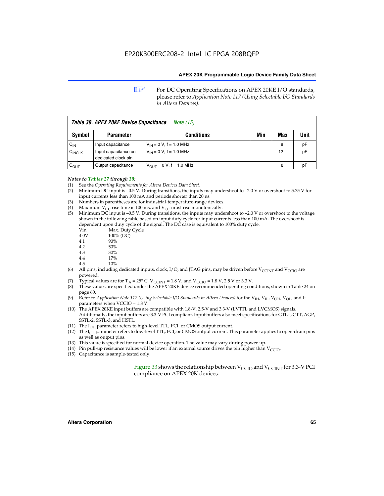**1 For DC Operating Specifications on APEX 20KE I/O standards,** please refer to *Application Note 117 (Using Selectable I/O Standards in Altera Devices).*

| Table 30. APEX 20KE Device Capacitance<br><i>Note</i> (15) |                                             |                                |     |     |      |  |  |  |
|------------------------------------------------------------|---------------------------------------------|--------------------------------|-----|-----|------|--|--|--|
| Symbol                                                     | <b>Parameter</b>                            | <b>Conditions</b>              | Min | Max | Unit |  |  |  |
| $C_{IN}$                                                   | Input capacitance                           | $V_{IN} = 0 V$ , f = 1.0 MHz   |     | 8   | рF   |  |  |  |
| $C_{\text{INCLK}}$                                         | Input capacitance on<br>dedicated clock pin | $V_{IN} = 0 V$ , f = 1.0 MHz   |     | 12  | pF   |  |  |  |
| $C_{\text{OUT}}$                                           | Output capacitance                          | $V_{OUIT} = 0 V$ , f = 1.0 MHz |     | 8   | рF   |  |  |  |

- *Notes to Tables 27 through 30:* (1) See the *Operating Requirements for Altera Devices Data Sheet*.
- (2) Minimum DC input is –0.5 V. During transitions, the inputs may undershoot to –2.0 V or overshoot to 5.75 V for input currents less than 100 mA and periods shorter than 20 ns.
- (3) Numbers in parentheses are for industrial-temperature-range devices.
- (4) Maximum  $V_{CC}$  rise time is 100 ms, and  $V_{CC}$  must rise monotonically.<br>(5) Minimum DC input is -0.5 V. During transitions, the inputs may und
- Minimum DC input is  $-0.5$  V. During transitions, the inputs may undershoot to  $-2.0$  V or overshoot to the voltage shown in the following table based on input duty cycle for input currents less than 100 mA. The overshoot is dependent upon duty cycle of the signal. The DC case is equivalent to 100% duty cycle.

| Vin  | Max. Duty Cycle |
|------|-----------------|
| 4.0V | 100% (DC)       |
| 4.1  | 90%             |
| 4.2  | 50%             |
| 4.3  | 30%             |
|      |                 |

- 4.4  $17\%$ <br>4.5  $10\%$
- 10%
- (6) All pins, including dedicated inputs, clock, I/O, and JTAG pins, may be driven before  $V_{\text{CCINT}}$  and  $V_{\text{CCIO}}$  are powered.
- (7) Typical values are for  $T_A = 25^\circ$  C, V<sub>CCINT</sub> = 1.8 V, and V<sub>CCIO</sub> = 1.8 V, 2.5 V or 3.3 V.
- (8) These values are specified under the APEX 20KE device recommended operating conditions, shown in Table 24 on page 60.
- (9) Refer to *Application Note 117 (Using Selectable I/O Standards in Altera Devices)* for the V<sub>IH</sub>, V<sub>IL</sub>, V<sub>OH</sub>, V<sub>OL</sub>, and I<sub>I</sub> parameters when VCCIO = 1.8 V.
- (10) The APEX 20KE input buffers are compatible with 1.8-V, 2.5-V and 3.3-V (LVTTL and LVCMOS) signals. Additionally, the input buffers are 3.3-V PCI compliant. Input buffers also meet specifications for GTL+, CTT, AGP, SSTL-2, SSTL-3, and HSTL.
- (11) The  $I_{OH}$  parameter refers to high-level TTL, PCI, or CMOS output current.
- (12) The I<sub>OL</sub> parameter refers to low-level TTL, PCI, or CMOS output current. This parameter applies to open-drain pins as well as output pins.
- (13) This value is specified for normal device operation. The value may vary during power-up.
- (14) Pin pull-up resistance values will be lower if an external source drives the pin higher than  $V_{CCIO}$ .
- (15) Capacitance is sample-tested only.

Figure 33 shows the relationship between  $V_{\text{CCIO}}$  and  $V_{\text{CCINT}}$  for 3.3-V PCI compliance on APEX 20K devices.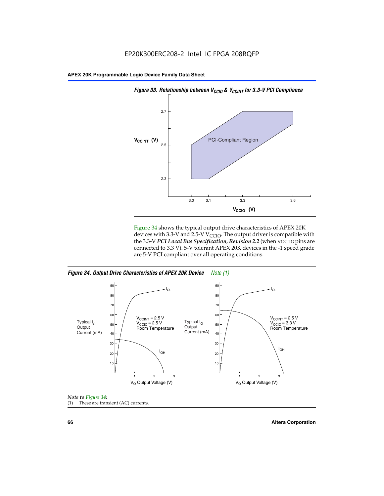



Figure 34 shows the typical output drive characteristics of APEX 20K devices with 3.3-V and 2.5-V V<sub>CCIO</sub>. The output driver is compatible with the 3.3-V *PCI Local Bus Specification, Revision 2.2* (when VCCIO pins are connected to 3.3 V). 5-V tolerant APEX 20K devices in the -1 speed grade are 5-V PCI compliant over all operating conditions.

*Figure 34. Output Drive Characteristics of APEX 20K Device Note (1)*





**66 Altera Corporation**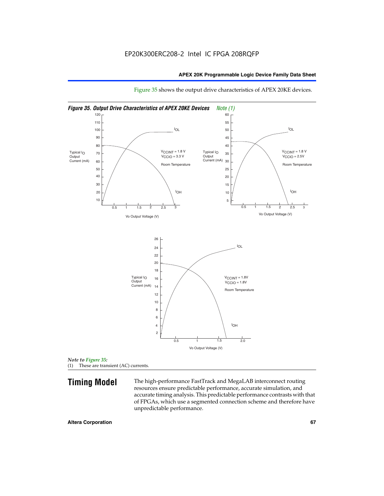

Figure 35 shows the output drive characteristics of APEX 20KE devices.

*Note to Figure 35:* (1) These are transient (AC) currents.

**Timing Model** The high-performance FastTrack and MegaLAB interconnect routing resources ensure predictable performance, accurate simulation, and accurate timing analysis. This predictable performance contrasts with that of FPGAs, which use a segmented connection scheme and therefore have unpredictable performance.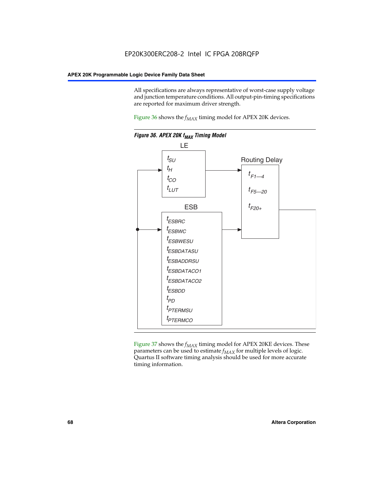All specifications are always representative of worst-case supply voltage and junction temperature conditions. All output-pin-timing specifications are reported for maximum driver strength.

Figure  $36$  shows the  $f_{MAX}$  timing model for APEX 20K devices.



Figure 37 shows the  $f_{MAX}$  timing model for APEX 20KE devices. These parameters can be used to estimate  $f_{MAX}$  for multiple levels of logic. Quartus II software timing analysis should be used for more accurate timing information.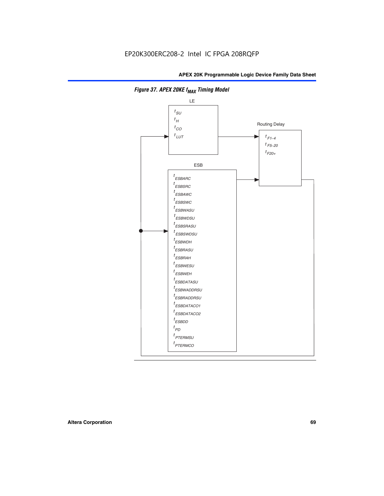

**Figure 37. APEX 20KE f<sub>MAX</sub> Timing Model**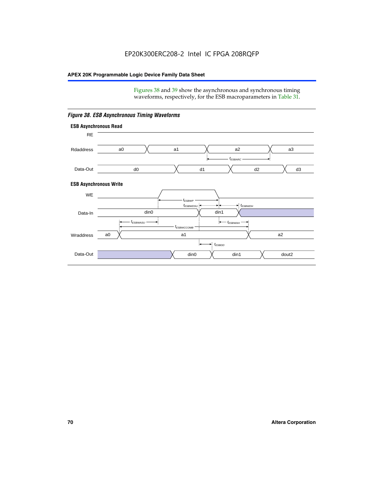Figures 38 and 39 show the asynchronous and synchronous timing waveforms, respectively, for the ESB macroparameters in Table 31.



*Figure 38. ESB Asynchronous Timing Waveforms*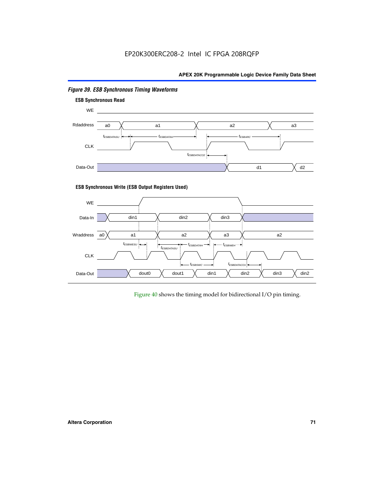

# *Figure 39. ESB Synchronous Timing Waveforms*

#### **ESB Synchronous Write (ESB Output Registers Used)**



Figure 40 shows the timing model for bidirectional I/O pin timing.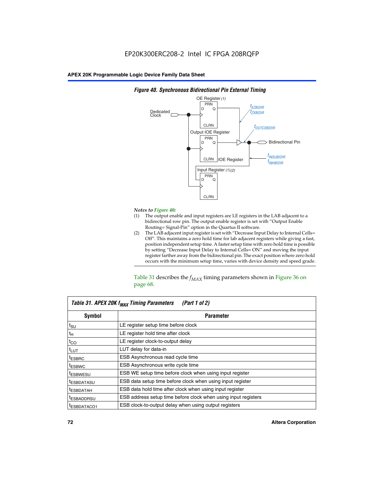

### *Figure 40. Synchronous Bidirectional Pin External Timing*

# *Notes to Figure 40:*

- The output enable and input registers are LE registers in the LAB adjacent to a bidirectional row pin. The output enable register is set with "Output Enable Routing= Signal-Pin" option in the Quartus II software.
- (2) The LAB adjacent input register is set with "Decrease Input Delay to Internal Cells= Off". This maintains a zero hold time for lab adjacent registers while giving a fast, position independent setup time. A faster setup time with zero hold time is possible by setting "Decrease Input Delay to Internal Cells= ON" and moving the input register farther away from the bidirectional pin. The exact position where zero hold occurs with the minimum setup time, varies with device density and speed grade.

Table 31 describes the  $f_{MAX}$  timing parameters shown in Figure 36 on page 68.

| Table 31. APEX 20K f <sub>MAX</sub> Timing Parameters<br>(Part 1 of 2) |                                                                |  |  |  |  |
|------------------------------------------------------------------------|----------------------------------------------------------------|--|--|--|--|
| Symbol<br><b>Parameter</b>                                             |                                                                |  |  |  |  |
| $t_{\text{SU}}$                                                        | LE register setup time before clock                            |  |  |  |  |
| $t_H$                                                                  | LE register hold time after clock                              |  |  |  |  |
| $t_{CO}$                                                               | LE register clock-to-output delay                              |  |  |  |  |
| t <sub>LUT</sub>                                                       | LUT delay for data-in                                          |  |  |  |  |
| <sup>t</sup> ESBRC                                                     | ESB Asynchronous read cycle time                               |  |  |  |  |
| <sup>t</sup> ESBWC                                                     | ESB Asynchronous write cycle time                              |  |  |  |  |
| <sup>t</sup> ESBWESU                                                   | ESB WE setup time before clock when using input register       |  |  |  |  |
| <sup>t</sup> ESBDATASU                                                 | ESB data setup time before clock when using input register     |  |  |  |  |
| <sup>t</sup> ESBDATAH                                                  | ESB data hold time after clock when using input register       |  |  |  |  |
| <sup>t</sup> ESBADDRSU                                                 | ESB address setup time before clock when using input registers |  |  |  |  |
| ESBDATACO1                                                             | ESB clock-to-output delay when using output registers          |  |  |  |  |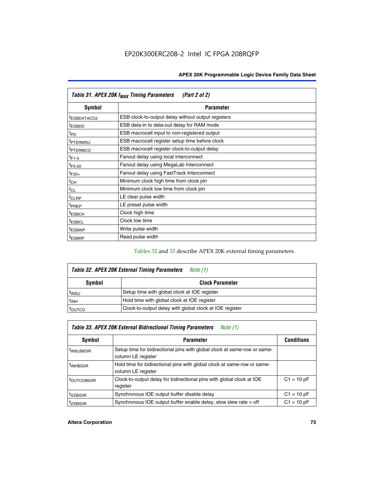| Table 31. APEX 20K f <sub>MAX</sub> Timing Parameters<br>(Part 2 of 2) |                                                    |  |  |  |  |
|------------------------------------------------------------------------|----------------------------------------------------|--|--|--|--|
| Symbol                                                                 | <b>Parameter</b>                                   |  |  |  |  |
| <sup>t</sup> ESBDATACO2                                                | ESB clock-to-output delay without output registers |  |  |  |  |
| <sup>t</sup> ESBDD                                                     | ESB data-in to data-out delay for RAM mode         |  |  |  |  |
| t <sub>PD</sub>                                                        | ESB macrocell input to non-registered output       |  |  |  |  |
| <sup>t</sup> PTERMSU                                                   | ESB macrocell register setup time before clock     |  |  |  |  |
| <sup>t</sup> PTERMCO                                                   | ESB macrocell register clock-to-output delay       |  |  |  |  |
| $t_{F1-4}$                                                             | Fanout delay using local interconnect              |  |  |  |  |
| $t_{F5-20}$                                                            | Fanout delay using MegaLab Interconnect            |  |  |  |  |
| $t_{F20+}$                                                             | Fanout delay using FastTrack Interconnect          |  |  |  |  |
| $t_{CH}$                                                               | Minimum clock high time from clock pin             |  |  |  |  |
| $t_{CL}$                                                               | Minimum clock low time from clock pin              |  |  |  |  |
| t <sub>CLRP</sub>                                                      | LE clear pulse width                               |  |  |  |  |
| t <sub>PREP</sub>                                                      | LE preset pulse width                              |  |  |  |  |
| <sup>t</sup> ESBCH                                                     | Clock high time                                    |  |  |  |  |
| <sup>t</sup> ESBCL                                                     | Clock low time                                     |  |  |  |  |
| <sup>t</sup> ESBWP                                                     | Write pulse width                                  |  |  |  |  |
| <sup>t</sup> ESBRP                                                     | Read pulse width                                   |  |  |  |  |

## Tables 32 and 33 describe APEX 20K external timing parameters.

| Table 32. APEX 20K External Timing Parameters<br>Note (1) |                                                         |  |  |  |  |
|-----------------------------------------------------------|---------------------------------------------------------|--|--|--|--|
| Symbol                                                    | <b>Clock Parameter</b>                                  |  |  |  |  |
| <sup>t</sup> insu                                         | Setup time with global clock at IOE register            |  |  |  |  |
| $t_{\mathsf{INH}}$                                        | Hold time with global clock at IOE register             |  |  |  |  |
| toutco                                                    | Clock-to-output delay with global clock at IOE register |  |  |  |  |

| Table 33. APEX 20K External Bidirectional Timing Parameters<br>Note (1) |                                                                                                |              |  |  |  |  |
|-------------------------------------------------------------------------|------------------------------------------------------------------------------------------------|--------------|--|--|--|--|
| Symbol                                                                  | <b>Parameter</b>                                                                               |              |  |  |  |  |
| <sup>I</sup> INSUBIDIR                                                  | Setup time for bidirectional pins with global clock at same-row or same-<br>column LE register |              |  |  |  |  |
| <sup>t</sup> INHBIDIR                                                   | Hold time for bidirectional pins with global clock at same-row or same-<br>column LE register  |              |  |  |  |  |
| <sup>t</sup> OUTCOBIDIR                                                 | Clock-to-output delay for bidirectional pins with global clock at IOE<br>register              | $C1 = 10 pF$ |  |  |  |  |
| <sup>T</sup> XZBIDIR                                                    | Synchronous IOE output buffer disable delay                                                    | $C1 = 10 pF$ |  |  |  |  |
| <sup>I</sup> ZXBIDIR                                                    | Synchronous IOE output buffer enable delay, slow slew rate $=$ off                             | $C1 = 10 pF$ |  |  |  |  |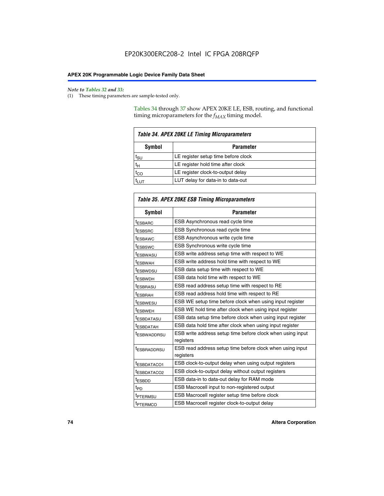#### *Note to Tables 32 and 33:*

(1) These timing parameters are sample-tested only.

Tables 34 through 37 show APEX 20KE LE, ESB, routing, and functional timing microparameters for the  $f_{MAX}$  timing model.

| <b>Table 34. APEX 20KE LE Timing Microparameters</b> |                                     |  |  |  |  |
|------------------------------------------------------|-------------------------------------|--|--|--|--|
| Symbol<br><b>Parameter</b>                           |                                     |  |  |  |  |
| t <sub>SU</sub>                                      | LE register setup time before clock |  |  |  |  |
| $t_H$                                                | LE register hold time after clock   |  |  |  |  |
| $t_{CO}$                                             | LE register clock-to-output delay   |  |  |  |  |
|                                                      | LUT delay for data-in to data-out   |  |  |  |  |

| <b>Table 35. APEX 20KE ESB Timing Microparameters</b> |                                                            |  |  |  |
|-------------------------------------------------------|------------------------------------------------------------|--|--|--|
| Symbol                                                | <b>Parameter</b>                                           |  |  |  |
| <sup>t</sup> ESBARC                                   | ESB Asynchronous read cycle time                           |  |  |  |
| <sup>t</sup> ESBSRC                                   | ESB Synchronous read cycle time                            |  |  |  |
| <b><i>ESBAWC</i></b>                                  | ESB Asynchronous write cycle time                          |  |  |  |
| t <sub>ESBSWC</sub>                                   | ESB Synchronous write cycle time                           |  |  |  |
| t <sub>ESBWASU</sub>                                  | ESB write address setup time with respect to WE            |  |  |  |
| <sup>t</sup> ESBWAH                                   | ESB write address hold time with respect to WE             |  |  |  |
| t <sub>ESBWDSU</sub>                                  | ESB data setup time with respect to WE                     |  |  |  |
| <sup>t</sup> ESBWDH                                   | ESB data hold time with respect to WE                      |  |  |  |
| tESBRASU                                              | ESB read address setup time with respect to RE             |  |  |  |
| <sup>t</sup> ESBRAH                                   | ESB read address hold time with respect to RE              |  |  |  |
| <i>ESBWESU</i>                                        | ESB WE setup time before clock when using input register   |  |  |  |
| t <sub>ESBWEH</sub>                                   | ESB WE hold time after clock when using input register     |  |  |  |
| <b><i>t</i>ESBDATASU</b>                              | ESB data setup time before clock when using input register |  |  |  |
| t <sub>ESBDATAH</sub>                                 | ESB data hold time after clock when using input register   |  |  |  |
| t <sub>ESBWADDRSU</sub>                               | ESB write address setup time before clock when using input |  |  |  |
|                                                       | registers                                                  |  |  |  |
| <i><b>LESBRADDRSU</b></i>                             | ESB read address setup time before clock when using input  |  |  |  |
|                                                       | registers                                                  |  |  |  |
| t <sub>ESBDATACO1</sub>                               | ESB clock-to-output delay when using output registers      |  |  |  |
| t <sub>ESBDATACO2</sub>                               | ESB clock-to-output delay without output registers         |  |  |  |
| $t_{ESBDD}$                                           | ESB data-in to data-out delay for RAM mode                 |  |  |  |
| $t_{\mathsf{PD}}$                                     | ESB Macrocell input to non-registered output               |  |  |  |
| t <sub>PTERMSU</sub>                                  | ESB Macrocell register setup time before clock             |  |  |  |
| t <sub>PTERMCO</sub>                                  | ESB Macrocell register clock-to-output delay               |  |  |  |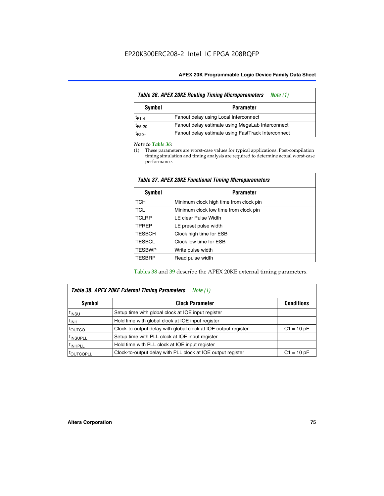| <b>Table 36. APEX 20KE Routing Timing Microparameters</b><br>Note (1) |                                                    |  |  |  |
|-----------------------------------------------------------------------|----------------------------------------------------|--|--|--|
| Symbol                                                                | <b>Parameter</b>                                   |  |  |  |
| $t_{F1-4}$                                                            | Fanout delay using Local Interconnect              |  |  |  |
| $t_{F5-20}$                                                           | Fanout delay estimate using MegaLab Interconnect   |  |  |  |
| t <sub>F20+</sub>                                                     | Fanout delay estimate using FastTrack Interconnect |  |  |  |

#### *Note to Table 36:*

(1) These parameters are worst-case values for typical applications. Post-compilation timing simulation and timing analysis are required to determine actual worst-case performance.

| Symbol        | <b>Parameter</b>                       |  |  |  |  |  |
|---------------|----------------------------------------|--|--|--|--|--|
| <b>TCH</b>    | Minimum clock high time from clock pin |  |  |  |  |  |
| <b>TCL</b>    | Minimum clock low time from clock pin  |  |  |  |  |  |
| <b>TCLRP</b>  | LE clear Pulse Width                   |  |  |  |  |  |
| <b>TPREP</b>  | LE preset pulse width                  |  |  |  |  |  |
| <b>TESBCH</b> | Clock high time for ESB                |  |  |  |  |  |
| <b>TESBCL</b> | Clock low time for ESB                 |  |  |  |  |  |
| <b>TESBWP</b> | Write pulse width                      |  |  |  |  |  |
| <b>TESBRP</b> | Read pulse width                       |  |  |  |  |  |

## *Table 37. APEX 20KE Functional Timing Microparameters*

Tables 38 and 39 describe the APEX 20KE external timing parameters.

| Table 38. APEX 20KE External Timing Parameters<br>Note (1) |                                                                |              |  |  |  |  |
|------------------------------------------------------------|----------------------------------------------------------------|--------------|--|--|--|--|
| <b>Clock Parameter</b><br>Symbol<br><b>Conditions</b>      |                                                                |              |  |  |  |  |
| <sup>t</sup> insu                                          | Setup time with global clock at IOE input register             |              |  |  |  |  |
| $t_{\text{INH}}$                                           | Hold time with global clock at IOE input register              |              |  |  |  |  |
| toutco                                                     | Clock-to-output delay with global clock at IOE output register | $C1 = 10 pF$ |  |  |  |  |
| <sup>t</sup> INSUPLL                                       | Setup time with PLL clock at IOE input register                |              |  |  |  |  |
| <sup>t</sup> INHPLL                                        | Hold time with PLL clock at IOE input register                 |              |  |  |  |  |
| <sup>I</sup> OUTCOPLL                                      | Clock-to-output delay with PLL clock at IOE output register    | $C1 = 10 pF$ |  |  |  |  |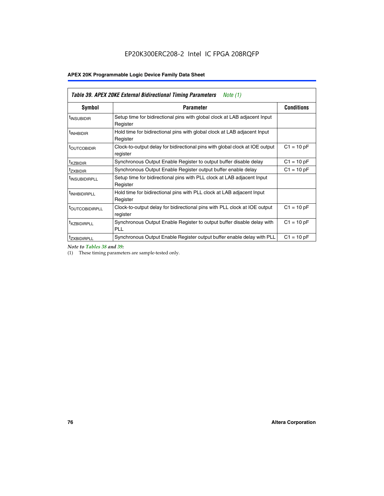| <b>Table 39. APEX 20KE External Bidirectional Timing Parameters</b><br>Note (1) |                                                                                                          |                   |  |  |  |  |
|---------------------------------------------------------------------------------|----------------------------------------------------------------------------------------------------------|-------------------|--|--|--|--|
| Symbol                                                                          | <b>Parameter</b>                                                                                         | <b>Conditions</b> |  |  |  |  |
| <sup>t</sup> INSUBIDIR                                                          | Setup time for bidirectional pins with global clock at LAB adjacent Input<br>Register                    |                   |  |  |  |  |
| <sup>t</sup> INHBIDIR                                                           | Hold time for bidirectional pins with global clock at LAB adjacent Input<br>Register                     |                   |  |  |  |  |
| <sup>t</sup> OUTCOBIDIR                                                         | $C1 = 10 pF$<br>Clock-to-output delay for bidirectional pins with global clock at IOE output<br>register |                   |  |  |  |  |
| <sup>t</sup> xzbidir                                                            | $C1 = 10 pF$<br>Synchronous Output Enable Register to output buffer disable delay                        |                   |  |  |  |  |
| <sup>t</sup> zxbidir                                                            | Synchronous Output Enable Register output buffer enable delay                                            | $C1 = 10 pF$      |  |  |  |  |
| <sup>I</sup> INSUBIDIRPLL                                                       | Setup time for bidirectional pins with PLL clock at LAB adjacent Input<br>Register                       |                   |  |  |  |  |
| <sup>t</sup> INHBIDIRPLL                                                        | Hold time for bidirectional pins with PLL clock at LAB adjacent Input<br>Register                        |                   |  |  |  |  |
| <sup>t</sup> OUTCOBIDIRPLL                                                      | Clock-to-output delay for bidirectional pins with PLL clock at IOE output<br>register                    | $C1 = 10 pF$      |  |  |  |  |
| <sup>t</sup> XZBIDIRPLL                                                         | Synchronous Output Enable Register to output buffer disable delay with<br><b>PLL</b>                     | $C1 = 10 pF$      |  |  |  |  |
| <sup>I</sup> ZXBIDIRPLL                                                         | Synchronous Output Enable Register output buffer enable delay with PLL                                   | $C1 = 10 pF$      |  |  |  |  |

*Note to Tables 38 and 39:*

(1) These timing parameters are sample-tested only.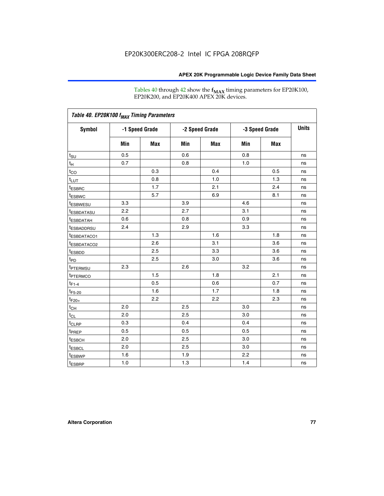Tables 40 through 42 show the **f<sub>MAX</sub>** timing parameters for EP20K100, EP20K200, and EP20K400 APEX 20K devices.

| Table 40. EP20K100 f <sub>MAX</sub> Timing Parameters |                |     |                |     |                |     |              |
|-------------------------------------------------------|----------------|-----|----------------|-----|----------------|-----|--------------|
| <b>Symbol</b>                                         | -1 Speed Grade |     | -2 Speed Grade |     | -3 Speed Grade |     | <b>Units</b> |
|                                                       | Min            | Max | Min            | Max | Min            | Max |              |
| $t_{\text{SU}}$                                       | 0.5            |     | 0.6            |     | 0.8            |     | ns           |
| $t_H$                                                 | 0.7            |     | 0.8            |     | 1.0            |     | ns           |
| $t_{\underline{CO}}$                                  |                | 0.3 |                | 0.4 |                | 0.5 | ns           |
| $t_{LUT}$                                             |                | 0.8 |                | 1.0 |                | 1.3 | ns           |
| <sup>t</sup> ESBRC                                    |                | 1.7 |                | 2.1 |                | 2.4 | ns           |
| <sup>t</sup> ESBWC                                    |                | 5.7 |                | 6.9 |                | 8.1 | ns           |
| <sup>t</sup> ESBWESU                                  | 3.3            |     | 3.9            |     | 4.6            |     | ns           |
| <sup>t</sup> ESBDATASU                                | 2.2            |     | 2.7            |     | 3.1            |     | ns           |
| <sup>t</sup> ESBDATAH                                 | 0.6            |     | 0.8            |     | 0.9            |     | ns           |
| <sup>t</sup> ESBADDRSU                                | 2.4            |     | 2.9            |     | 3.3            |     | ns           |
| t <sub>ESBDATACO1</sub>                               |                | 1.3 |                | 1.6 |                | 1.8 | ns           |
| <sup>t</sup> ESBDATACO2                               |                | 2.6 |                | 3.1 |                | 3.6 | ns           |
| <sup>t</sup> ESBDD                                    |                | 2.5 |                | 3.3 |                | 3.6 | ns           |
| t <sub>PD</sub>                                       |                | 2.5 |                | 3.0 |                | 3.6 | ns           |
| <sup>t</sup> PTERMSU                                  | 2.3            |     | 2.6            |     | 3.2            |     | ns           |
| t <sub>PTERMCO</sub>                                  |                | 1.5 |                | 1.8 |                | 2.1 | ns           |
| $t_{F1-4}$                                            |                | 0.5 |                | 0.6 |                | 0.7 | ns           |
| $t_{F5-20}$                                           |                | 1.6 |                | 1.7 |                | 1.8 | ns           |
| $t_{F20+}$                                            |                | 2.2 |                | 2.2 |                | 2.3 | ns           |
| $t_{CH}$                                              | 2.0            |     | 2.5            |     | 3.0            |     | ns           |
| $t_{CL}$                                              | 2.0            |     | 2.5            |     | 3.0            |     | ns           |
| t <sub>CLRP</sub>                                     | 0.3            |     | 0.4            |     | 0.4            |     | ns           |
| t <sub>PREP</sub>                                     | 0.5            |     | 0.5            |     | 0.5            |     | ns           |
| t <sub>ESBCH</sub>                                    | 2.0            |     | 2.5            |     | 3.0            |     | ns           |
| t <sub>ESBCL</sub>                                    | 2.0            |     | 2.5            |     | 3.0            |     | ns           |
| t <sub>ESBWP</sub>                                    | 1.6            |     | 1.9            |     | 2.2            |     | ns           |
| $t_{ESBRP}$                                           | 1.0            |     | 1.3            |     | 1.4            |     | ns           |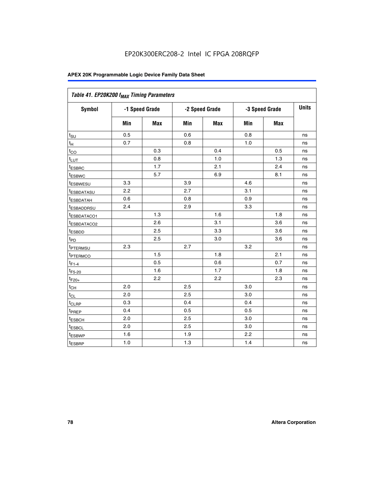| Table 41. EP20K200 f <sub>MAX</sub> Timing Parameters |                |     |     |                |     |                |    |
|-------------------------------------------------------|----------------|-----|-----|----------------|-----|----------------|----|
| Symbol                                                | -1 Speed Grade |     |     | -2 Speed Grade |     | -3 Speed Grade |    |
|                                                       | Min            | Max | Min | Max            | Min | Max            |    |
| $t_{\text{SU}}$                                       | 0.5            |     | 0.6 |                | 0.8 |                | ns |
| $t_H$                                                 | 0.7            |     | 0.8 |                | 1.0 |                | ns |
| $t_{CO}$                                              |                | 0.3 |     | 0.4            |     | 0.5            | ns |
| $t_{LUT}$                                             |                | 0.8 |     | 1.0            |     | 1.3            | ns |
| t <sub>ESBRC</sub>                                    |                | 1.7 |     | 2.1            |     | 2.4            | ns |
| <sup>t</sup> ESBWC                                    |                | 5.7 |     | 6.9            |     | 8.1            | ns |
| t <sub>ESBWESU</sub>                                  | 3.3            |     | 3.9 |                | 4.6 |                | ns |
| <sup>t</sup> ESBDATASU                                | 2.2            |     | 2.7 |                | 3.1 |                | ns |
| t <sub>ESBDATAH</sub>                                 | 0.6            |     | 0.8 |                | 0.9 |                | ns |
| t <sub>ESBADDRSU</sub>                                | 2.4            |     | 2.9 |                | 3.3 |                | ns |
| <u>t<sub>ESBDATACO1</sub></u>                         |                | 1.3 |     | 1.6            |     | 1.8            | ns |
| <sup>t</sup> ESBDATACO2                               |                | 2.6 |     | 3.1            |     | 3.6            | ns |
| t <sub>ESBDD</sub>                                    |                | 2.5 |     | 3.3            |     | 3.6            | ns |
| t <sub>PD</sub>                                       |                | 2.5 |     | 3.0            |     | 3.6            | ns |
| t <sub>PTERMSU</sub>                                  | 2.3            |     | 2.7 |                | 3.2 |                | ns |
| t <sub>PTERMCO</sub>                                  |                | 1.5 |     | 1.8            |     | 2.1            | ns |
| $t_{F1-4}$                                            |                | 0.5 |     | 0.6            |     | 0.7            | ns |
| $t_{F5-20}$                                           |                | 1.6 |     | 1.7            |     | 1.8            | ns |
| $t_{F20+}$                                            |                | 2.2 |     | 2.2            |     | 2.3            | ns |
| $\textnormal{t}_{\textnormal{CH}}$                    | 2.0            |     | 2.5 |                | 3.0 |                | ns |
| $t_{CL}$                                              | 2.0            |     | 2.5 |                | 3.0 |                | ns |
| t <sub>CLRP</sub>                                     | 0.3            |     | 0.4 |                | 0.4 |                | ns |
| t <sub>PREP</sub>                                     | 0.4            |     | 0.5 |                | 0.5 |                | ns |
| t <sub>ESBCH</sub>                                    | 2.0            |     | 2.5 |                | 3.0 |                | ns |
| t <sub>ESBCL</sub>                                    | 2.0            |     | 2.5 |                | 3.0 |                | ns |
| t <sub>ESBWP</sub>                                    | 1.6            |     | 1.9 |                | 2.2 |                | ns |
| t <sub>ESBRP</sub>                                    | 1.0            |     | 1.3 |                | 1.4 |                | ns |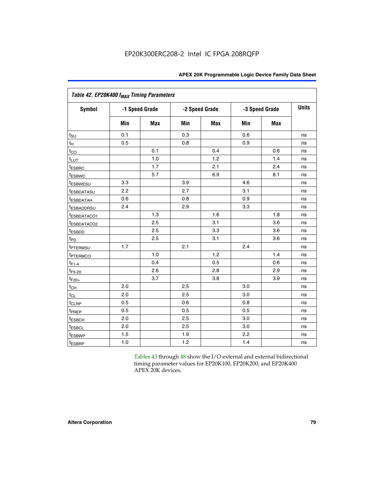| Table 42. EP20K400 f <sub>MAX</sub> Timing Parameters |     |                |     |                |     |                |              |  |
|-------------------------------------------------------|-----|----------------|-----|----------------|-----|----------------|--------------|--|
| <b>Symbol</b>                                         |     | -1 Speed Grade |     | -2 Speed Grade |     | -3 Speed Grade | <b>Units</b> |  |
|                                                       | Min | Max            | Min | <b>Max</b>     | Min | <b>Max</b>     |              |  |
| $t_{\text{SU}}$                                       | 0.1 |                | 0.3 |                | 0.6 |                | ns           |  |
| $t_H$                                                 | 0.5 |                | 0.8 |                | 0.9 |                | ns           |  |
| $t_{CO}$                                              |     | 0.1            |     | 0.4            |     | 0.6            | ns           |  |
| $t_{LUT}$                                             |     | 1.0            |     | 1.2            |     | 1.4            | ns           |  |
| t <sub>ESBRC</sub>                                    |     | 1.7            |     | 2.1            |     | 2.4            | ns           |  |
| t <sub>ESBWC</sub>                                    |     | 5.7            |     | 6.9            |     | 8.1            | ns           |  |
| <i>t</i> ESBWESU                                      | 3.3 |                | 3.9 |                | 4.6 |                | ns           |  |
| <i>t</i> ESBDATASU                                    | 2.2 |                | 2.7 |                | 3.1 |                | ns           |  |
| <sup>t</sup> ESBDATAH                                 | 0.6 |                | 0.8 |                | 0.9 |                | ns           |  |
| <sup>t</sup> ESBADDRSU                                | 2.4 |                | 2.9 |                | 3.3 |                | ns           |  |
| t <sub>ESBDATACO1</sub>                               |     | 1.3            |     | 1.6            |     | 1.8            | ns           |  |
| t <sub>ESBDATACO2</sub>                               |     | 2.5            |     | 3.1            |     | 3.6            | ns           |  |
| t <sub>ESBDD</sub>                                    |     | 2.5            |     | 3.3            |     | 3.6            | ns           |  |
| t <sub>PD</sub>                                       |     | 2.5            |     | 3.1            |     | 3.6            | ns           |  |
| t <sub>PTERMSU</sub>                                  | 1.7 |                | 2.1 |                | 2.4 |                | ns           |  |
| <sup>t</sup> PTERMCO                                  |     | 1.0            |     | 1.2            |     | 1.4            | ns           |  |
| $t_{F1-4}$                                            |     | 0.4            |     | 0.5            |     | 0.6            | ns           |  |
| $t_{F5-20}$                                           |     | 2.6            |     | 2.8            |     | 2.9            | ns           |  |
| $t_{F20+}$                                            |     | 3.7            |     | 3.8            |     | 3.9            | ns           |  |
| $t_{\text{CH}}$                                       | 2.0 |                | 2.5 |                | 3.0 |                | ns           |  |
| $t_{CL}$                                              | 2.0 |                | 2.5 |                | 3.0 |                | ns           |  |
| $t_{CLRP}$                                            | 0.5 |                | 0.6 |                | 0.8 |                | ns           |  |
| t <sub>PREP</sub>                                     | 0.5 |                | 0.5 |                | 0.5 |                | ns           |  |
| <sup>t</sup> ESBCH                                    | 2.0 |                | 2.5 |                | 3.0 |                | ns           |  |
| t <sub>ESBCL</sub>                                    | 2.0 |                | 2.5 |                | 3.0 |                | ns           |  |
| t <sub>ESBWP</sub>                                    | 1.5 |                | 1.9 |                | 2.2 |                | ns           |  |
| t <sub>ESBRP</sub>                                    | 1.0 |                | 1.2 |                | 1.4 |                | ns           |  |

Tables 43 through 48 show the I/O external and external bidirectional timing parameter values for EP20K100, EP20K200, and EP20K400 APEX 20K devices.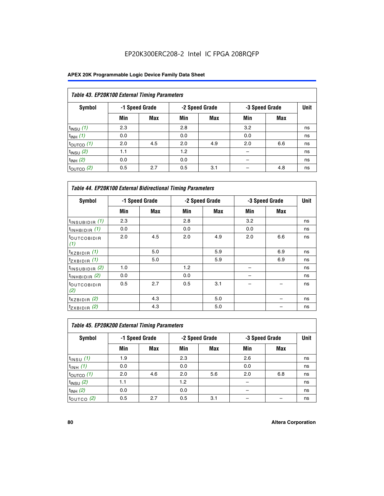## EP20K300ERC208-2 Intel IC FPGA 208RQFP

| Table 43. EP20K100 External Timing Parameters |     |                |     |                |     |                |             |  |  |  |  |
|-----------------------------------------------|-----|----------------|-----|----------------|-----|----------------|-------------|--|--|--|--|
| Symbol                                        |     | -1 Speed Grade |     | -2 Speed Grade |     | -3 Speed Grade | <b>Unit</b> |  |  |  |  |
|                                               | Min | Max            | Min | <b>Max</b>     | Min | <b>Max</b>     |             |  |  |  |  |
| $t_{INSU}$ (1)                                | 2.3 |                | 2.8 |                | 3.2 |                | ns          |  |  |  |  |
| $t_{INH}$ (1)                                 | 0.0 |                | 0.0 |                | 0.0 |                | ns          |  |  |  |  |
| $t_{\text{OUTCO}}(1)$                         | 2.0 | 4.5            | 2.0 | 4.9            | 2.0 | 6.6            | ns          |  |  |  |  |
| $t_{INSU}$ (2)                                | 1.1 |                | 1.2 |                |     |                | ns          |  |  |  |  |
| $t_{INH}$ (2)                                 | 0.0 |                | 0.0 |                |     |                | ns          |  |  |  |  |
| $t_{\text{OUTCO}}(2)$                         | 0.5 | 2.7            | 0.5 | 3.1            |     | 4.8            | ns          |  |  |  |  |

| <b>Table 44. EP20K100 External Bidirectional Timing Parameters</b> |     |                |     |                |     |                |    |
|--------------------------------------------------------------------|-----|----------------|-----|----------------|-----|----------------|----|
| <b>Symbol</b>                                                      |     | -1 Speed Grade |     | -2 Speed Grade |     | -3 Speed Grade |    |
|                                                                    | Min | Max            | Min | Max            | Min | Max            |    |
| $t_{\text{INSUBIDIR}}(1)$                                          | 2.3 |                | 2.8 |                | 3.2 |                | ns |
| $t_{INHBIDIR}$ (1)                                                 | 0.0 |                | 0.0 |                | 0.0 |                | ns |
| <sup>t</sup> OUTCOBIDIR<br>(1)                                     | 2.0 | 4.5            | 2.0 | 4.9            | 2.0 | 6.6            | ns |
| $t_{XZBIDIR}$ (1)                                                  |     | 5.0            |     | 5.9            |     | 6.9            | ns |
| $t_{ZXBIDIR}$ (1)                                                  |     | 5.0            |     | 5.9            |     | 6.9            | ns |
| $t_{INSUBIDIR}$ (2)                                                | 1.0 |                | 1.2 |                |     |                | ns |
| $t_{\text{INHBIDIR}}$ (2)                                          | 0.0 |                | 0.0 |                |     |                | ns |
| <sup>t</sup> OUTCOBIDIR<br>(2)                                     | 0.5 | 2.7            | 0.5 | 3.1            |     |                | ns |
| $t_{XZBIDIR}$ (2)                                                  |     | 4.3            |     | 5.0            |     |                | ns |
| $t_{ZXBIDIR}$ (2)                                                  |     | 4.3            |     | 5.0            |     |                | ns |

| Table 45. EP20K200 External Timing Parameters |     |                |     |                |     |                |             |  |  |  |  |
|-----------------------------------------------|-----|----------------|-----|----------------|-----|----------------|-------------|--|--|--|--|
| Symbol                                        |     | -1 Speed Grade |     | -2 Speed Grade |     | -3 Speed Grade | <b>Unit</b> |  |  |  |  |
|                                               | Min | Max            | Min | <b>Max</b>     | Min | <b>Max</b>     |             |  |  |  |  |
| $t_{INSU}$ (1)                                | 1.9 |                | 2.3 |                | 2.6 |                | ns          |  |  |  |  |
| $t_{INH}$ (1)                                 | 0.0 |                | 0.0 |                | 0.0 |                | ns          |  |  |  |  |
| $t_{\text{OUTCO}}(1)$                         | 2.0 | 4.6            | 2.0 | 5.6            | 2.0 | 6.8            | ns          |  |  |  |  |
| $t_{INSU}$ (2)                                | 1.1 |                | 1.2 |                |     |                | ns          |  |  |  |  |
| $t_{INH}$ (2)                                 | 0.0 |                | 0.0 |                |     |                | ns          |  |  |  |  |
| $t_{\text{OUTCO}}$ (2)                        | 0.5 | 2.7            | 0.5 | 3.1            |     |                | ns          |  |  |  |  |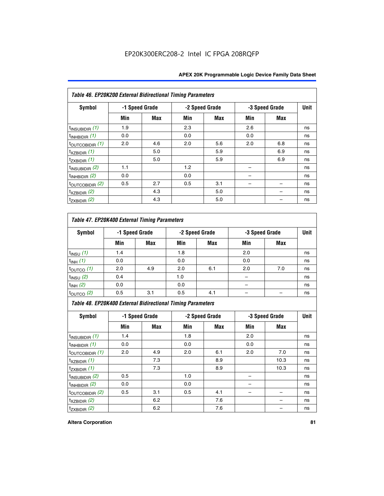|                            | Table 46. EP20K200 External Bidirectional Timing Parameters |                |     |                |     |                |             |  |  |  |  |
|----------------------------|-------------------------------------------------------------|----------------|-----|----------------|-----|----------------|-------------|--|--|--|--|
| <b>Symbol</b>              |                                                             | -1 Speed Grade |     | -2 Speed Grade |     | -3 Speed Grade | <b>Unit</b> |  |  |  |  |
|                            | Min                                                         | Max            | Min | Max            | Min | Max            |             |  |  |  |  |
| $t_{\text{INSUBIDIR}}(1)$  | 1.9                                                         |                | 2.3 |                | 2.6 |                | ns          |  |  |  |  |
| $t_{INHBIDIR}$ (1)         | 0.0                                                         |                | 0.0 |                | 0.0 |                | ns          |  |  |  |  |
| $t_{\text{OUTCOBIDIR}}(1)$ | 2.0                                                         | 4.6            | 2.0 | 5.6            | 2.0 | 6.8            | ns          |  |  |  |  |
| $t_{XZBIDIR}$ (1)          |                                                             | 5.0            |     | 5.9            |     | 6.9            | ns          |  |  |  |  |
| $t_{ZXBIDIR}$ (1)          |                                                             | 5.0            |     | 5.9            |     | 6.9            | ns          |  |  |  |  |
| $t_{\text{INSUBIDIR}}(2)$  | 1.1                                                         |                | 1.2 |                |     |                | ns          |  |  |  |  |
| $t_{\text{INHBIDIR}}(2)$   | 0.0                                                         |                | 0.0 |                |     |                | ns          |  |  |  |  |
| $t_{\text{OUTCOBIDIR}}(2)$ | 0.5                                                         | 2.7            | 0.5 | 3.1            |     |                | ns          |  |  |  |  |
| $t_{XZBIDIR}$ $(2)$        |                                                             | 4.3            |     | 5.0            |     |                | ns          |  |  |  |  |
| $t_{ZXBIDIR}$ (2)          |                                                             | 4.3            |     | 5.0            |     |                | ns          |  |  |  |  |

## *Table 47. EP20K400 External Timing Parameters*

| Symbol                | -1 Speed Grade |            |     | -2 Speed Grade | -3 Speed Grade |            | <b>Unit</b> |
|-----------------------|----------------|------------|-----|----------------|----------------|------------|-------------|
|                       | Min            | <b>Max</b> | Min | <b>Max</b>     | Min            | <b>Max</b> |             |
| $t_{INSU}$ (1)        | 1.4            |            | 1.8 |                | 2.0            |            | ns          |
| $t_{INH}$ (1)         | 0.0            |            | 0.0 |                | 0.0            |            | ns          |
| $t_{\text{OUTCO}}(1)$ | 2.0            | 4.9        | 2.0 | 6.1            | 2.0            | 7.0        | ns          |
| $t_{INSU}$ (2)        | 0.4            |            | 1.0 |                |                |            | ns          |
| $t_{INH}$ (2)         | 0.0            |            | 0.0 |                | -              |            | ns          |
| $t_{\text{OUTCO}}(2)$ | 0.5            | 3.1        | 0.5 | 4.1            |                |            | ns          |

*Table 48. EP20K400 External Bidirectional Timing Parameters*

| Symbol                      | -1 Speed Grade |     | -2 Speed Grade |     |     | -3 Speed Grade | <b>Unit</b> |
|-----------------------------|----------------|-----|----------------|-----|-----|----------------|-------------|
|                             | Min            | Max | Min            | Max | Min | Max            |             |
| $t_{\text{INSUBIDIR}}(1)$   | 1.4            |     | 1.8            |     | 2.0 |                | ns          |
| $t_{INHBIDIR}$ (1)          | 0.0            |     | 0.0            |     | 0.0 |                | ns          |
| $t_{\text{OUTCOBIDIR}}(1)$  | 2.0            | 4.9 | 2.0            | 6.1 | 2.0 | 7.0            | ns          |
| $t_{XZBIDIR}$ (1)           |                | 7.3 |                | 8.9 |     | 10.3           | ns          |
| $t_{ZXBIDIR}$ (1)           |                | 7.3 |                | 8.9 |     | 10.3           | ns          |
| $t_{\text{INSUBIDIR}}(2)$   | 0.5            |     | 1.0            |     |     |                | ns          |
| $t_{INHBIDIR}$ (2)          | 0.0            |     | 0.0            |     |     |                | ns          |
| $t_{\text{OUTCOBIDIR}}$ (2) | 0.5            | 3.1 | 0.5            | 4.1 |     |                | ns          |
| $t_{XZBIDIR}$ (2)           |                | 6.2 |                | 7.6 |     |                | ns          |
| $t_{ZXBIDIR}$ (2)           |                | 6.2 |                | 7.6 |     |                | ns          |

#### **Altera Corporation 81**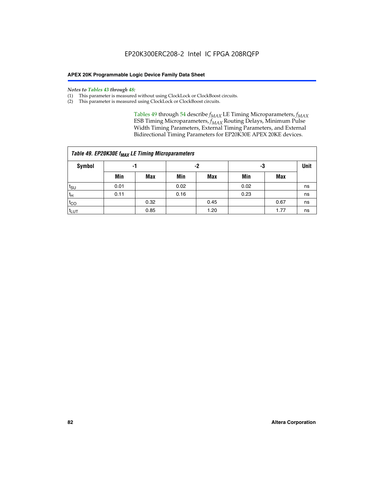#### *Notes to Tables 43 through 48:*

- (1) This parameter is measured without using ClockLock or ClockBoost circuits.
- (2) This parameter is measured using ClockLock or ClockBoost circuits.

Tables 49 through 54 describe  $f_{MAX}$  LE Timing Microparameters,  $f_{MAX}$ ESB Timing Microparameters, *f<sub>MAX</sub>* Routing Delays, Minimum Pulse Width Timing Parameters, External Timing Parameters, and External Bidirectional Timing Parameters for EP20K30E APEX 20KE devices.

| Table 49. EP20K30E f <sub>MAX</sub> LE Timing Microparameters |      |      |      |            |      |      |    |  |  |  |  |
|---------------------------------------------------------------|------|------|------|------------|------|------|----|--|--|--|--|
| <b>Symbol</b>                                                 |      | -1   |      | -2         | -3   |      |    |  |  |  |  |
|                                                               | Min  | Max  | Min  | <b>Max</b> | Min  | Max  |    |  |  |  |  |
| t <sub>SU</sub>                                               | 0.01 |      | 0.02 |            | 0.02 |      | ns |  |  |  |  |
| $t_H$                                                         | 0.11 |      | 0.16 |            | 0.23 |      | ns |  |  |  |  |
| $t_{CO}$                                                      |      | 0.32 |      | 0.45       |      | 0.67 | ns |  |  |  |  |
| t <sub>LUT</sub>                                              |      | 0.85 |      | 1.20       |      | 1.77 | ns |  |  |  |  |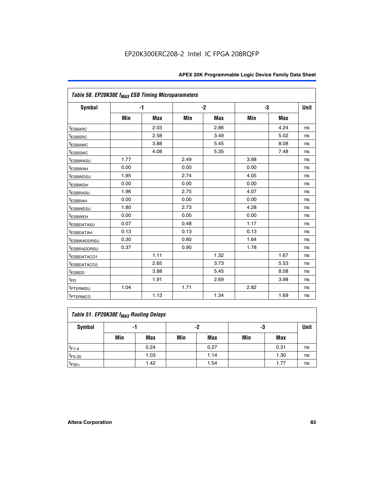| Table 50. EP20K30E f <sub>MAX</sub> ESB Timing Microparameters |      |      |      |      |      |            |             |
|----------------------------------------------------------------|------|------|------|------|------|------------|-------------|
| Symbol                                                         |      | $-1$ |      | $-2$ | -3   |            | <b>Unit</b> |
|                                                                | Min  | Max  | Min  | Max  | Min  | <b>Max</b> |             |
| <sup>t</sup> ESBARC                                            |      | 2.03 |      | 2.86 |      | 4.24       | ns          |
| <sup>t</sup> ESBSRC                                            |      | 2.58 |      | 3.49 |      | 5.02       | ns          |
| <sup>t</sup> ESBAWC                                            |      | 3.88 |      | 5.45 |      | 8.08       | ns          |
| t <sub>ESBSWC</sub>                                            |      | 4.08 |      | 5.35 |      | 7.48       | ns          |
| <sup>t</sup> ESBWASU                                           | 1.77 |      | 2.49 |      | 3.68 |            | ns          |
| <sup>t</sup> ESBWAH                                            | 0.00 |      | 0.00 |      | 0.00 |            | ns          |
| <sup>t</sup> ESBWDSU                                           | 1.95 |      | 2.74 |      | 4.05 |            | ns          |
| <sup>t</sup> ESBWDH                                            | 0.00 |      | 0.00 |      | 0.00 |            | ns          |
| <sup>t</sup> ESBRASU                                           | 1.96 |      | 2.75 |      | 4.07 |            | ns          |
| <sup>t</sup> ESBRAH                                            | 0.00 |      | 0.00 |      | 0.00 |            | ns          |
| <i>t</i> ESBWESU                                               | 1.80 |      | 2.73 |      | 4.28 |            | ns          |
| <sup>t</sup> ESBWEH                                            | 0.00 |      | 0.00 |      | 0.00 |            | ns          |
| <sup>t</sup> ESBDATASU                                         | 0.07 |      | 0.48 |      | 1.17 |            | ns          |
| <sup>t</sup> ESBDATAH                                          | 0.13 |      | 0.13 |      | 0.13 |            | ns          |
| <sup>t</sup> ESBWADDRSU                                        | 0.30 |      | 0.80 |      | 1.64 |            | ns          |
| <sup>t</sup> ESBRADDRSU                                        | 0.37 |      | 0.90 |      | 1.78 |            | ns          |
| <sup>t</sup> ESBDATACO1                                        |      | 1.11 |      | 1.32 |      | 1.67       | ns          |
| <sup>t</sup> ESBDATACO2                                        |      | 2.65 |      | 3.73 |      | 5.53       | ns          |
| t <sub>ESBDD</sub>                                             |      | 3.88 |      | 5.45 |      | 8.08       | ns          |
| t <sub>PD</sub>                                                |      | 1.91 |      | 2.69 |      | 3.98       | ns          |
| <sup>t</sup> PTERMSU                                           | 1.04 |      | 1.71 |      | 2.82 |            | ns          |
| t <sub>PTERMCO</sub>                                           |      | 1.13 |      | 1.34 |      | 1.69       | ns          |

## **Table 51. EP20K30E f<sub>MAX</sub> Routing Delays**

| Symbol      | .,  |            | -2  |            | -3  |            | Unit |
|-------------|-----|------------|-----|------------|-----|------------|------|
|             | Min | <b>Max</b> | Min | <b>Max</b> | Min | <b>Max</b> |      |
| $t_{F1-4}$  |     | 0.24       |     | 0.27       |     | 0.31       | ns   |
| $t_{F5-20}$ |     | 1.03       |     | 1.14       |     | 1.30       | ns   |
| $t_{F20+}$  |     | 1.42       |     | 1.54       |     | 1.77       | ns   |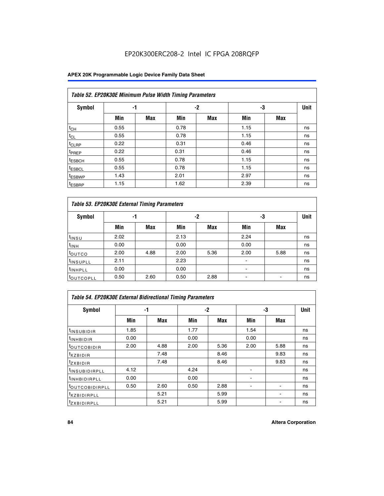## EP20K300ERC208-2 Intel IC FPGA 208RQFP

|                    | Table 52. EP20K30E Minimum Pulse Width Timing Parameters |            |      |            |      |            |             |  |  |  |  |  |
|--------------------|----------------------------------------------------------|------------|------|------------|------|------------|-------------|--|--|--|--|--|
| <b>Symbol</b>      | -1                                                       |            |      | $-2$       | -3   |            | <b>Unit</b> |  |  |  |  |  |
|                    | Min                                                      | <b>Max</b> | Min  | <b>Max</b> | Min  | <b>Max</b> |             |  |  |  |  |  |
| $t_{CH}$           | 0.55                                                     |            | 0.78 |            | 1.15 |            | ns          |  |  |  |  |  |
| $t_{CL}$           | 0.55                                                     |            | 0.78 |            | 1.15 |            | ns          |  |  |  |  |  |
| $t_{CLRP}$         | 0.22                                                     |            | 0.31 |            | 0.46 |            | ns          |  |  |  |  |  |
| <sup>t</sup> PREP  | 0.22                                                     |            | 0.31 |            | 0.46 |            | ns          |  |  |  |  |  |
| <sup>t</sup> ESBCH | 0.55                                                     |            | 0.78 |            | 1.15 |            | ns          |  |  |  |  |  |
| t <sub>ESBCL</sub> | 0.55                                                     |            | 0.78 |            | 1.15 |            | ns          |  |  |  |  |  |
| <sup>t</sup> ESBWP | 1.43                                                     |            | 2.01 |            | 2.97 |            | ns          |  |  |  |  |  |
| <sup>t</sup> ESBRP | 1.15                                                     |            | 1.62 |            | 2.39 |            | ns          |  |  |  |  |  |

| Table 53. EP20K30E External Timing Parameters |      |            |      |            |                |            |             |  |  |  |  |
|-----------------------------------------------|------|------------|------|------------|----------------|------------|-------------|--|--|--|--|
| <b>Symbol</b>                                 |      | -1         |      | -2         |                | -3         | <b>Unit</b> |  |  |  |  |
|                                               | Min  | <b>Max</b> | Min  | <b>Max</b> | Min            | <b>Max</b> |             |  |  |  |  |
| $t_{INSU}$                                    | 2.02 |            | 2.13 |            | 2.24           |            | ns          |  |  |  |  |
| $t_{\rm INH}$                                 | 0.00 |            | 0.00 |            | 0.00           |            | ns          |  |  |  |  |
| <b>t</b> outco                                | 2.00 | 4.88       | 2.00 | 5.36       | 2.00           | 5.88       | ns          |  |  |  |  |
| <sup>t</sup> INSUPLL                          | 2.11 |            | 2.23 |            |                |            | ns          |  |  |  |  |
| <sup>t</sup> INHPLL                           | 0.00 |            | 0.00 |            | $\blacksquare$ |            | ns          |  |  |  |  |
| <b>LOUTCOPLL</b>                              | 0.50 | 2.60       | 0.50 | 2.88       | -              |            | ns          |  |  |  |  |

| <b>Table 54. EP20K30E External Bidirectional Timing Parameters</b> |      |      |      |      |                          |      |             |  |  |  |  |
|--------------------------------------------------------------------|------|------|------|------|--------------------------|------|-------------|--|--|--|--|
| Symbol                                                             | -1   |      | -2   |      | -3                       |      | <b>Unit</b> |  |  |  |  |
|                                                                    | Min  | Max  | Min  | Max  | Min                      | Max  |             |  |  |  |  |
| <sup>t</sup> INSUBIDIR                                             | 1.85 |      | 1.77 |      | 1.54                     |      | ns          |  |  |  |  |
| <sup>t</sup> INHBIDIR                                              | 0.00 |      | 0.00 |      | 0.00                     |      | ns          |  |  |  |  |
| <b>LOUTCOBIDIR</b>                                                 | 2.00 | 4.88 | 2.00 | 5.36 | 2.00                     | 5.88 | ns          |  |  |  |  |
| <sup>t</sup> xzbidir                                               |      | 7.48 |      | 8.46 |                          | 9.83 | ns          |  |  |  |  |
| <sup>t</sup> zxbidir                                               |      | 7.48 |      | 8.46 |                          | 9.83 | ns          |  |  |  |  |
| <sup>t</sup> INSUBIDIRPLL                                          | 4.12 |      | 4.24 |      |                          |      | ns          |  |  |  |  |
| <sup>t</sup> INHBIDIRPLL                                           | 0.00 |      | 0.00 |      |                          |      | ns          |  |  |  |  |
| <b><i>LOUTCOBIDIRPLL</i></b>                                       | 0.50 | 2.60 | 0.50 | 2.88 | $\overline{\phantom{0}}$ |      | ns          |  |  |  |  |
| <sup>T</sup> XZBIDIRPLL                                            |      | 5.21 |      | 5.99 |                          |      | ns          |  |  |  |  |
| <sup>I</sup> ZXBIDIRPLL                                            |      | 5.21 |      | 5.99 |                          |      | ns          |  |  |  |  |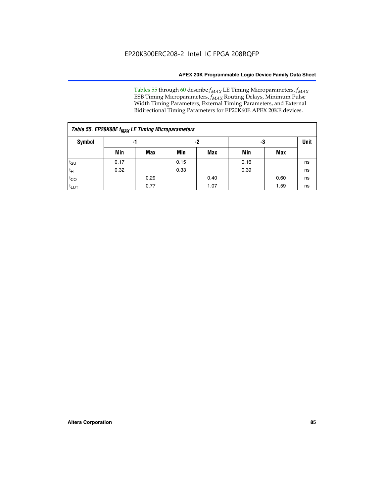Tables 55 through 60 describe *f<sub>MAX</sub>* LE Timing Microparameters, *f<sub>MAX</sub>* ESB Timing Microparameters, *f<sub>MAX</sub>* Routing Delays, Minimum Pulse Width Timing Parameters, External Timing Parameters, and External Bidirectional Timing Parameters for EP20K60E APEX 20KE devices.

|                  | Table 55. EP20K60E f <sub>MAX</sub> LE Timing Microparameters |      |      |      |      |      |    |  |  |  |  |  |
|------------------|---------------------------------------------------------------|------|------|------|------|------|----|--|--|--|--|--|
| <b>Symbol</b>    | -1                                                            |      |      | -2   |      | -3   |    |  |  |  |  |  |
|                  | Min                                                           | Max  | Min  | Max  | Min  | Max  |    |  |  |  |  |  |
| $t_{\text{SU}}$  | 0.17                                                          |      | 0.15 |      | 0.16 |      | ns |  |  |  |  |  |
| $t_H$            | 0.32                                                          |      | 0.33 |      | 0.39 |      | ns |  |  |  |  |  |
| $t_{CO}$         |                                                               | 0.29 |      | 0.40 |      | 0.60 | ns |  |  |  |  |  |
| t <sub>lut</sub> |                                                               | 0.77 |      | 1.07 |      | 1.59 | ns |  |  |  |  |  |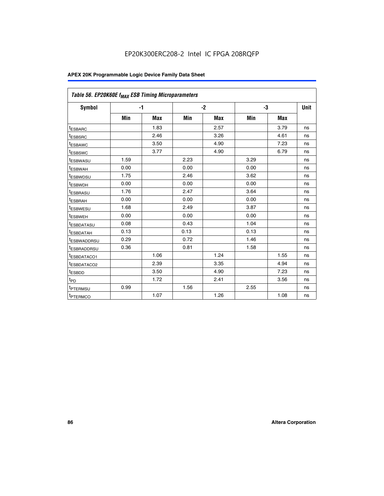## EP20K300ERC208-2 Intel IC FPGA 208RQFP

| Table 56. EP20K60E f <sub>MAX</sub> ESB Timing Microparameters |      |      |      |            |      |      |             |
|----------------------------------------------------------------|------|------|------|------------|------|------|-------------|
| <b>Symbol</b>                                                  |      | $-1$ |      | $-2$       |      | -3   | <b>Unit</b> |
|                                                                | Min  | Max  | Min  | <b>Max</b> | Min  | Max  |             |
| <sup>t</sup> ESBARC                                            |      | 1.83 |      | 2.57       |      | 3.79 | ns          |
| t <sub>ESBSRC</sub>                                            |      | 2.46 |      | 3.26       |      | 4.61 | ns          |
| <sup>t</sup> ESBAWC                                            |      | 3.50 |      | 4.90       |      | 7.23 | ns          |
| <sup>t</sup> ESBSWC                                            |      | 3.77 |      | 4.90       |      | 6.79 | ns          |
| <sup>t</sup> ESBWASU                                           | 1.59 |      | 2.23 |            | 3.29 |      | ns          |
| <sup>t</sup> ESBWAH                                            | 0.00 |      | 0.00 |            | 0.00 |      | ns          |
| t <sub>ESBWDSU</sub>                                           | 1.75 |      | 2.46 |            | 3.62 |      | ns          |
| t <sub>ESBWDH</sub>                                            | 0.00 |      | 0.00 |            | 0.00 |      | ns          |
| t <sub>ESBRASU</sub>                                           | 1.76 |      | 2.47 |            | 3.64 |      | ns          |
| <sup>t</sup> ESBRAH                                            | 0.00 |      | 0.00 |            | 0.00 |      | ns          |
| t <sub>ESBWESU</sub>                                           | 1.68 |      | 2.49 |            | 3.87 |      | ns          |
| t <sub>ESBWEH</sub>                                            | 0.00 |      | 0.00 |            | 0.00 |      | ns          |
| t <sub>ESBDATASU</sub>                                         | 0.08 |      | 0.43 |            | 1.04 |      | ns          |
| t <sub>ESBDATAH</sub>                                          | 0.13 |      | 0.13 |            | 0.13 |      | ns          |
| <sup>t</sup> ESBWADDRSU                                        | 0.29 |      | 0.72 |            | 1.46 |      | ns          |
| <sup>t</sup> ESBRADDRSU                                        | 0.36 |      | 0.81 |            | 1.58 |      | ns          |
| <sup>t</sup> ESBDATACO1                                        |      | 1.06 |      | 1.24       |      | 1.55 | ns          |
| <sup>t</sup> ESBDATACO2                                        |      | 2.39 |      | 3.35       |      | 4.94 | ns          |
| <sup>t</sup> ESBDD                                             |      | 3.50 |      | 4.90       |      | 7.23 | ns          |
| t <sub>PD</sub>                                                |      | 1.72 |      | 2.41       |      | 3.56 | ns          |
| t <sub>PTERMSU</sub>                                           | 0.99 |      | 1.56 |            | 2.55 |      | ns          |
| t <sub>PTERMCO</sub>                                           |      | 1.07 |      | 1.26       |      | 1.08 | ns          |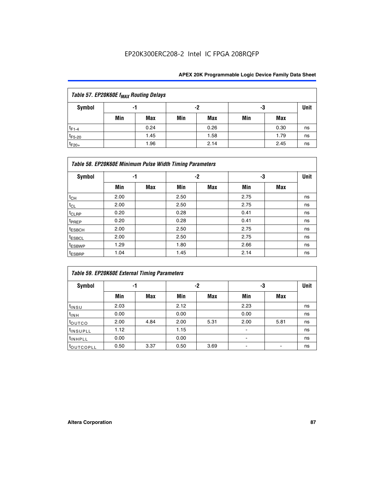## EP20K300ERC208-2 Intel IC FPGA 208RQFP

| Table 57. EP20K60E f <sub>MAX</sub> Routing Delays |     |            |     |      |     |      |    |  |  |  |  |
|----------------------------------------------------|-----|------------|-----|------|-----|------|----|--|--|--|--|
| Symbol                                             | -1  |            |     | -2   |     | -3   |    |  |  |  |  |
|                                                    | Min | <b>Max</b> | Min | Max  | Min | Max  |    |  |  |  |  |
| $t_{F1-4}$                                         |     | 0.24       |     | 0.26 |     | 0.30 | ns |  |  |  |  |
| $t_{F5-20}$                                        |     | 1.45       |     | 1.58 |     | 1.79 | ns |  |  |  |  |
| $t_{F20+}$                                         |     | 1.96       |     | 2.14 |     | 2.45 | ns |  |  |  |  |

|                    | Table 58. EP20K60E Minimum Pulse Width Timing Parameters |            |      |            |      |     |             |  |  |  |  |  |
|--------------------|----------------------------------------------------------|------------|------|------------|------|-----|-------------|--|--|--|--|--|
| Symbol             |                                                          | -1         |      | $-2$       |      | -3  | <b>Unit</b> |  |  |  |  |  |
|                    | Min                                                      | <b>Max</b> | Min  | <b>Max</b> | Min  | Max |             |  |  |  |  |  |
| $t_{CH}$           | 2.00                                                     |            | 2.50 |            | 2.75 |     | ns          |  |  |  |  |  |
| $t_{CL}$           | 2.00                                                     |            | 2.50 |            | 2.75 |     | ns          |  |  |  |  |  |
| t <sub>CLRP</sub>  | 0.20                                                     |            | 0.28 |            | 0.41 |     | ns          |  |  |  |  |  |
| t <sub>PREP</sub>  | 0.20                                                     |            | 0.28 |            | 0.41 |     | ns          |  |  |  |  |  |
| <sup>t</sup> ESBCH | 2.00                                                     |            | 2.50 |            | 2.75 |     | ns          |  |  |  |  |  |
| <sup>t</sup> ESBCL | 2.00                                                     |            | 2.50 |            | 2.75 |     | ns          |  |  |  |  |  |
| t <sub>ESBWP</sub> | 1.29                                                     |            | 1.80 |            | 2.66 |     | ns          |  |  |  |  |  |
| <sup>t</sup> ESBRP | 1.04                                                     |            | 1.45 |            | 2.14 |     | ns          |  |  |  |  |  |

|                      | Table 59. EP20K60E External Timing Parameters |      |      |      |      |      |    |  |  |  |  |  |
|----------------------|-----------------------------------------------|------|------|------|------|------|----|--|--|--|--|--|
| Symbol               | -1                                            |      |      | -2   | -3   | Unit |    |  |  |  |  |  |
|                      | Min                                           | Max  | Min  | Max  | Min  | Max  |    |  |  |  |  |  |
| $t_{INSU}$           | 2.03                                          |      | 2.12 |      | 2.23 |      | ns |  |  |  |  |  |
| t <sub>INH</sub>     | 0.00                                          |      | 0.00 |      | 0.00 |      | ns |  |  |  |  |  |
| toutco               | 2.00                                          | 4.84 | 2.00 | 5.31 | 2.00 | 5.81 | ns |  |  |  |  |  |
| <sup>t</sup> INSUPLL | 1.12                                          |      | 1.15 |      |      |      | ns |  |  |  |  |  |
| <sup>t</sup> INHPLL  | 0.00                                          |      | 0.00 |      | ۰    |      | ns |  |  |  |  |  |
| toutcopll            | 0.50                                          | 3.37 | 0.50 | 3.69 |      |      | ns |  |  |  |  |  |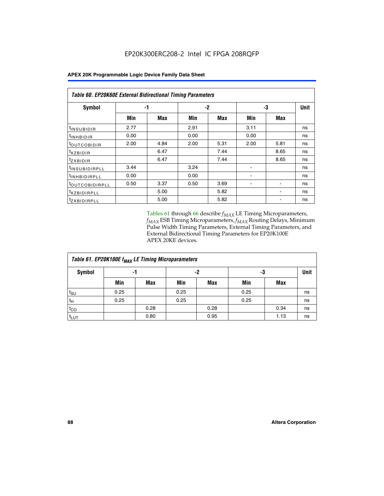|                            | Table 60. EP20K60E External Bidirectional Timing Parameters |      |      |      |      |      |             |  |  |  |  |
|----------------------------|-------------------------------------------------------------|------|------|------|------|------|-------------|--|--|--|--|
| <b>Symbol</b>              | -1                                                          |      |      | -2   | -3   |      | <b>Unit</b> |  |  |  |  |
|                            | Min                                                         | Max  | Min  | Max  | Min  | Max  |             |  |  |  |  |
| t <sub>INSUBIDIR</sub>     | 2.77                                                        |      | 2.91 |      | 3.11 |      | ns          |  |  |  |  |
| $t_{\rm INHBIDIR}$         | 0.00                                                        |      | 0.00 |      | 0.00 |      | ns          |  |  |  |  |
| <sup>t</sup> OUTCOBIDIR    | 2.00                                                        | 4.84 | 2.00 | 5.31 | 2.00 | 5.81 | ns          |  |  |  |  |
| $t_{XZBIDIR}$              |                                                             | 6.47 |      | 7.44 |      | 8.65 | ns          |  |  |  |  |
| tzxbidir                   |                                                             | 6.47 |      | 7.44 |      | 8.65 | ns          |  |  |  |  |
| <sup>t</sup> INSUBIDIRPLL  | 3.44                                                        |      | 3.24 |      |      |      | ns          |  |  |  |  |
| <sup>t</sup> INHBIDIRPLL   | 0.00                                                        |      | 0.00 |      |      |      | ns          |  |  |  |  |
| <sup>t</sup> OUTCOBIDIRPLL | 0.50                                                        | 3.37 | 0.50 | 3.69 |      |      | ns          |  |  |  |  |
| <sup>t</sup> XZBIDIRPLL    |                                                             | 5.00 |      | 5.82 |      |      | ns          |  |  |  |  |
| <sup>t</sup> zxbidirpll    |                                                             | 5.00 |      | 5.82 |      |      | ns          |  |  |  |  |

Tables 61 through 66 describe  $f_{MAX}$  LE Timing Microparameters, *fMAX* ESB Timing Microparameters, *fMAX* Routing Delays, Minimum Pulse Width Timing Parameters, External Timing Parameters, and External Bidirectional Timing Parameters for EP20K100E APEX 20KE devices.

| Table 61. EP20K100E f <sub>MAX</sub> LE Timing Microparameters |      |      |      |            |      |            |    |  |  |  |  |
|----------------------------------------------------------------|------|------|------|------------|------|------------|----|--|--|--|--|
| <b>Symbol</b>                                                  | -1   |      |      | -2         |      | -3         |    |  |  |  |  |
|                                                                | Min  | Max  | Min  | <b>Max</b> | Min  | <b>Max</b> |    |  |  |  |  |
| t <sub>SU</sub>                                                | 0.25 |      | 0.25 |            | 0.25 |            | ns |  |  |  |  |
| tμ                                                             | 0.25 |      | 0.25 |            | 0.25 |            | ns |  |  |  |  |
| $t_{CO}$                                                       |      | 0.28 |      | 0.28       |      | 0.34       | ns |  |  |  |  |
| t <sub>LUT</sub>                                               |      | 0.80 |      | 0.95       |      | 1.13       | ns |  |  |  |  |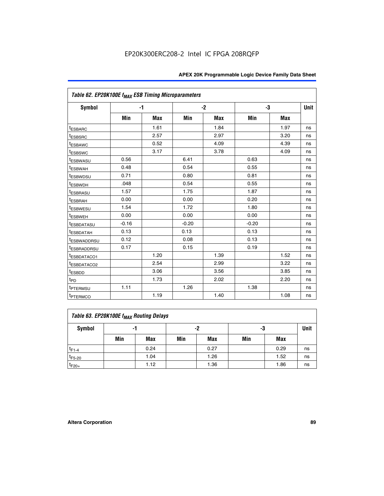| Table 62. EP20K100E f <sub>MAX</sub> ESB Timing Microparameters |         |      |         |      |         |      |             |
|-----------------------------------------------------------------|---------|------|---------|------|---------|------|-------------|
| <b>Symbol</b>                                                   |         | $-1$ |         | $-2$ |         | -3   | <b>Unit</b> |
|                                                                 | Min     | Max  | Min     | Max  | Min     | Max  |             |
| <sup>t</sup> ESBARC                                             |         | 1.61 |         | 1.84 |         | 1.97 | ns          |
| t <sub>ESBSRC</sub>                                             |         | 2.57 |         | 2.97 |         | 3.20 | ns          |
| <sup>t</sup> ESBAWC                                             |         | 0.52 |         | 4.09 |         | 4.39 | ns          |
| <sup>t</sup> ESBSWC                                             |         | 3.17 |         | 3.78 |         | 4.09 | ns          |
| <sup>t</sup> ESBWASU                                            | 0.56    |      | 6.41    |      | 0.63    |      | ns          |
| <sup>t</sup> ESBWAH                                             | 0.48    |      | 0.54    |      | 0.55    |      | ns          |
| t <sub>ESBWDSU</sub>                                            | 0.71    |      | 0.80    |      | 0.81    |      | ns          |
| t <sub>ESBWDH</sub>                                             | .048    |      | 0.54    |      | 0.55    |      | ns          |
| <sup>t</sup> ESBRASU                                            | 1.57    |      | 1.75    |      | 1.87    |      | ns          |
| <sup>t</sup> ESBRAH                                             | 0.00    |      | 0.00    |      | 0.20    |      | ns          |
| <i>t</i> <sub>ESBWESU</sub>                                     | 1.54    |      | 1.72    |      | 1.80    |      | ns          |
| t <sub>ESBWEH</sub>                                             | 0.00    |      | 0.00    |      | 0.00    |      | ns          |
| <sup>t</sup> ESBDATASU                                          | $-0.16$ |      | $-0.20$ |      | $-0.20$ |      | ns          |
| <sup>t</sup> ESBDATAH                                           | 0.13    |      | 0.13    |      | 0.13    |      | ns          |
| <sup>t</sup> ESBWADDRSU                                         | 0.12    |      | 0.08    |      | 0.13    |      | ns          |
| <sup>I</sup> ESBRADDRSU                                         | 0.17    |      | 0.15    |      | 0.19    |      | ns          |
| <sup>t</sup> ESBDATACO1                                         |         | 1.20 |         | 1.39 |         | 1.52 | ns          |
| <sup>t</sup> ESBDATACO2                                         |         | 2.54 |         | 2.99 |         | 3.22 | ns          |
| <sup>t</sup> ESBDD                                              |         | 3.06 |         | 3.56 |         | 3.85 | ns          |
| t <sub>PD</sub>                                                 |         | 1.73 |         | 2.02 |         | 2.20 | ns          |
| <sup>t</sup> PTERMSU                                            | 1.11    |      | 1.26    |      | 1.38    |      | ns          |
| t <sub>PTERMCO</sub>                                            |         | 1.19 |         | 1.40 |         | 1.08 | ns          |

| Table 63. EP20K100E f <sub>MAX</sub> Routing Delays |     |          |     |            |     |      |             |  |  |  |  |
|-----------------------------------------------------|-----|----------|-----|------------|-----|------|-------------|--|--|--|--|
| Symbol                                              |     | -2<br>-1 |     |            | -3  |      | <b>Unit</b> |  |  |  |  |
|                                                     | Min | Max      | Min | <b>Max</b> | Min | Max  |             |  |  |  |  |
| $t_{F1-4}$                                          |     | 0.24     |     | 0.27       |     | 0.29 | ns          |  |  |  |  |
| $t_{F5-20}$                                         |     | 1.04     |     | 1.26       |     | 1.52 | ns          |  |  |  |  |
| $t_{F20+}$                                          |     | 1.12     |     | 1.36       |     | 1.86 | ns          |  |  |  |  |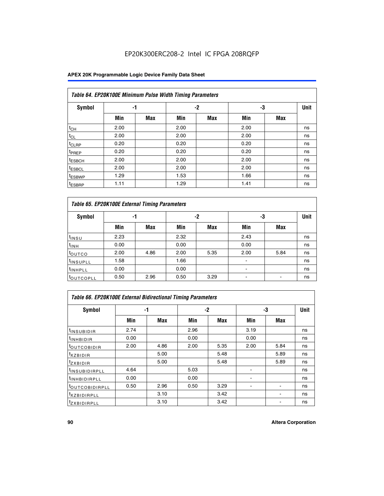## EP20K300ERC208-2 Intel IC FPGA 208RQFP

|                    | Table 64. EP20K100E Minimum Pulse Width Timing Parameters |            |      |            |      |     |             |  |  |  |  |  |
|--------------------|-----------------------------------------------------------|------------|------|------------|------|-----|-------------|--|--|--|--|--|
| <b>Symbol</b>      | -1                                                        |            |      | $-2$       | -3   |     | <b>Unit</b> |  |  |  |  |  |
|                    | Min                                                       | <b>Max</b> | Min  | <b>Max</b> | Min  | Max |             |  |  |  |  |  |
| $t_{CH}$           | 2.00                                                      |            | 2.00 |            | 2.00 |     | ns          |  |  |  |  |  |
| $t_{CL}$           | 2.00                                                      |            | 2.00 |            | 2.00 |     | ns          |  |  |  |  |  |
| t <sub>CLRP</sub>  | 0.20                                                      |            | 0.20 |            | 0.20 |     | ns          |  |  |  |  |  |
| <sup>t</sup> PREP  | 0.20                                                      |            | 0.20 |            | 0.20 |     | ns          |  |  |  |  |  |
| <sup>t</sup> ESBCH | 2.00                                                      |            | 2.00 |            | 2.00 |     | ns          |  |  |  |  |  |
| <sup>t</sup> ESBCL | 2.00                                                      |            | 2.00 |            | 2.00 |     | ns          |  |  |  |  |  |
| <sup>t</sup> ESBWP | 1.29                                                      |            | 1.53 |            | 1.66 |     | ns          |  |  |  |  |  |
| <sup>t</sup> ESBRP | 1.11                                                      |            | 1.29 |            | 1.41 |     | ns          |  |  |  |  |  |

| Table 65. EP20K100E External Timing Parameters |      |            |      |            |                |            |             |  |  |  |  |
|------------------------------------------------|------|------------|------|------------|----------------|------------|-------------|--|--|--|--|
| <b>Symbol</b>                                  | -1   |            |      | -2         |                | -3         | <b>Unit</b> |  |  |  |  |
|                                                | Min  | <b>Max</b> | Min  | <b>Max</b> | Min            | <b>Max</b> |             |  |  |  |  |
| $t_{INSU}$                                     | 2.23 |            | 2.32 |            | 2.43           |            | ns          |  |  |  |  |
| $t_{\rm INH}$                                  | 0.00 |            | 0.00 |            | 0.00           |            | ns          |  |  |  |  |
| toutco                                         | 2.00 | 4.86       | 2.00 | 5.35       | 2.00           | 5.84       | ns          |  |  |  |  |
| <sup>t</sup> INSUPLL                           | 1.58 |            | 1.66 |            |                |            | ns          |  |  |  |  |
| <sup>t</sup> INHPLL                            | 0.00 |            | 0.00 |            | $\blacksquare$ |            | ns          |  |  |  |  |
| <b>LOUTCOPLL</b>                               | 0.50 | 2.96       | 0.50 | 3.29       | -              |            | ns          |  |  |  |  |

|                              | <b>Table 66. EP20K100E External Bidirectional Timing Parameters</b> |      |      |      |      |                          |             |  |  |  |  |  |
|------------------------------|---------------------------------------------------------------------|------|------|------|------|--------------------------|-------------|--|--|--|--|--|
| Symbol                       | -1                                                                  |      | -2   |      | -3   |                          | <b>Unit</b> |  |  |  |  |  |
|                              | Min                                                                 | Max  | Min  | Max  | Min  | Max                      |             |  |  |  |  |  |
| <sup>t</sup> INSUBIDIR       | 2.74                                                                |      | 2.96 |      | 3.19 |                          | ns          |  |  |  |  |  |
| <sup>t</sup> INHBIDIR        | 0.00                                                                |      | 0.00 |      | 0.00 |                          | ns          |  |  |  |  |  |
| <b>LOUTCOBIDIR</b>           | 2.00                                                                | 4.86 | 2.00 | 5.35 | 2.00 | 5.84                     | ns          |  |  |  |  |  |
| txzBIDIR                     |                                                                     | 5.00 |      | 5.48 |      | 5.89                     | ns          |  |  |  |  |  |
| <sup>t</sup> zxbidir         |                                                                     | 5.00 |      | 5.48 |      | 5.89                     | ns          |  |  |  |  |  |
| <sup>t</sup> INSUBIDIRPLL    | 4.64                                                                |      | 5.03 |      |      |                          | ns          |  |  |  |  |  |
| <sup>t</sup> INHBIDIRPLL     | 0.00                                                                |      | 0.00 |      |      |                          | ns          |  |  |  |  |  |
| <b><i>LOUTCOBIDIRPLL</i></b> | 0.50                                                                | 2.96 | 0.50 | 3.29 |      | $\overline{\phantom{a}}$ | ns          |  |  |  |  |  |
| <sup>t</sup> XZBIDIRPLL      |                                                                     | 3.10 |      | 3.42 |      |                          | ns          |  |  |  |  |  |
| <sup>I</sup> ZXBIDIRPLL      |                                                                     | 3.10 |      | 3.42 |      |                          | ns          |  |  |  |  |  |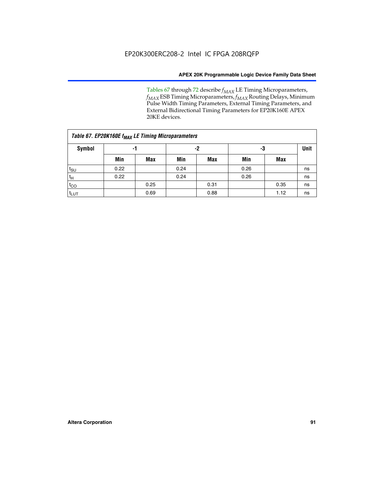Tables 67 through 72 describe *f<sub>MAX</sub>* LE Timing Microparameters, *f<sub>MAX</sub>* ESB Timing Microparameters, *f<sub>MAX</sub>* Routing Delays, Minimum Pulse Width Timing Parameters, External Timing Parameters, and External Bidirectional Timing Parameters for EP20K160E APEX 20KE devices.

| Table 67. EP20K160E f <sub>MAX</sub> LE Timing Microparameters |      |            |      |            |      |      |    |  |  |  |  |  |
|----------------------------------------------------------------|------|------------|------|------------|------|------|----|--|--|--|--|--|
| Symbol                                                         |      | -1         |      | -2         |      | -3   |    |  |  |  |  |  |
|                                                                | Min  | <b>Max</b> | Min  | <b>Max</b> | Min  | Max  |    |  |  |  |  |  |
| $t_{\text{SU}}$                                                | 0.22 |            | 0.24 |            | 0.26 |      | ns |  |  |  |  |  |
| $t_H$                                                          | 0.22 |            | 0.24 |            | 0.26 |      | ns |  |  |  |  |  |
| $t_{CO}$                                                       |      | 0.25       |      | 0.31       |      | 0.35 | ns |  |  |  |  |  |
| t <sub>LUT</sub>                                               |      | 0.69       |      | 0.88       |      | 1.12 | ns |  |  |  |  |  |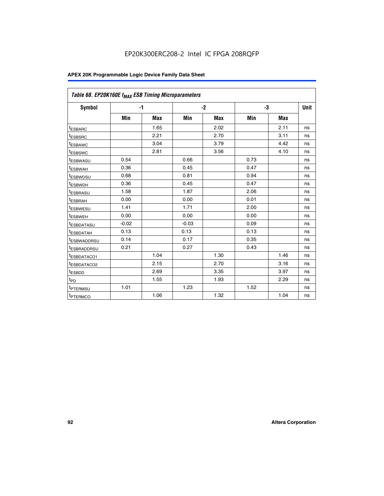| Table 68. EP20K160E f <sub>MAX</sub> ESB Timing Microparameters |         |            |         |            |      |            |      |
|-----------------------------------------------------------------|---------|------------|---------|------------|------|------------|------|
| <b>Symbol</b>                                                   |         | $-1$       |         | $-2$       |      | -3         | Unit |
|                                                                 | Min     | <b>Max</b> | Min     | <b>Max</b> | Min  | <b>Max</b> |      |
| <sup>I</sup> ESBARC                                             |         | 1.65       |         | 2.02       |      | 2.11       | ns   |
| <sup>t</sup> ESBSRC                                             |         | 2.21       |         | 2.70       |      | 3.11       | ns   |
| <sup>t</sup> ESBAWC                                             |         | 3.04       |         | 3.79       |      | 4.42       | ns   |
| <sup>I</sup> ESBSWC                                             |         | 2.81       |         | 3.56       |      | 4.10       | ns   |
| <sup>t</sup> ESBWASU                                            | 0.54    |            | 0.66    |            | 0.73 |            | ns   |
| <sup>t</sup> ESBWAH                                             | 0.36    |            | 0.45    |            | 0.47 |            | ns   |
| <sup>I</sup> ESBWDSU                                            | 0.68    |            | 0.81    |            | 0.94 |            | ns   |
| <sup>t</sup> ESBWDH                                             | 0.36    |            | 0.45    |            | 0.47 |            | ns   |
| <sup>t</sup> ESBRASU                                            | 1.58    |            | 1.87    |            | 2.06 |            | ns   |
| <sup>t</sup> ESBRAH                                             | 0.00    |            | 0.00    |            | 0.01 |            | ns   |
| <sup>t</sup> ESBWESU                                            | 1.41    |            | 1.71    |            | 2.00 |            | ns   |
| t <sub>ESBWEH</sub>                                             | 0.00    |            | 0.00    |            | 0.00 |            | ns   |
| <sup>t</sup> ESBDATASU                                          | $-0.02$ |            | $-0.03$ |            | 0.09 |            | ns   |
| <sup>t</sup> ESBDATAH                                           | 0.13    |            | 0.13    |            | 0.13 |            | ns   |
| <sup>t</sup> ESBWADDRSU                                         | 0.14    |            | 0.17    |            | 0.35 |            | ns   |
| <sup>t</sup> ESBRADDRSU                                         | 0.21    |            | 0.27    |            | 0.43 |            | ns   |
| IESBDATACO1                                                     |         | 1.04       |         | 1.30       |      | 1.46       | ns   |
| <sup>t</sup> ESBDATACO2                                         |         | 2.15       |         | 2.70       |      | 3.16       | ns   |
| <sup>t</sup> ESBDD                                              |         | 2.69       |         | 3.35       |      | 3.97       | ns   |
| t <sub>PD</sub>                                                 |         | 1.55       |         | 1.93       |      | 2.29       | ns   |
| t <sub>PTERMSU</sub>                                            | 1.01    |            | 1.23    |            | 1.52 |            | ns   |
| <sup>t</sup> PTERMCO                                            |         | 1.06       |         | 1.32       |      | 1.04       | ns   |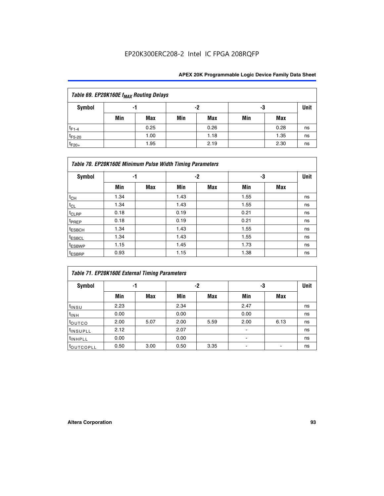| Table 69. EP20K160E f <sub>MAX</sub> Routing Delays |                |            |     |      |     |      |    |  |  |  |
|-----------------------------------------------------|----------------|------------|-----|------|-----|------|----|--|--|--|
| Symbol                                              | -2<br>-3<br>-1 |            |     |      |     |      |    |  |  |  |
|                                                     | Min            | <b>Max</b> | Min | Max  | Min | Max  |    |  |  |  |
| $t_{F1-4}$                                          |                | 0.25       |     | 0.26 |     | 0.28 | ns |  |  |  |
| $t_{F5-20}$                                         |                | 1.00       |     | 1.18 |     | 1.35 | ns |  |  |  |
| $t_{F20+}$                                          |                | 1.95       |     | 2.19 |     | 2.30 | ns |  |  |  |

|                    | Table 70. EP20K160E Minimum Pulse Width Timing Parameters |     |      |     |      |     |             |  |  |  |  |
|--------------------|-----------------------------------------------------------|-----|------|-----|------|-----|-------------|--|--|--|--|
| <b>Symbol</b>      | -1                                                        |     |      | -2  |      | -3  | <b>Unit</b> |  |  |  |  |
|                    | Min                                                       | Max | Min  | Max | Min  | Max |             |  |  |  |  |
| $t_{CH}$           | 1.34                                                      |     | 1.43 |     | 1.55 |     | ns          |  |  |  |  |
| $t_{CL}$           | 1.34                                                      |     | 1.43 |     | 1.55 |     | ns          |  |  |  |  |
| $t_{CLRP}$         | 0.18                                                      |     | 0.19 |     | 0.21 |     | ns          |  |  |  |  |
| t <sub>PREP</sub>  | 0.18                                                      |     | 0.19 |     | 0.21 |     | ns          |  |  |  |  |
| <sup>t</sup> ESBCH | 1.34                                                      |     | 1.43 |     | 1.55 |     | ns          |  |  |  |  |
| <sup>t</sup> ESBCL | 1.34                                                      |     | 1.43 |     | 1.55 |     | ns          |  |  |  |  |
| <sup>t</sup> ESBWP | 1.15                                                      |     | 1.45 |     | 1.73 |     | ns          |  |  |  |  |
| <sup>t</sup> ESBRP | 0.93                                                      |     | 1.15 |     | 1.38 |     | ns          |  |  |  |  |

|                      | Table 71. EP20K160E External Timing Parameters |      |      |      |      |      |      |  |  |  |  |  |  |
|----------------------|------------------------------------------------|------|------|------|------|------|------|--|--|--|--|--|--|
| Symbol               |                                                | -1   |      | -2   |      | -3   | Unit |  |  |  |  |  |  |
|                      | Min                                            | Max  | Min  | Max  | Min  | Max  |      |  |  |  |  |  |  |
| $t_{INSU}$           | 2.23                                           |      | 2.34 |      | 2.47 |      | ns   |  |  |  |  |  |  |
| $t_{INH}$            | 0.00                                           |      | 0.00 |      | 0.00 |      | ns   |  |  |  |  |  |  |
| toutco               | 2.00                                           | 5.07 | 2.00 | 5.59 | 2.00 | 6.13 | ns   |  |  |  |  |  |  |
| <sup>t</sup> INSUPLL | 2.12                                           |      | 2.07 |      |      |      | ns   |  |  |  |  |  |  |
| <sup>t</sup> INHPLL  | 0.00                                           |      | 0.00 |      | ۰    |      | ns   |  |  |  |  |  |  |
| toutcopll            | 0.50                                           | 3.00 | 0.50 | 3.35 | ۰    |      | ns   |  |  |  |  |  |  |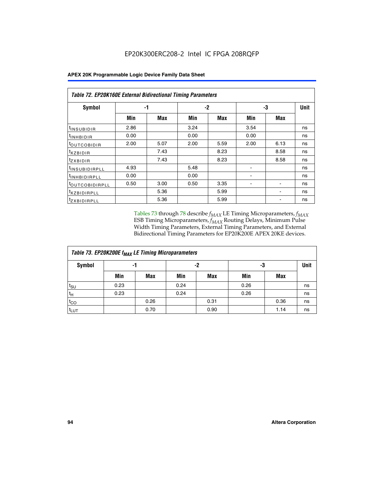| Symbol                       | -1   |      |      | $-2$ | -3   | <b>Unit</b> |    |
|------------------------------|------|------|------|------|------|-------------|----|
|                              | Min  | Max  | Min  | Max  | Min  | Max         |    |
| <sup>t</sup> INSUBIDIR       | 2.86 |      | 3.24 |      | 3.54 |             | ns |
| <b>UNHBIDIR</b>              | 0.00 |      | 0.00 |      | 0.00 |             | ns |
| <b>LOUTCOBIDIR</b>           | 2.00 | 5.07 | 2.00 | 5.59 | 2.00 | 6.13        | ns |
| <sup>T</sup> XZBIDIR         |      | 7.43 |      | 8.23 |      | 8.58        | ns |
| <sup>t</sup> zxbidir         |      | 7.43 |      | 8.23 |      | 8.58        | ns |
| <sup>I</sup> INSUBIDIRPLL    | 4.93 |      | 5.48 |      |      |             | ns |
| <b>INHBIDIRPLL</b>           | 0.00 |      | 0.00 |      |      |             | ns |
| <b><i>LOUTCOBIDIRPLL</i></b> | 0.50 | 3.00 | 0.50 | 3.35 |      |             | ns |
| <sup>I</sup> XZBIDIRPLL      |      | 5.36 |      | 5.99 |      |             | ns |
| <sup>t</sup> ZXBIDIRPLL      |      | 5.36 |      | 5.99 |      |             | ns |

Tables 73 through 78 describe  $f_{MAX}$  LE Timing Microparameters,  $f_{MAX}$ ESB Timing Microparameters, *f<sub>MAX</sub>* Routing Delays, Minimum Pulse Width Timing Parameters, External Timing Parameters, and External Bidirectional Timing Parameters for EP20K200E APEX 20KE devices.

| Table 73. EP20K200E f <sub>MAX</sub> LE Timing Microparameters |      |            |      |            |      |             |    |  |  |  |  |
|----------------------------------------------------------------|------|------------|------|------------|------|-------------|----|--|--|--|--|
| <b>Symbol</b>                                                  |      | -1         |      | -2         | -3   | <b>Unit</b> |    |  |  |  |  |
|                                                                | Min  | <b>Max</b> | Min  | <b>Max</b> | Min  | <b>Max</b>  |    |  |  |  |  |
| $t_{\text{SU}}$                                                | 0.23 |            | 0.24 |            | 0.26 |             | ns |  |  |  |  |
| $t_H$                                                          | 0.23 |            | 0.24 |            | 0.26 |             | ns |  |  |  |  |
| $t_{CO}$                                                       |      | 0.26       |      | 0.31       |      | 0.36        | ns |  |  |  |  |
| <sup>t</sup> LUT                                               |      | 0.70       |      | 0.90       |      | 1.14        | ns |  |  |  |  |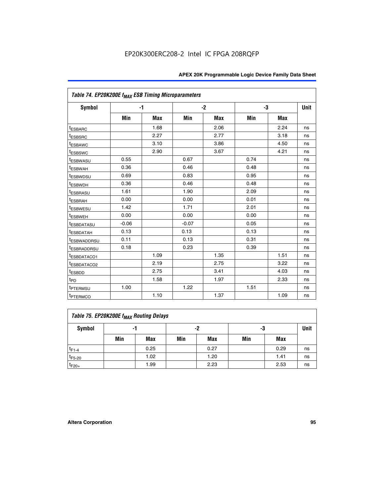| Table 74. EP20K200E f <sub>MAX</sub> ESB Timing Microparameters |         |            |         |            |      |            |      |
|-----------------------------------------------------------------|---------|------------|---------|------------|------|------------|------|
| Symbol                                                          |         | $-1$       |         | $-2$       |      | -3         | Unit |
|                                                                 | Min     | <b>Max</b> | Min     | <b>Max</b> | Min  | <b>Max</b> |      |
| <sup>t</sup> ESBARC                                             |         | 1.68       |         | 2.06       |      | 2.24       | ns   |
| <sup>t</sup> ESBSRC                                             |         | 2.27       |         | 2.77       |      | 3.18       | ns   |
| t <sub>ESBAWC</sub>                                             |         | 3.10       |         | 3.86       |      | 4.50       | ns   |
| <sup>t</sup> ESBSWC                                             |         | 2.90       |         | 3.67       |      | 4.21       | ns   |
| t <sub>ESBWASU</sub>                                            | 0.55    |            | 0.67    |            | 0.74 |            | ns   |
| <sup>t</sup> ESBWAH                                             | 0.36    |            | 0.46    |            | 0.48 |            | ns   |
| <sup>t</sup> ESBWDSU                                            | 0.69    |            | 0.83    |            | 0.95 |            | ns   |
| t <sub>ESBWDH</sub>                                             | 0.36    |            | 0.46    |            | 0.48 |            | ns   |
| <sup>t</sup> ESBRASU                                            | 1.61    |            | 1.90    |            | 2.09 |            | ns   |
| <sup>t</sup> ESBRAH                                             | 0.00    |            | 0.00    |            | 0.01 |            | ns   |
| <i>t</i> ESBWESU                                                | 1.42    |            | 1.71    |            | 2.01 |            | ns   |
| <sup>t</sup> ESBWEH                                             | 0.00    |            | 0.00    |            | 0.00 |            | ns   |
| <sup>t</sup> ESBDATASU                                          | $-0.06$ |            | $-0.07$ |            | 0.05 |            | ns   |
| <sup>I</sup> ESBDATAH                                           | 0.13    |            | 0.13    |            | 0.13 |            | ns   |
| <sup>t</sup> ESBWADDRSU                                         | 0.11    |            | 0.13    |            | 0.31 |            | ns   |
| <sup>t</sup> ESBRADDRSU                                         | 0.18    |            | 0.23    |            | 0.39 |            | ns   |
| <sup>t</sup> ESBDATACO1                                         |         | 1.09       |         | 1.35       |      | 1.51       | ns   |
| <sup>t</sup> ESBDATACO <sub>2</sub>                             |         | 2.19       |         | 2.75       |      | 3.22       | ns   |
| t <sub>ESBDD</sub>                                              |         | 2.75       |         | 3.41       |      | 4.03       | ns   |
| $t_{\text{PD}}$                                                 |         | 1.58       |         | 1.97       |      | 2.33       | ns   |
| <sup>t</sup> PTERMSU                                            | 1.00    |            | 1.22    |            | 1.51 |            | ns   |
| t <sub>PTERMCO</sub>                                            |         | 1.10       |         | 1.37       |      | 1.09       | ns   |

| Table 75. EP20K200E f <sub>MAX</sub> Routing Delays |                |      |     |            |     |      |    |  |  |  |
|-----------------------------------------------------|----------------|------|-----|------------|-----|------|----|--|--|--|
| Symbol                                              | -2<br>-3<br>-1 |      |     |            |     |      |    |  |  |  |
|                                                     | Min            | Max  | Min | <b>Max</b> | Min | Max  |    |  |  |  |
| $t_{F1-4}$                                          |                | 0.25 |     | 0.27       |     | 0.29 | ns |  |  |  |
| $t_{F5-20}$                                         |                | 1.02 |     | 1.20       |     | 1.41 | ns |  |  |  |
| $t_{F20+}$                                          |                | 1.99 |     | 2.23       |     | 2.53 | ns |  |  |  |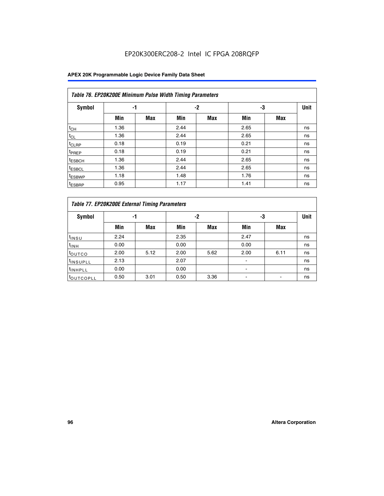## EP20K300ERC208-2 Intel IC FPGA 208RQFP

|                    | Table 76. EP20K200E Minimum Pulse Width Timing Parameters |            |      |            |      |            |             |  |  |  |  |  |
|--------------------|-----------------------------------------------------------|------------|------|------------|------|------------|-------------|--|--|--|--|--|
| <b>Symbol</b>      | -1                                                        |            |      | $-2$       | -3   |            | <b>Unit</b> |  |  |  |  |  |
|                    | Min                                                       | <b>Max</b> | Min  | <b>Max</b> | Min  | <b>Max</b> |             |  |  |  |  |  |
| $t_{CH}$           | 1.36                                                      |            | 2.44 |            | 2.65 |            | ns          |  |  |  |  |  |
| $t_{CL}$           | 1.36                                                      |            | 2.44 |            | 2.65 |            | ns          |  |  |  |  |  |
| $t_{CLRP}$         | 0.18                                                      |            | 0.19 |            | 0.21 |            | ns          |  |  |  |  |  |
| t <sub>PREP</sub>  | 0.18                                                      |            | 0.19 |            | 0.21 |            | ns          |  |  |  |  |  |
| <sup>t</sup> ESBCH | 1.36                                                      |            | 2.44 |            | 2.65 |            | ns          |  |  |  |  |  |
| <sup>t</sup> ESBCL | 1.36                                                      |            | 2.44 |            | 2.65 |            | ns          |  |  |  |  |  |
| <sup>t</sup> ESBWP | 1.18                                                      |            | 1.48 |            | 1.76 |            | ns          |  |  |  |  |  |
| <sup>t</sup> ESBRP | 0.95                                                      |            | 1.17 |            | 1.41 |            | ns          |  |  |  |  |  |

|                       | Table 77. EP20K200E External Timing Parameters |            |      |            |      |      |             |  |  |  |  |  |
|-----------------------|------------------------------------------------|------------|------|------------|------|------|-------------|--|--|--|--|--|
| <b>Symbol</b>         |                                                | -1         |      | -2         |      | -3   | <b>Unit</b> |  |  |  |  |  |
|                       | Min                                            | <b>Max</b> | Min  | <b>Max</b> | Min  | Max  |             |  |  |  |  |  |
| t <sub>INSU</sub>     | 2.24                                           |            | 2.35 |            | 2.47 |      | ns          |  |  |  |  |  |
| $t_{\text{INH}}$      | 0.00                                           |            | 0.00 |            | 0.00 |      | ns          |  |  |  |  |  |
| toutco                | 2.00                                           | 5.12       | 2.00 | 5.62       | 2.00 | 6.11 | ns          |  |  |  |  |  |
| <sup>t</sup> INSUPLL  | 2.13                                           |            | 2.07 |            |      |      | ns          |  |  |  |  |  |
| <sup>t</sup> INHPLL   | 0.00                                           |            | 0.00 |            |      |      | ns          |  |  |  |  |  |
| <sup>I</sup> OUTCOPLL | 0.50                                           | 3.01       | 0.50 | 3.36       |      |      | ns          |  |  |  |  |  |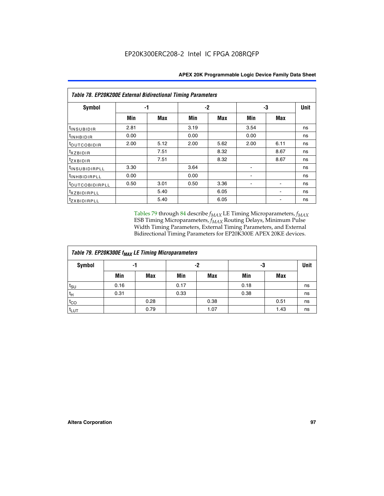|                            | Table 78. EP20K200E External Bidirectional Timing Parameters |      |      |      |      |             |    |  |  |  |  |  |
|----------------------------|--------------------------------------------------------------|------|------|------|------|-------------|----|--|--|--|--|--|
| Symbol                     |                                                              | -1   |      | $-2$ | -3   | <b>Unit</b> |    |  |  |  |  |  |
|                            | Min                                                          | Max  | Min  | Max  | Min  | <b>Max</b>  |    |  |  |  |  |  |
| t <sub>INSUBIDIR</sub>     | 2.81                                                         |      | 3.19 |      | 3.54 |             | ns |  |  |  |  |  |
| $t_{\text{INHBIDIR}}$      | 0.00                                                         |      | 0.00 |      | 0.00 |             | ns |  |  |  |  |  |
| <sup>t</sup> OUTCOBIDIR    | 2.00                                                         | 5.12 | 2.00 | 5.62 | 2.00 | 6.11        | ns |  |  |  |  |  |
| $t_{XZBIDIR}$              |                                                              | 7.51 |      | 8.32 |      | 8.67        | ns |  |  |  |  |  |
| tzxbidir                   |                                                              | 7.51 |      | 8.32 |      | 8.67        | ns |  |  |  |  |  |
| t <sub>INSUBIDIRPLL</sub>  | 3.30                                                         |      | 3.64 |      |      |             | ns |  |  |  |  |  |
| t <sub>INHBIDIRPLL</sub>   | 0.00                                                         |      | 0.00 |      |      |             | ns |  |  |  |  |  |
| <sup>t</sup> OUTCOBIDIRPLL | 0.50                                                         | 3.01 | 0.50 | 3.36 |      |             | ns |  |  |  |  |  |
| <sup>t</sup> XZBIDIRPLL    |                                                              | 5.40 |      | 6.05 |      |             | ns |  |  |  |  |  |
| <i>tzxBIDIRPLL</i>         |                                                              | 5.40 |      | 6.05 |      |             | ns |  |  |  |  |  |

Tables 79 through 84 describe  $f_{MAX}$  LE Timing Microparameters,  $f_{MAX}$ ESB Timing Microparameters, *f<sub>MAX</sub>* Routing Delays, Minimum Pulse Width Timing Parameters, External Timing Parameters, and External Bidirectional Timing Parameters for EP20K300E APEX 20KE devices.

| Table 79. EP20K300E f <sub>MAX</sub> LE Timing Microparameters |      |            |      |            |      |            |    |  |  |  |  |
|----------------------------------------------------------------|------|------------|------|------------|------|------------|----|--|--|--|--|
| <b>Symbol</b>                                                  |      | -1         |      | -2         |      | -3         |    |  |  |  |  |
|                                                                | Min  | <b>Max</b> | Min  | <b>Max</b> | Min  | <b>Max</b> |    |  |  |  |  |
| $t_{\text{SU}}$                                                | 0.16 |            | 0.17 |            | 0.18 |            | ns |  |  |  |  |
| $t_H$                                                          | 0.31 |            | 0.33 |            | 0.38 |            | ns |  |  |  |  |
| $t_{CO}$                                                       |      | 0.28       |      | 0.38       |      | 0.51       | ns |  |  |  |  |
| t <sub>LUT</sub>                                               |      | 0.79       |      | 1.07       |      | 1.43       | ns |  |  |  |  |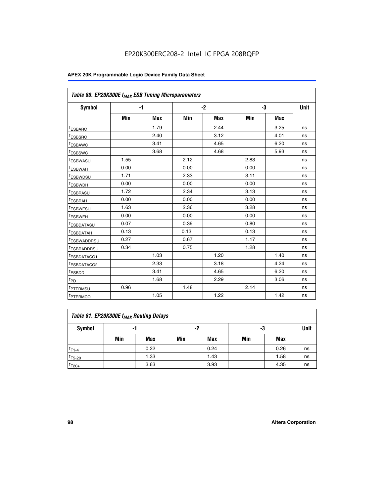| Table 80. EP20K300E f <sub>MAX</sub> ESB Timing Microparameters |      |      |      |      |      |      |      |
|-----------------------------------------------------------------|------|------|------|------|------|------|------|
| <b>Symbol</b>                                                   |      | $-1$ |      | $-2$ |      | -3   | Unit |
|                                                                 | Min  | Max  | Min  | Max  | Min  | Max  |      |
| <sup>t</sup> ESBARC                                             |      | 1.79 |      | 2.44 |      | 3.25 | ns   |
| t <sub>ESBSRC</sub>                                             |      | 2.40 |      | 3.12 |      | 4.01 | ns   |
| t <sub>ESBAWC</sub>                                             |      | 3.41 |      | 4.65 |      | 6.20 | ns   |
| <sup>t</sup> ESBSWC                                             |      | 3.68 |      | 4.68 |      | 5.93 | ns   |
| t <sub>ESBWASU</sub>                                            | 1.55 |      | 2.12 |      | 2.83 |      | ns   |
| t <sub>ESBWAH</sub>                                             | 0.00 |      | 0.00 |      | 0.00 |      | ns   |
| <sup>t</sup> ESBWDSU                                            | 1.71 |      | 2.33 |      | 3.11 |      | ns   |
| <sup>t</sup> ESBWDH                                             | 0.00 |      | 0.00 |      | 0.00 |      | ns   |
| t <sub>ESBRASU</sub>                                            | 1.72 |      | 2.34 |      | 3.13 |      | ns   |
| <sup>t</sup> ESBRAH                                             | 0.00 |      | 0.00 |      | 0.00 |      | ns   |
| t <sub>ESBWESU</sub>                                            | 1.63 |      | 2.36 |      | 3.28 |      | ns   |
| <sup>t</sup> ESBWEH                                             | 0.00 |      | 0.00 |      | 0.00 |      | ns   |
| <sup>t</sup> ESBDATASU                                          | 0.07 |      | 0.39 |      | 0.80 |      | ns   |
| <sup>t</sup> ESBDATAH                                           | 0.13 |      | 0.13 |      | 0.13 |      | ns   |
| <sup>t</sup> ESBWADDRSU                                         | 0.27 |      | 0.67 |      | 1.17 |      | ns   |
| tESBRADDRSU                                                     | 0.34 |      | 0.75 |      | 1.28 |      | ns   |
| <sup>I</sup> ESBDATACO1                                         |      | 1.03 |      | 1.20 |      | 1.40 | ns   |
| <sup>t</sup> ESBDATACO2                                         |      | 2.33 |      | 3.18 |      | 4.24 | ns   |
| <sup>t</sup> ESBDD                                              |      | 3.41 |      | 4.65 |      | 6.20 | ns   |
| t <sub>PD</sub>                                                 |      | 1.68 |      | 2.29 |      | 3.06 | ns   |
| t <sub>PTERMSU</sub>                                            | 0.96 |      | 1.48 |      | 2.14 |      | ns   |
| t <sub>PTERMCO</sub>                                            |      | 1.05 |      | 1.22 |      | 1.42 | ns   |

| Table 81. EP20K300E f <sub>MAX</sub> Routing Delays |     |      |     |            |     |      |             |  |  |  |
|-----------------------------------------------------|-----|------|-----|------------|-----|------|-------------|--|--|--|
| Symbol                                              |     | -1   |     | -2         | -3  |      | <b>Unit</b> |  |  |  |
|                                                     | Min | Max  | Min | <b>Max</b> | Min | Max  |             |  |  |  |
| $t_{F1-4}$                                          |     | 0.22 |     | 0.24       |     | 0.26 | ns          |  |  |  |
| $t_{F5-20}$                                         |     | 1.33 |     | 1.43       |     | 1.58 | ns          |  |  |  |
| $t_{F20+}$                                          |     | 3.63 |     | 3.93       |     | 4.35 | ns          |  |  |  |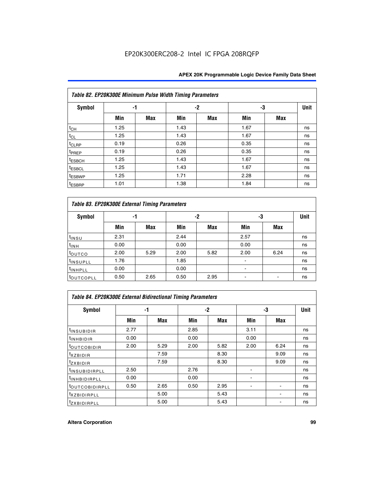|                    | Table 82. EP20K300E Minimum Pulse Width Timing Parameters |            |      |      |      |     |             |  |  |  |  |  |
|--------------------|-----------------------------------------------------------|------------|------|------|------|-----|-------------|--|--|--|--|--|
| Symbol             | -1                                                        |            |      | $-2$ | -3   |     | <b>Unit</b> |  |  |  |  |  |
|                    | Min                                                       | <b>Max</b> | Min  | Max  | Min  | Max |             |  |  |  |  |  |
| $t_{CH}$           | 1.25                                                      |            | 1.43 |      | 1.67 |     | ns          |  |  |  |  |  |
| $t_{CL}$           | 1.25                                                      |            | 1.43 |      | 1.67 |     | ns          |  |  |  |  |  |
| t <sub>CLRP</sub>  | 0.19                                                      |            | 0.26 |      | 0.35 |     | ns          |  |  |  |  |  |
| t <sub>PREP</sub>  | 0.19                                                      |            | 0.26 |      | 0.35 |     | ns          |  |  |  |  |  |
| <sup>t</sup> ESBCH | 1.25                                                      |            | 1.43 |      | 1.67 |     | ns          |  |  |  |  |  |
| <sup>t</sup> ESBCL | 1.25                                                      |            | 1.43 |      | 1.67 |     | ns          |  |  |  |  |  |
| <sup>t</sup> ESBWP | 1.25                                                      |            | 1.71 |      | 2.28 |     | ns          |  |  |  |  |  |
| <sup>t</sup> ESBRP | 1.01                                                      |            | 1.38 |      | 1.84 |     | ns          |  |  |  |  |  |

|                       | Table 83. EP20K300E External Timing Parameters |      |      |      |      |            |             |  |  |  |  |  |
|-----------------------|------------------------------------------------|------|------|------|------|------------|-------------|--|--|--|--|--|
| Symbol                |                                                | -1   |      | -2   |      | -3         | <b>Unit</b> |  |  |  |  |  |
|                       | Min                                            | Max  | Min  | Max  | Min  | <b>Max</b> |             |  |  |  |  |  |
| t <sub>INSU</sub>     | 2.31                                           |      | 2.44 |      | 2.57 |            | ns          |  |  |  |  |  |
| $t_{INH}$             | 0.00                                           |      | 0.00 |      | 0.00 |            | ns          |  |  |  |  |  |
| toutco                | 2.00                                           | 5.29 | 2.00 | 5.82 | 2.00 | 6.24       | ns          |  |  |  |  |  |
| <sup>t</sup> INSUPLL  | 1.76                                           |      | 1.85 |      |      |            | ns          |  |  |  |  |  |
| <sup>t</sup> INHPLL   | 0.00                                           |      | 0.00 |      | -    |            | ns          |  |  |  |  |  |
| <sup>t</sup> OUTCOPLL | 0.50                                           | 2.65 | 0.50 | 2.95 |      |            | ns          |  |  |  |  |  |

| Table 84. EP20K300E External Bidirectional Timing Parameters |      |      |      |      |      |             |    |  |  |  |  |
|--------------------------------------------------------------|------|------|------|------|------|-------------|----|--|--|--|--|
| Symbol                                                       | -1   |      | $-2$ |      | -3   | <b>Unit</b> |    |  |  |  |  |
|                                                              | Min  | Max  | Min  | Max  | Min  | <b>Max</b>  |    |  |  |  |  |
| <sup>t</sup> INSUBIDIR                                       | 2.77 |      | 2.85 |      | 3.11 |             | ns |  |  |  |  |
| <b>TINHBIDIR</b>                                             | 0.00 |      | 0.00 |      | 0.00 |             | ns |  |  |  |  |
| <sup>t</sup> OUTCOBIDIR                                      | 2.00 | 5.29 | 2.00 | 5.82 | 2.00 | 6.24        | ns |  |  |  |  |
| KZBIDIR                                                      |      | 7.59 |      | 8.30 |      | 9.09        | ns |  |  |  |  |
| $t_{Z}$ <i>x</i> BIDIR                                       |      | 7.59 |      | 8.30 |      | 9.09        | ns |  |  |  |  |
| <b>INSUBIDIRPLL</b>                                          | 2.50 |      | 2.76 |      |      |             | ns |  |  |  |  |
| <sup>t</sup> INHBIDIRPLL                                     | 0.00 |      | 0.00 |      |      |             | ns |  |  |  |  |
| <sup>t</sup> OUTCOBIDIRPLL                                   | 0.50 | 2.65 | 0.50 | 2.95 |      |             | ns |  |  |  |  |
| <sup>t</sup> XZBIDIRPLL                                      |      | 5.00 |      | 5.43 |      |             | ns |  |  |  |  |
| <sup>t</sup> ZXBIDIRPLL                                      |      | 5.00 |      | 5.43 |      |             | ns |  |  |  |  |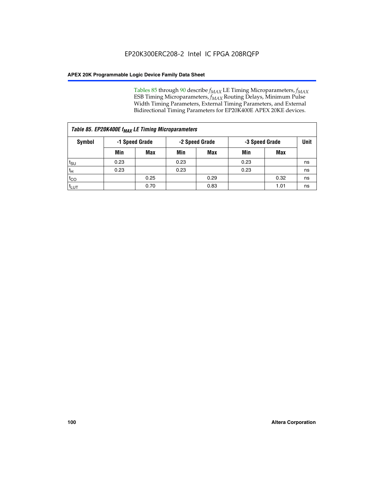Tables 85 through 90 describe  $f_{MAX}$  LE Timing Microparameters,  $f_{MAX}$ ESB Timing Microparameters, *f<sub>MAX</sub>* Routing Delays, Minimum Pulse Width Timing Parameters, External Timing Parameters, and External Bidirectional Timing Parameters for EP20K400E APEX 20KE devices.

| Table 85. EP20K400E f <sub>MAX</sub> LE Timing Microparameters |      |                |      |                |      |                |      |  |  |  |  |
|----------------------------------------------------------------|------|----------------|------|----------------|------|----------------|------|--|--|--|--|
| Symbol                                                         |      | -1 Speed Grade |      | -2 Speed Grade |      | -3 Speed Grade | Unit |  |  |  |  |
|                                                                | Min  | Max            | Min  | Max            | Min  | Max            |      |  |  |  |  |
| $t_{\text{SU}}$                                                | 0.23 |                | 0.23 |                | 0.23 |                | ns   |  |  |  |  |
| $t_H$                                                          | 0.23 |                | 0.23 |                | 0.23 |                | ns   |  |  |  |  |
| $t_{CO}$                                                       |      | 0.25           |      | 0.29           |      | 0.32           | ns   |  |  |  |  |
| ι <sup>t</sup> ιυτ                                             |      | 0.70           |      | 0.83           |      | 1.01           | ns   |  |  |  |  |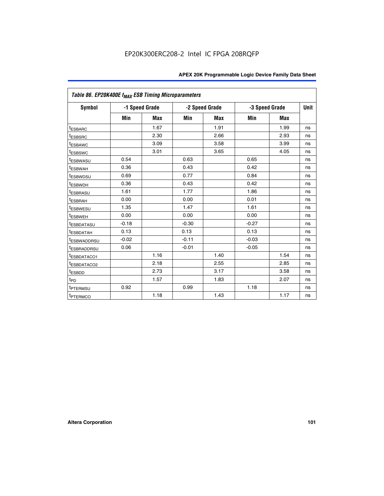| Symbol                      |         | -1 Speed Grade |         | -2 Speed Grade |         | -3 Speed Grade | <b>Unit</b> |
|-----------------------------|---------|----------------|---------|----------------|---------|----------------|-------------|
|                             | Min     | <b>Max</b>     | Min     | <b>Max</b>     | Min     | Max            |             |
| <sup>t</sup> ESBARC         |         | 1.67           |         | 1.91           |         | 1.99           | ns          |
| <sup>t</sup> ESBSRC         |         | 2.30           |         | 2.66           |         | 2.93           | ns          |
| <sup>t</sup> ESBAWC         |         | 3.09           |         | 3.58           |         | 3.99           | ns          |
| <sup>t</sup> ESBSWC         |         | 3.01           |         | 3.65           |         | 4.05           | ns          |
| t <sub>ESBWASU</sub>        | 0.54    |                | 0.63    |                | 0.65    |                | ns          |
| <sup>t</sup> ESBWAH         | 0.36    |                | 0.43    |                | 0.42    |                | ns          |
| <sup>t</sup> ESBWDSU        | 0.69    |                | 0.77    |                | 0.84    |                | ns          |
| <sup>t</sup> ESBWDH         | 0.36    |                | 0.43    |                | 0.42    |                | ns          |
| <sup>t</sup> ESBRASU        | 1.61    |                | 1.77    |                | 1.86    |                | ns          |
| <sup>t</sup> ESBRAH         | 0.00    |                | 0.00    |                | 0.01    |                | ns          |
| <i>t</i> <sub>ESBWESU</sub> | 1.35    |                | 1.47    |                | 1.61    |                | ns          |
| <sup>t</sup> ESBWEH         | 0.00    |                | 0.00    |                | 0.00    |                | ns          |
| <sup>t</sup> ESBDATASU      | $-0.18$ |                | $-0.30$ |                | $-0.27$ |                | ns          |
| t <sub>ESBDATAH</sub>       | 0.13    |                | 0.13    |                | 0.13    |                | ns          |
| <sup>I</sup> ESBWADDRSU     | $-0.02$ |                | $-0.11$ |                | $-0.03$ |                | ns          |
| <sup>t</sup> ESBRADDRSU     | 0.06    |                | $-0.01$ |                | $-0.05$ |                | ns          |
| ESBDATACO1                  |         | 1.16           |         | 1.40           |         | 1.54           | ns          |
| <sup>I</sup> ESBDATACO2     |         | 2.18           |         | 2.55           |         | 2.85           | ns          |
| <sup>t</sup> ESBDD          |         | 2.73           |         | 3.17           |         | 3.58           | ns          |
| $t_{\text{PD}}$             |         | 1.57           |         | 1.83           |         | 2.07           | ns          |
| t <sub>PTERMSU</sub>        | 0.92    |                | 0.99    |                | 1.18    |                | ns          |
| t <sub>PTERMCO</sub>        |         | 1.18           |         | 1.43           |         | 1.17           | ns          |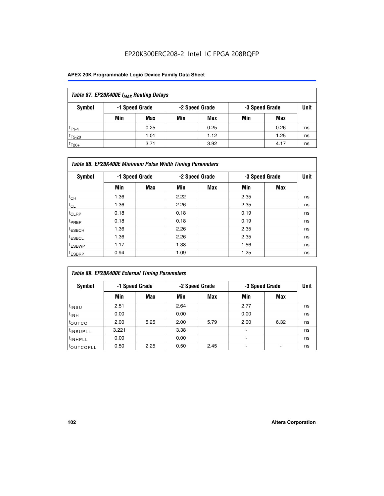## EP20K300ERC208-2 Intel IC FPGA 208RQFP

| Table 87. EP20K400E f <sub>MAX</sub> Routing Delays |     |                |     |                |     |                |      |  |  |  |  |
|-----------------------------------------------------|-----|----------------|-----|----------------|-----|----------------|------|--|--|--|--|
| Symbol                                              |     | -1 Speed Grade |     | -2 Speed Grade |     | -3 Speed Grade | Unit |  |  |  |  |
|                                                     | Min | Max            | Min | Max            | Min | Max            |      |  |  |  |  |
| $t_{F1-4}$                                          |     | 0.25           |     | 0.25           |     | 0.26           | ns   |  |  |  |  |
| $t_{F5-20}$                                         |     | 1.01           |     | 1.12           |     | 1.25           | ns   |  |  |  |  |
| $t_{F20+}$                                          |     | 3.71           |     | 3.92           |     | 4.17           | ns   |  |  |  |  |

| Table 88. EP20K400E Minimum Pulse Width Timing Parameters |      |                |      |                |      |                |      |  |  |  |
|-----------------------------------------------------------|------|----------------|------|----------------|------|----------------|------|--|--|--|
| Symbol                                                    |      | -1 Speed Grade |      | -2 Speed Grade |      | -3 Speed Grade | Unit |  |  |  |
|                                                           | Min  | <b>Max</b>     | Min  | <b>Max</b>     | Min  | Max            |      |  |  |  |
| $t_{CH}$                                                  | 1.36 |                | 2.22 |                | 2.35 |                | ns   |  |  |  |
| $t_{\rm CL}$                                              | 1.36 |                | 2.26 |                | 2.35 |                | ns   |  |  |  |
| $t_{CLRP}$                                                | 0.18 |                | 0.18 |                | 0.19 |                | ns   |  |  |  |
| <sup>t</sup> PREP                                         | 0.18 |                | 0.18 |                | 0.19 |                | ns   |  |  |  |
| t <sub>ESBCH</sub>                                        | 1.36 |                | 2.26 |                | 2.35 |                | ns   |  |  |  |
| <sup>t</sup> ESBCL                                        | 1.36 |                | 2.26 |                | 2.35 |                | ns   |  |  |  |
| <sup>t</sup> ESBWP                                        | 1.17 |                | 1.38 |                | 1.56 |                | ns   |  |  |  |
| <sup>t</sup> ESBRP                                        | 0.94 |                | 1.09 |                | 1.25 |                | ns   |  |  |  |

| Table 89. EP20K400E External Timing Parameters |                |            |      |                |      |                               |    |  |  |
|------------------------------------------------|----------------|------------|------|----------------|------|-------------------------------|----|--|--|
| Symbol                                         | -1 Speed Grade |            |      | -2 Speed Grade |      | <b>Unit</b><br>-3 Speed Grade |    |  |  |
|                                                | Min            | <b>Max</b> | Min  | <b>Max</b>     | Min  | Max                           |    |  |  |
| t <sub>insu</sub>                              | 2.51           |            | 2.64 |                | 2.77 |                               | ns |  |  |
| $t_{INH}$                                      | 0.00           |            | 0.00 |                | 0.00 |                               | ns |  |  |
| toutco                                         | 2.00           | 5.25       | 2.00 | 5.79           | 2.00 | 6.32                          | ns |  |  |
| <sup>t</sup> INSUPLL                           | 3.221          |            | 3.38 |                | -    |                               | ns |  |  |
| I <sup>t</sup> INHPLL                          | 0.00           |            | 0.00 |                | -    |                               | ns |  |  |
| toutcopll                                      | 0.50           | 2.25       | 0.50 | 2.45           |      |                               | ns |  |  |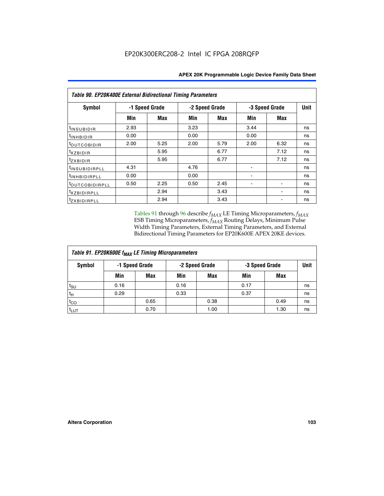| Table 90. EP20K400E External Bidirectional Timing Parameters |                |      |                |      |      |                |             |  |  |  |
|--------------------------------------------------------------|----------------|------|----------------|------|------|----------------|-------------|--|--|--|
| Symbol                                                       | -1 Speed Grade |      | -2 Speed Grade |      |      | -3 Speed Grade | <b>Unit</b> |  |  |  |
|                                                              | Min            | Max  | Min            | Max  | Min  | Max            |             |  |  |  |
| I <sup>t</sup> INSUB <u>IDIR</u>                             | 2.93           |      | 3.23           |      | 3.44 |                | ns          |  |  |  |
| $t_{\rm INHBIDIR}$                                           | 0.00           |      | 0.00           |      | 0.00 |                | ns          |  |  |  |
| <sup>t</sup> OUTCOBIDIR                                      | 2.00           | 5.25 | 2.00           | 5.79 | 2.00 | 6.32           | ns          |  |  |  |
| $t_{XZBIDIR}$                                                |                | 5.95 |                | 6.77 |      | 7.12           | ns          |  |  |  |
| tzxbidir                                                     |                | 5.95 |                | 6.77 |      | 7.12           | ns          |  |  |  |
| <sup>t</sup> insubidirpll                                    | 4.31           |      | 4.76           |      |      |                | ns          |  |  |  |
| <sup>t</sup> inhbidirpll                                     | 0.00           |      | 0.00           |      |      |                | ns          |  |  |  |
| <sup>t</sup> OUTCOBIDIRPLL                                   | 0.50           | 2.25 | 0.50           | 2.45 |      |                | ns          |  |  |  |
| <sup>t</sup> xzbidirpll                                      |                | 2.94 |                | 3.43 |      |                | ns          |  |  |  |
| tzxBIDIRPLL                                                  |                | 2.94 |                | 3.43 |      |                | ns          |  |  |  |

Tables 91 through 96 describe  $f_{MAX}$  LE Timing Microparameters,  $f_{MAX}$ ESB Timing Microparameters, *f<sub>MAX</sub>* Routing Delays, Minimum Pulse Width Timing Parameters, External Timing Parameters, and External Bidirectional Timing Parameters for EP20K600E APEX 20KE devices.

| Table 91. EP20K600E f <sub>MAX</sub> LE Timing Microparameters |                |            |                |            |                |      |             |  |  |
|----------------------------------------------------------------|----------------|------------|----------------|------------|----------------|------|-------------|--|--|
| Symbol                                                         | -1 Speed Grade |            | -2 Speed Grade |            | -3 Speed Grade |      | <b>Unit</b> |  |  |
|                                                                | Min            | <b>Max</b> | Min            | <b>Max</b> | Min            | Max  |             |  |  |
| t <sub>SU</sub>                                                | 0.16           |            | 0.16           |            | 0.17           |      | ns          |  |  |
| $t_H$                                                          | 0.29           |            | 0.33           |            | 0.37           |      | ns          |  |  |
| $t_{CO}$                                                       |                | 0.65       |                | 0.38       |                | 0.49 | ns          |  |  |
| t <sub>LUT</sub>                                               |                | 0.70       |                | 1.00       |                | 1.30 | ns          |  |  |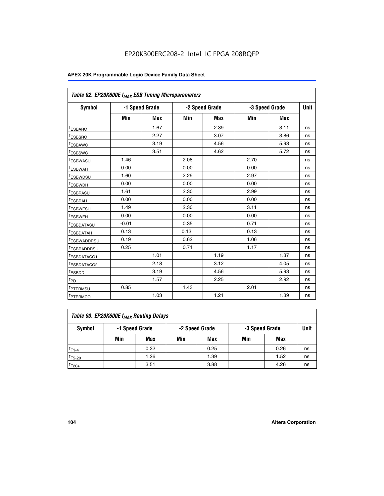| Table 92. EP20K600E f <sub>MAX</sub> ESB Timing Microparameters |         |                |      |                |      |                |             |
|-----------------------------------------------------------------|---------|----------------|------|----------------|------|----------------|-------------|
| <b>Symbol</b>                                                   |         | -1 Speed Grade |      | -2 Speed Grade |      | -3 Speed Grade | <b>Unit</b> |
|                                                                 | Min     | Max            | Min  | Max            | Min  | Max            |             |
| <sup>t</sup> ESBARC                                             |         | 1.67           |      | 2.39           |      | 3.11           | ns          |
| t <sub>ESBSRC</sub>                                             |         | 2.27           |      | 3.07           |      | 3.86           | ns          |
| <sup>t</sup> ESBAWC                                             |         | 3.19           |      | 4.56           |      | 5.93           | ns          |
| <sup>t</sup> ESBSWC                                             |         | 3.51           |      | 4.62           |      | 5.72           | ns          |
| <sup>t</sup> ESBWASU                                            | 1.46    |                | 2.08 |                | 2.70 |                | ns          |
| t <sub>ESBWAH</sub>                                             | 0.00    |                | 0.00 |                | 0.00 |                | ns          |
| t <sub>ESBWDSU</sub>                                            | 1.60    |                | 2.29 |                | 2.97 |                | ns          |
| t <sub>ESBWDH</sub>                                             | 0.00    |                | 0.00 |                | 0.00 |                | ns          |
| <sup>t</sup> ESBRASU                                            | 1.61    |                | 2.30 |                | 2.99 |                | ns          |
| <sup>t</sup> ESBRAH                                             | 0.00    |                | 0.00 |                | 0.00 |                | ns          |
| <sup>t</sup> ESBWESU                                            | 1.49    |                | 2.30 |                | 3.11 |                | ns          |
| t <sub>ESBWEH</sub>                                             | 0.00    |                | 0.00 |                | 0.00 |                | ns          |
| t <sub>ESBDATASU</sub>                                          | $-0.01$ |                | 0.35 |                | 0.71 |                | ns          |
| <sup>t</sup> ESBDATAH                                           | 0.13    |                | 0.13 |                | 0.13 |                | ns          |
| <sup>t</sup> ESBWADDRSU                                         | 0.19    |                | 0.62 |                | 1.06 |                | ns          |
| <sup>t</sup> ESBRADDRSU                                         | 0.25    |                | 0.71 |                | 1.17 |                | ns          |
| <sup>t</sup> ESBDATACO1                                         |         | 1.01           |      | 1.19           |      | 1.37           | ns          |
| <sup>t</sup> ESBDATACO2                                         |         | 2.18           |      | 3.12           |      | 4.05           | ns          |
| <sup>t</sup> ESBDD                                              |         | 3.19           |      | 4.56           |      | 5.93           | ns          |
| t <sub>PD</sub>                                                 |         | 1.57           |      | 2.25           |      | 2.92           | ns          |
| t <sub>PTERMSU</sub>                                            | 0.85    |                | 1.43 |                | 2.01 |                | ns          |
| t <sub>PTERMCO</sub>                                            |         | 1.03           |      | 1.21           |      | 1.39           | ns          |

| Table 93. EP20K600E f <sub>MAX</sub> Routing Delays |     |                |     |                |                |      |             |  |  |
|-----------------------------------------------------|-----|----------------|-----|----------------|----------------|------|-------------|--|--|
| Symbol                                              |     | -1 Speed Grade |     | -2 Speed Grade | -3 Speed Grade |      | <b>Unit</b> |  |  |
|                                                     | Min | Max            | Min | Max            | Min            | Max  |             |  |  |
| $t_{F1-4}$                                          |     | 0.22           |     | 0.25           |                | 0.26 | ns          |  |  |
| $t_{F5-20}$                                         |     | 1.26           |     | 1.39           |                | 1.52 | ns          |  |  |
| $t_{F20+}$                                          |     | 3.51           |     | 3.88           |                | 4.26 | ns          |  |  |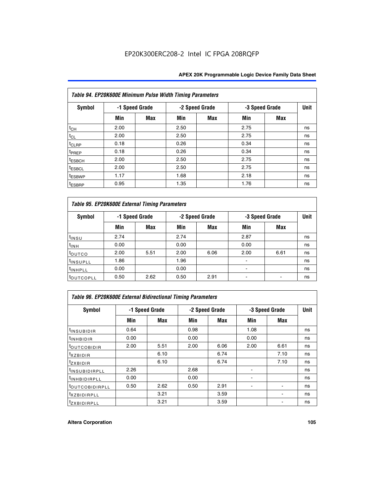| Table 94. EP20K600E Minimum Pulse Width Timing Parameters |      |                |      |                |      |                |    |  |  |  |
|-----------------------------------------------------------|------|----------------|------|----------------|------|----------------|----|--|--|--|
| Symbol                                                    |      | -1 Speed Grade |      | -2 Speed Grade |      | -3 Speed Grade |    |  |  |  |
|                                                           | Min  | <b>Max</b>     | Min  | Max            | Min  | <b>Max</b>     |    |  |  |  |
| $t_{CH}$                                                  | 2.00 |                | 2.50 |                | 2.75 |                | ns |  |  |  |
| $t_{CL}$                                                  | 2.00 |                | 2.50 |                | 2.75 |                | ns |  |  |  |
| t <sub>CLRP</sub>                                         | 0.18 |                | 0.26 |                | 0.34 |                | ns |  |  |  |
| t <sub>PREP</sub>                                         | 0.18 |                | 0.26 |                | 0.34 |                | ns |  |  |  |
| <sup>t</sup> ESBCH                                        | 2.00 |                | 2.50 |                | 2.75 |                | ns |  |  |  |
| <sup>t</sup> ESBCL                                        | 2.00 |                | 2.50 |                | 2.75 |                | ns |  |  |  |
| t <sub>ESBWP</sub>                                        | 1.17 |                | 1.68 |                | 2.18 |                | ns |  |  |  |
| <sup>t</sup> ESBRP                                        | 0.95 |                | 1.35 |                | 1.76 |                | ns |  |  |  |

| Table 95. EP20K600E External Timing Parameters |                |      |      |                |                               |      |    |  |  |
|------------------------------------------------|----------------|------|------|----------------|-------------------------------|------|----|--|--|
| Symbol                                         | -1 Speed Grade |      |      | -2 Speed Grade | <b>Unit</b><br>-3 Speed Grade |      |    |  |  |
|                                                | Min            | Max  | Min  | Max            | Min                           | Max  |    |  |  |
| t <sub>insu</sub>                              | 2.74           |      | 2.74 |                | 2.87                          |      | ns |  |  |
| $t_{INH}$                                      | 0.00           |      | 0.00 |                | 0.00                          |      | ns |  |  |
| toutco                                         | 2.00           | 5.51 | 2.00 | 6.06           | 2.00                          | 6.61 | ns |  |  |
| <sup>t</sup> INSUPLL                           | 1.86           |      | 1.96 |                |                               |      | ns |  |  |
| <sup>t</sup> INHPLL                            | 0.00           |      | 0.00 |                | $\overline{\phantom{a}}$      |      | ns |  |  |
| <b>LOUTCOPLL</b>                               | 0.50           | 2.62 | 0.50 | 2.91           |                               |      | ns |  |  |

| Table 96. EP20K600E External Bidirectional Timing Parameters |                |      |      |                |                |             |    |  |  |  |
|--------------------------------------------------------------|----------------|------|------|----------------|----------------|-------------|----|--|--|--|
| Symbol                                                       | -1 Speed Grade |      |      | -2 Speed Grade | -3 Speed Grade | <b>Unit</b> |    |  |  |  |
|                                                              | Min            | Max  | Min  | Max            | Min            | <b>Max</b>  |    |  |  |  |
| <sup>t</sup> INSUBIDIR                                       | 0.64           |      | 0.98 |                | 1.08           |             | ns |  |  |  |
| $t_{\text{INHBIDIR}}$                                        | 0.00           |      | 0.00 |                | 0.00           |             | ns |  |  |  |
| <sup>t</sup> OUTCOBIDIR                                      | 2.00           | 5.51 | 2.00 | 6.06           | 2.00           | 6.61        | ns |  |  |  |
| $t_{XZBIDIR}$                                                |                | 6.10 |      | 6.74           |                | 7.10        | ns |  |  |  |
| $t_{ZXBIDIR}$                                                |                | 6.10 |      | 6.74           |                | 7.10        | ns |  |  |  |
| <sup>t</sup> INSUBIDIRPLL                                    | 2.26           |      | 2.68 |                |                |             | ns |  |  |  |
| <sup>t</sup> INHBIDIRPLL                                     | 0.00           |      | 0.00 |                |                |             | ns |  |  |  |
| <b><i>LOUTCOBIDIRPLL</i></b>                                 | 0.50           | 2.62 | 0.50 | 2.91           |                |             | ns |  |  |  |
| <sup>t</sup> xzbidirpll                                      |                | 3.21 |      | 3.59           |                |             | ns |  |  |  |
| <i>t</i> zxbidirpll                                          |                | 3.21 |      | 3.59           |                | ٠           | ns |  |  |  |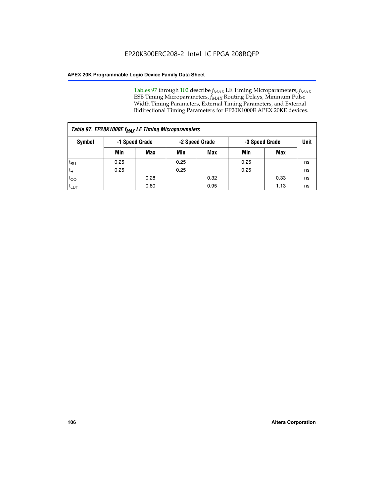Tables 97 through 102 describe  $f_{MAX}$  LE Timing Microparameters,  $f_{MAX}$ ESB Timing Microparameters, *f<sub>MAX</sub>* Routing Delays, Minimum Pulse Width Timing Parameters, External Timing Parameters, and External Bidirectional Timing Parameters for EP20K1000E APEX 20KE devices.

| Table 97. EP20K1000E f <sub>MAX</sub> LE Timing Microparameters |      |                |      |                |                |      |    |  |      |
|-----------------------------------------------------------------|------|----------------|------|----------------|----------------|------|----|--|------|
| Symbol                                                          |      | -1 Speed Grade |      | -2 Speed Grade | -3 Speed Grade |      |    |  | Unit |
|                                                                 | Min  | <b>Max</b>     | Min  | <b>Max</b>     | Min            | Max  |    |  |      |
| $t_{\text{SU}}$                                                 | 0.25 |                | 0.25 |                | 0.25           |      | ns |  |      |
| $t_H$                                                           | 0.25 |                | 0.25 |                | 0.25           |      | ns |  |      |
| $t_{CO}$                                                        |      | 0.28           |      | 0.32           |                | 0.33 | ns |  |      |
| ι <sup>t</sup> ιυτ                                              |      | 0.80           |      | 0.95           |                | 1.13 | ns |  |      |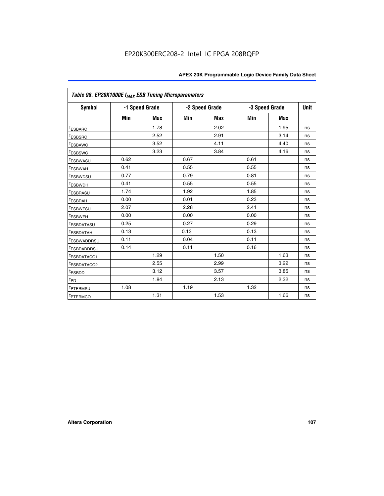|                         | Table 98. EP20K1000E f <sub>MAX</sub> ESB Timing Microparameters |                |                |            |                |            |             |  |  |  |  |
|-------------------------|------------------------------------------------------------------|----------------|----------------|------------|----------------|------------|-------------|--|--|--|--|
| Symbol                  |                                                                  | -1 Speed Grade | -2 Speed Grade |            | -3 Speed Grade |            | <b>Unit</b> |  |  |  |  |
|                         | Min                                                              | <b>Max</b>     | Min            | <b>Max</b> | Min            | <b>Max</b> |             |  |  |  |  |
| <sup>t</sup> ESBARC     |                                                                  | 1.78           |                | 2.02       |                | 1.95       | ns          |  |  |  |  |
| <sup>t</sup> ESBSRC     |                                                                  | 2.52           |                | 2.91       |                | 3.14       | ns          |  |  |  |  |
| <sup>t</sup> ESBAWC     |                                                                  | 3.52           |                | 4.11       |                | 4.40       | ns          |  |  |  |  |
| <sup>t</sup> ESBSWC     |                                                                  | 3.23           |                | 3.84       |                | 4.16       | ns          |  |  |  |  |
| <sup>t</sup> ESBWASU    | 0.62                                                             |                | 0.67           |            | 0.61           |            | ns          |  |  |  |  |
| t <sub>ESBWAH</sub>     | 0.41                                                             |                | 0.55           |            | 0.55           |            | ns          |  |  |  |  |
| <sup>t</sup> ESBWDSU    | 0.77                                                             |                | 0.79           |            | 0.81           |            | ns          |  |  |  |  |
| <sup>t</sup> ESBWDH     | 0.41                                                             |                | 0.55           |            | 0.55           |            | ns          |  |  |  |  |
| <sup>t</sup> ESBRASU    | 1.74                                                             |                | 1.92           |            | 1.85           |            | ns          |  |  |  |  |
| <sup>t</sup> ESBRAH     | 0.00                                                             |                | 0.01           |            | 0.23           |            | ns          |  |  |  |  |
| <sup>t</sup> ESBWESU    | 2.07                                                             |                | 2.28           |            | 2.41           |            | ns          |  |  |  |  |
| <sup>t</sup> ESBWEH     | 0.00                                                             |                | 0.00           |            | 0.00           |            | ns          |  |  |  |  |
| <sup>t</sup> ESBDATASU  | 0.25                                                             |                | 0.27           |            | 0.29           |            | ns          |  |  |  |  |
| <sup>t</sup> ESBDATAH   | 0.13                                                             |                | 0.13           |            | 0.13           |            | ns          |  |  |  |  |
| <sup>t</sup> ESBWADDRSU | 0.11                                                             |                | 0.04           |            | 0.11           |            | ns          |  |  |  |  |
| <sup>T</sup> ESBRADDRSU | 0.14                                                             |                | 0.11           |            | 0.16           |            | ns          |  |  |  |  |
| <sup>I</sup> ESBDATACO1 |                                                                  | 1.29           |                | 1.50       |                | 1.63       | ns          |  |  |  |  |
| <sup>I</sup> ESBDATACO2 |                                                                  | 2.55           |                | 2.99       |                | 3.22       | ns          |  |  |  |  |
| <sup>t</sup> ESBDD      |                                                                  | 3.12           |                | 3.57       |                | 3.85       | ns          |  |  |  |  |
| t <sub>PD</sub>         |                                                                  | 1.84           |                | 2.13       |                | 2.32       | ns          |  |  |  |  |
| <sup>t</sup> PTERMSU    | 1.08                                                             |                | 1.19           |            | 1.32           |            | ns          |  |  |  |  |
| <sup>t</sup> PTERMCO    |                                                                  | 1.31           |                | 1.53       |                | 1.66       | ns          |  |  |  |  |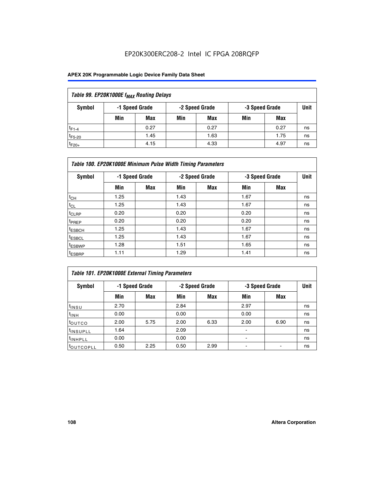| Table 99. EP20K1000E f <sub>MAX</sub> Routing Delays |                |      |     |                |                |      |      |  |  |  |
|------------------------------------------------------|----------------|------|-----|----------------|----------------|------|------|--|--|--|
| Symbol                                               | -1 Speed Grade |      |     | -2 Speed Grade | -3 Speed Grade |      | Unit |  |  |  |
|                                                      | Min            | Max  | Min | Max            | Min            | Max  |      |  |  |  |
| $t_{F1-4}$                                           |                | 0.27 |     | 0.27           |                | 0.27 | ns   |  |  |  |
| $t_{F5-20}$                                          |                | 1.45 |     | 1.63           |                | 1.75 | ns   |  |  |  |
| $t_{F20+}$                                           |                | 4.15 |     | 4.33           |                | 4.97 | ns   |  |  |  |

| Table 100. EP20K1000E Minimum Pulse Width Timing Parameters |      |                |      |                |      |                |    |  |  |  |  |
|-------------------------------------------------------------|------|----------------|------|----------------|------|----------------|----|--|--|--|--|
| Symbol                                                      |      | -1 Speed Grade |      | -2 Speed Grade |      | -3 Speed Grade |    |  |  |  |  |
|                                                             | Min  | Max            | Min  | Max            | Min  | Max            |    |  |  |  |  |
| $t_{CH}$                                                    | 1.25 |                | 1.43 |                | 1.67 |                | ns |  |  |  |  |
| $t_{CL}$                                                    | 1.25 |                | 1.43 |                | 1.67 |                | ns |  |  |  |  |
| $t_{CLRP}$                                                  | 0.20 |                | 0.20 |                | 0.20 |                | ns |  |  |  |  |
| t <sub>PREP</sub>                                           | 0.20 |                | 0.20 |                | 0.20 |                | ns |  |  |  |  |
| <sup>t</sup> ESBCH                                          | 1.25 |                | 1.43 |                | 1.67 |                | ns |  |  |  |  |
| <sup>t</sup> ESBCL                                          | 1.25 |                | 1.43 |                | 1.67 |                | ns |  |  |  |  |
| <sup>t</sup> ESBWP                                          | 1.28 |                | 1.51 |                | 1.65 |                | ns |  |  |  |  |
| <sup>t</sup> ESBRP                                          | 1.11 |                | 1.29 |                | 1.41 |                | ns |  |  |  |  |

|                       | Table 101. EP20K1000E External Timing Parameters |                |      |                |                          |                |    |  |  |  |  |  |  |
|-----------------------|--------------------------------------------------|----------------|------|----------------|--------------------------|----------------|----|--|--|--|--|--|--|
| Symbol                |                                                  | -1 Speed Grade |      | -2 Speed Grade |                          | -3 Speed Grade |    |  |  |  |  |  |  |
|                       | Min                                              | Max            | Min  | <b>Max</b>     | Min                      | Max            |    |  |  |  |  |  |  |
| t <sub>INSU</sub>     | 2.70                                             |                | 2.84 |                | 2.97                     |                | ns |  |  |  |  |  |  |
| $t_{INH}$             | 0.00                                             |                | 0.00 |                | 0.00                     |                | ns |  |  |  |  |  |  |
| toutco                | 2.00                                             | 5.75           | 2.00 | 6.33           | 2.00                     | 6.90           | ns |  |  |  |  |  |  |
| <sup>t</sup> INSUPLL  | 1.64                                             |                | 2.09 |                | ۰                        |                | ns |  |  |  |  |  |  |
| I <sup>t</sup> INHPLL | 0.00                                             |                | 0.00 |                | $\overline{\phantom{a}}$ |                | ns |  |  |  |  |  |  |
| toutcopll             | 0.50                                             | 2.25           | 0.50 | 2.99           | -                        |                | ns |  |  |  |  |  |  |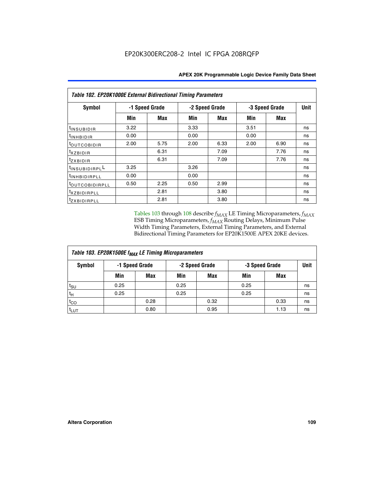| Table 102. EP20K1000E External Bidirectional Timing Parameters |                |      |                |      |                |             |    |  |  |  |
|----------------------------------------------------------------|----------------|------|----------------|------|----------------|-------------|----|--|--|--|
| Symbol                                                         | -1 Speed Grade |      | -2 Speed Grade |      | -3 Speed Grade | <b>Unit</b> |    |  |  |  |
|                                                                | Min            | Max  | Min            | Max  | Min            | Max         |    |  |  |  |
| t <sub>INSUBIDIR</sub>                                         | 3.22           |      | 3.33           |      | 3.51           |             | ns |  |  |  |
| $t_{\rm INHBIDIR}$                                             | 0.00           |      | 0.00           |      | 0.00           |             | ns |  |  |  |
| <sup>t</sup> OUTCOBIDIR                                        | 2.00           | 5.75 | 2.00           | 6.33 | 2.00           | 6.90        | ns |  |  |  |
| $t_{XZBIDIR}$                                                  |                | 6.31 |                | 7.09 |                | 7.76        | ns |  |  |  |
| tzxbidir                                                       |                | 6.31 |                | 7.09 |                | 7.76        | ns |  |  |  |
| <sup>1</sup> INSUBIDIRPL <sup>L</sup>                          | 3.25           |      | 3.26           |      |                |             | ns |  |  |  |
| <sup>t</sup> INHBIDIRPLL                                       | 0.00           |      | 0.00           |      |                |             | ns |  |  |  |
| <b>COUTCOBIDIRPLL</b>                                          | 0.50           | 2.25 | 0.50           | 2.99 |                |             | ns |  |  |  |
| <sup>t</sup> xzBIDIRPLL                                        |                | 2.81 |                | 3.80 |                |             | ns |  |  |  |
| <sup>t</sup> zxbidirpll                                        |                | 2.81 |                | 3.80 |                |             | ns |  |  |  |

Tables 103 through 108 describe  $f_{MAX}$  LE Timing Microparameters,  $f_{MAX}$ ESB Timing Microparameters, *f<sub>MAX</sub>* Routing Delays, Minimum Pulse Width Timing Parameters, External Timing Parameters, and External Bidirectional Timing Parameters for EP20K1500E APEX 20KE devices.

| Table 103. EP20K1500E f <sub>MAX</sub> LE Timing Microparameters |                |            |      |                |      |                |             |  |  |  |
|------------------------------------------------------------------|----------------|------------|------|----------------|------|----------------|-------------|--|--|--|
| Symbol                                                           | -1 Speed Grade |            |      | -2 Speed Grade |      | -3 Speed Grade | <b>Unit</b> |  |  |  |
|                                                                  | Min            | <b>Max</b> | Min  | <b>Max</b>     | Min  | Max            |             |  |  |  |
| $t_{\sf SU}$                                                     | 0.25           |            | 0.25 |                | 0.25 |                | ns          |  |  |  |
| $t_H$                                                            | 0.25           |            | 0.25 |                | 0.25 |                | ns          |  |  |  |
| $t_{CO}$                                                         |                | 0.28       |      | 0.32           |      | 0.33           | ns          |  |  |  |
| t <sub>lut</sub>                                                 |                | 0.80       |      | 0.95           |      | 1.13           | ns          |  |  |  |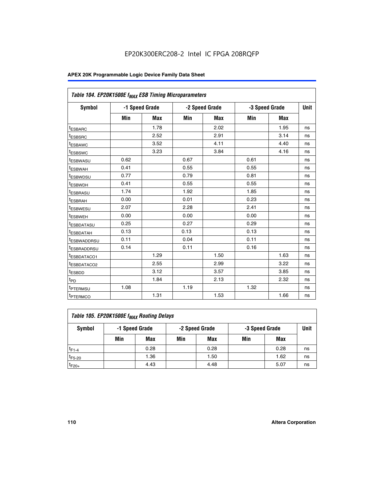| Table 104. EP20K1500E f <sub>MAX</sub> ESB Timing Microparameters |      |                |      |                |      |                |             |
|-------------------------------------------------------------------|------|----------------|------|----------------|------|----------------|-------------|
| <b>Symbol</b>                                                     |      | -1 Speed Grade |      | -2 Speed Grade |      | -3 Speed Grade | <b>Unit</b> |
|                                                                   | Min  | <b>Max</b>     | Min  | <b>Max</b>     | Min  | <b>Max</b>     |             |
| t <sub>ESBARC</sub>                                               |      | 1.78           |      | 2.02           |      | 1.95           | ns          |
| t <sub>ESBSRC</sub>                                               |      | 2.52           |      | 2.91           |      | 3.14           | ns          |
| <sup>t</sup> ESBAWC                                               |      | 3.52           |      | 4.11           |      | 4.40           | ns          |
| t <sub>ESBSWC</sub>                                               |      | 3.23           |      | 3.84           |      | 4.16           | ns          |
| <sup>t</sup> ESBWASU                                              | 0.62 |                | 0.67 |                | 0.61 |                | ns          |
| t <sub>ESBWAH</sub>                                               | 0.41 |                | 0.55 |                | 0.55 |                | ns          |
| t <sub>ESBWDSU</sub>                                              | 0.77 |                | 0.79 |                | 0.81 |                | ns          |
| <sup>t</sup> ESBWDH                                               | 0.41 |                | 0.55 |                | 0.55 |                | ns          |
| t <sub>ESBRASU</sub>                                              | 1.74 |                | 1.92 |                | 1.85 |                | ns          |
| t <sub>ESBRAH</sub>                                               | 0.00 |                | 0.01 |                | 0.23 |                | ns          |
| t <sub>ESBWESU</sub>                                              | 2.07 |                | 2.28 |                | 2.41 |                | ns          |
| <sup>t</sup> ESBWEH                                               | 0.00 |                | 0.00 |                | 0.00 |                | ns          |
| t <sub>ESBDATASU</sub>                                            | 0.25 |                | 0.27 |                | 0.29 |                | ns          |
| <sup>t</sup> ESBDATAH                                             | 0.13 |                | 0.13 |                | 0.13 |                | ns          |
| <sup>t</sup> ESBWADDRSU                                           | 0.11 |                | 0.04 |                | 0.11 |                | ns          |
| <sup>t</sup> ESBRADDRSU                                           | 0.14 |                | 0.11 |                | 0.16 |                | ns          |
| <sup>I</sup> ESBDATACO1                                           |      | 1.29           |      | 1.50           |      | 1.63           | ns          |
| <sup>t</sup> ESBDATACO2                                           |      | 2.55           |      | 2.99           |      | 3.22           | ns          |
| <sup>t</sup> ESBDD                                                |      | 3.12           |      | 3.57           |      | 3.85           | ns          |
| t <sub>PD</sub>                                                   |      | 1.84           |      | 2.13           |      | 2.32           | ns          |
| t <sub>PTERMSU</sub>                                              | 1.08 |                | 1.19 |                | 1.32 |                | ns          |
| t <sub>PTERMCO</sub>                                              |      | 1.31           |      | 1.53           |      | 1.66           | ns          |

| Table 105. EP20K1500E f <sub>MAX</sub> Routing Delays |     |                |                                  |      |     |      |    |  |  |  |
|-------------------------------------------------------|-----|----------------|----------------------------------|------|-----|------|----|--|--|--|
| Symbol                                                |     | -1 Speed Grade | -2 Speed Grade<br>-3 Speed Grade |      |     | Unit |    |  |  |  |
|                                                       | Min | Max            | Min                              | Max  | Min | Max  |    |  |  |  |
| $t_{F1-4}$                                            |     | 0.28           |                                  | 0.28 |     | 0.28 | ns |  |  |  |
| $t_{F5-20}$                                           |     | 1.36           |                                  | 1.50 |     | 1.62 | ns |  |  |  |
| $t_{F20+}$                                            |     | 4.43           |                                  | 4.48 |     | 5.07 | ns |  |  |  |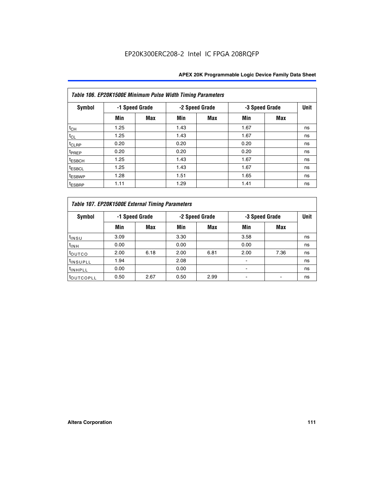|                    | Table 106. EP20K1500E Minimum Pulse Width Timing Parameters |            |      |                |      |                |             |  |  |  |  |  |
|--------------------|-------------------------------------------------------------|------------|------|----------------|------|----------------|-------------|--|--|--|--|--|
| Symbol             | -1 Speed Grade                                              |            |      | -2 Speed Grade |      | -3 Speed Grade | <b>Unit</b> |  |  |  |  |  |
|                    | Min                                                         | <b>Max</b> | Min  | Max            | Min  | <b>Max</b>     |             |  |  |  |  |  |
| $t_{CH}$           | 1.25                                                        |            | 1.43 |                | 1.67 |                | ns          |  |  |  |  |  |
| $t_{CL}$           | 1.25                                                        |            | 1.43 |                | 1.67 |                | ns          |  |  |  |  |  |
| $t_{CLRP}$         | 0.20                                                        |            | 0.20 |                | 0.20 |                | ns          |  |  |  |  |  |
| t <sub>PREP</sub>  | 0.20                                                        |            | 0.20 |                | 0.20 |                | ns          |  |  |  |  |  |
| <sup>t</sup> ESBCH | 1.25                                                        |            | 1.43 |                | 1.67 |                | ns          |  |  |  |  |  |
| <sup>t</sup> ESBCL | 1.25                                                        |            | 1.43 |                | 1.67 |                | ns          |  |  |  |  |  |
| <sup>t</sup> ESBWP | 1.28                                                        |            | 1.51 |                | 1.65 |                | ns          |  |  |  |  |  |
| <sup>t</sup> ESBRP | 1.11                                                        |            | 1.29 |                | 1.41 |                | ns          |  |  |  |  |  |

|                       | Table 107. EP20K1500E External Timing Parameters |            |      |                |      |                |             |  |  |  |  |  |
|-----------------------|--------------------------------------------------|------------|------|----------------|------|----------------|-------------|--|--|--|--|--|
| Symbol                | -1 Speed Grade                                   |            |      | -2 Speed Grade |      | -3 Speed Grade | <b>Unit</b> |  |  |  |  |  |
|                       | Min                                              | <b>Max</b> | Min  | <b>Max</b>     | Min  | Max            |             |  |  |  |  |  |
| t <sub>insu</sub>     | 3.09                                             |            | 3.30 |                | 3.58 |                | ns          |  |  |  |  |  |
| $t_{INH}$             | 0.00                                             |            | 0.00 |                | 0.00 |                | ns          |  |  |  |  |  |
| toutco                | 2.00                                             | 6.18       | 2.00 | 6.81           | 2.00 | 7.36           | ns          |  |  |  |  |  |
| <sup>t</sup> INSUPLL  | 1.94                                             |            | 2.08 |                |      |                | ns          |  |  |  |  |  |
| <sup>t</sup> INHPLL   | 0.00                                             |            | 0.00 |                |      |                | ns          |  |  |  |  |  |
| <sup>t</sup> OUTCOPLL | 0.50                                             | 2.67       | 0.50 | 2.99           |      |                | ns          |  |  |  |  |  |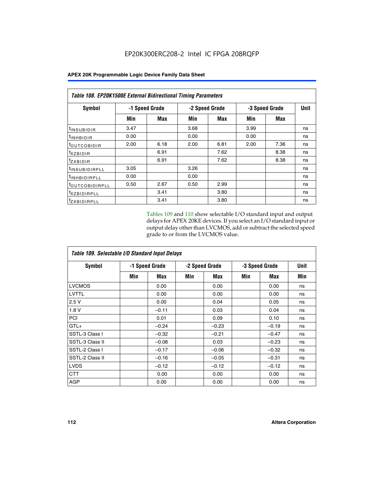| <b>Table 108. EP20K1500E External Bidirectional Timing Parameters</b> |      |                |                |      |                |             |    |  |  |  |  |
|-----------------------------------------------------------------------|------|----------------|----------------|------|----------------|-------------|----|--|--|--|--|
| Symbol                                                                |      | -1 Speed Grade | -2 Speed Grade |      | -3 Speed Grade | <b>Unit</b> |    |  |  |  |  |
|                                                                       | Min  | Max            | Min            | Max  | Min            | Max         |    |  |  |  |  |
| <sup>t</sup> INSUBIDIR                                                | 3.47 |                | 3.68           |      | 3.99           |             | ns |  |  |  |  |
| <sup>t</sup> INHBIDIR                                                 | 0.00 |                | 0.00           |      | 0.00           |             | ns |  |  |  |  |
| <b><i>LOUTCOBIDIR</i></b>                                             | 2.00 | 6.18           | 2.00           | 6.81 | 2.00           | 7.36        | ns |  |  |  |  |
| $t_{XZBIDIR}$                                                         |      | 6.91           |                | 7.62 |                | 8.38        | ns |  |  |  |  |
| $t_{Z}$ <i>x</i> BIDIR                                                |      | 6.91           |                | 7.62 |                | 8.38        | ns |  |  |  |  |
| <sup>t</sup> INSUBIDIRPLL                                             | 3.05 |                | 3.26           |      |                |             | ns |  |  |  |  |
| <sup>t</sup> INHBIDIRPLL                                              | 0.00 |                | 0.00           |      |                |             | ns |  |  |  |  |
| <sup>t</sup> OUTCOBIDIRPLL                                            | 0.50 | 2.67           | 0.50           | 2.99 |                |             | ns |  |  |  |  |
| <sup>t</sup> XZBIDIRPLL                                               |      | 3.41           |                | 3.80 |                |             | ns |  |  |  |  |
| <sup>t</sup> zxbidirpll                                               |      | 3.41           |                | 3.80 |                |             | ns |  |  |  |  |

Tables 109 and 110 show selectable I/O standard input and output delays for APEX 20KE devices. If you select an I/O standard input or output delay other than LVCMOS, add or subtract the selected speed grade to or from the LVCMOS value.

| Table 109. Selectable I/O Standard Input Delays |                |         |     |                |     |                |     |  |  |  |
|-------------------------------------------------|----------------|---------|-----|----------------|-----|----------------|-----|--|--|--|
| <b>Symbol</b>                                   | -1 Speed Grade |         |     | -2 Speed Grade |     | -3 Speed Grade |     |  |  |  |
|                                                 | Min            | Max     | Min | Max            | Min | Max            | Min |  |  |  |
| <b>LVCMOS</b>                                   |                | 0.00    |     | 0.00           |     | 0.00           | ns  |  |  |  |
| LVTTL                                           |                | 0.00    |     | 0.00           |     | 0.00           | ns  |  |  |  |
| 2.5V                                            |                | 0.00    |     | 0.04           |     | 0.05           | ns  |  |  |  |
| 1.8V                                            |                | $-0.11$ |     | 0.03           |     | 0.04           | ns  |  |  |  |
| PCI                                             |                | 0.01    |     | 0.09           |     | 0.10           | ns  |  |  |  |
| $GTL+$                                          |                | $-0.24$ |     | $-0.23$        |     | $-0.19$        | ns  |  |  |  |
| SSTL-3 Class I                                  |                | $-0.32$ |     | $-0.21$        |     | $-0.47$        | ns  |  |  |  |
| SSTL-3 Class II                                 |                | $-0.08$ |     | 0.03           |     | $-0.23$        | ns  |  |  |  |
| SSTL-2 Class I                                  |                | $-0.17$ |     | $-0.06$        |     | $-0.32$        | ns  |  |  |  |
| SSTL-2 Class II                                 |                | $-0.16$ |     | $-0.05$        |     | $-0.31$        | ns  |  |  |  |
| <b>LVDS</b>                                     |                | $-0.12$ |     | $-0.12$        |     | $-0.12$        | ns  |  |  |  |
| <b>CTT</b>                                      |                | 0.00    |     | 0.00           |     | 0.00           | ns  |  |  |  |
| <b>AGP</b>                                      |                | 0.00    |     | 0.00           |     | 0.00           | ns  |  |  |  |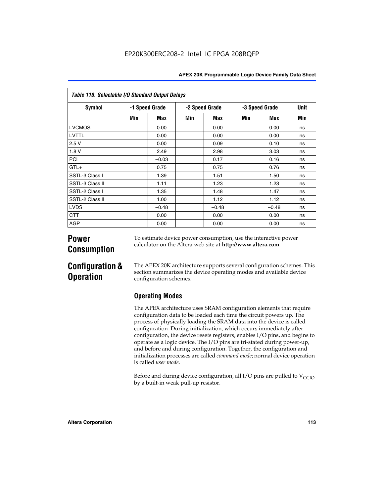|  | <b>APEX 20K Programmable Logic Device Family Data Sheet</b> |  |  |  |
|--|-------------------------------------------------------------|--|--|--|
|--|-------------------------------------------------------------|--|--|--|

| Table 110. Selectable I/O Standard Output Delays |                |         |                |         |                |         |             |
|--------------------------------------------------|----------------|---------|----------------|---------|----------------|---------|-------------|
| Symbol                                           | -1 Speed Grade |         | -2 Speed Grade |         | -3 Speed Grade |         | <b>Unit</b> |
|                                                  | Min            | Max     | Min            | Max     | Min            | Max     | Min         |
| <b>LVCMOS</b>                                    |                | 0.00    |                | 0.00    |                | 0.00    | ns          |
| LVTTL                                            |                | 0.00    |                | 0.00    |                | 0.00    | ns          |
| 2.5V                                             |                | 0.00    |                | 0.09    |                | 0.10    | ns          |
| 1.8V                                             |                | 2.49    |                | 2.98    |                | 3.03    | ns          |
| PCI                                              |                | $-0.03$ |                | 0.17    |                | 0.16    | ns          |
| $GTL+$                                           |                | 0.75    |                | 0.75    |                | 0.76    | ns          |
| SSTL-3 Class I                                   |                | 1.39    |                | 1.51    |                | 1.50    | ns          |
| SSTL-3 Class II                                  |                | 1.11    |                | 1.23    |                | 1.23    | ns          |
| SSTL-2 Class I                                   |                | 1.35    |                | 1.48    |                | 1.47    | ns          |
| SSTL-2 Class II                                  |                | 1.00    |                | 1.12    |                | 1.12    | ns          |
| <b>LVDS</b>                                      |                | $-0.48$ |                | $-0.48$ |                | $-0.48$ | ns          |
| <b>CTT</b>                                       |                | 0.00    |                | 0.00    |                | 0.00    | ns          |
| <b>AGP</b>                                       |                | 0.00    |                | 0.00    |                | 0.00    | ns          |

# **Power Consumption**

To estimate device power consumption, use the interactive power calculator on the Altera web site at **http://www.altera.com**.

# **Configuration & Operation**

The APEX 20K architecture supports several configuration schemes. This section summarizes the device operating modes and available device configuration schemes.

## **Operating Modes**

The APEX architecture uses SRAM configuration elements that require configuration data to be loaded each time the circuit powers up. The process of physically loading the SRAM data into the device is called configuration. During initialization, which occurs immediately after configuration, the device resets registers, enables I/O pins, and begins to operate as a logic device. The I/O pins are tri-stated during power-up, and before and during configuration. Together, the configuration and initialization processes are called *command mode*; normal device operation is called *user mode*.

Before and during device configuration, all I/O pins are pulled to  $V<sub>CCIO</sub>$ by a built-in weak pull-up resistor.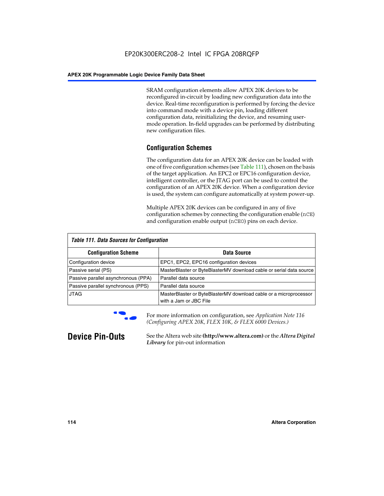SRAM configuration elements allow APEX 20K devices to be reconfigured in-circuit by loading new configuration data into the device. Real-time reconfiguration is performed by forcing the device into command mode with a device pin, loading different configuration data, reinitializing the device, and resuming usermode operation. In-field upgrades can be performed by distributing new configuration files.

### **Configuration Schemes**

The configuration data for an APEX 20K device can be loaded with one of five configuration schemes (see Table 111), chosen on the basis of the target application. An EPC2 or EPC16 configuration device, intelligent controller, or the JTAG port can be used to control the configuration of an APEX 20K device. When a configuration device is used, the system can configure automatically at system power-up.

Multiple APEX 20K devices can be configured in any of five configuration schemes by connecting the configuration enable (nCE) and configuration enable output (nCEO) pins on each device.

| <b>Table 111. Data Sources for Configuration</b> |                                                                                             |  |  |  |
|--------------------------------------------------|---------------------------------------------------------------------------------------------|--|--|--|
| <b>Configuration Scheme</b>                      | Data Source                                                                                 |  |  |  |
| Configuration device                             | EPC1, EPC2, EPC16 configuration devices                                                     |  |  |  |
| Passive serial (PS)                              | MasterBlaster or ByteBlasterMV download cable or serial data source                         |  |  |  |
| Passive parallel asynchronous (PPA)              | Parallel data source                                                                        |  |  |  |
| Passive parallel synchronous (PPS)               | Parallel data source                                                                        |  |  |  |
| <b>JTAG</b>                                      | MasterBlaster or ByteBlasterMV download cable or a microprocessor<br>with a Jam or JBC File |  |  |  |



**For more information on configuration, see Application Note 116** *(Configuring APEX 20K, FLEX 10K, & FLEX 6000 Devices.)*

**Device Pin-Outs** See the Altera web site **(http://www.altera.com)** or the *Altera Digital Library* for pin-out information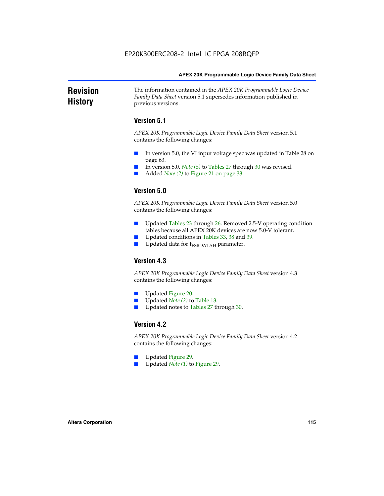#### **Revision History** The information contained in the *APEX 20K Programmable Logic Device Family Data Sheet* version 5.1 supersedes information published in previous versions.

### **Version 5.1**

*APEX 20K Programmable Logic Device Family Data Sheet* version 5.1 contains the following changes:

- In version 5.0, the VI input voltage spec was updated in Table 28 on page 63.
- In version 5.0, *Note* (5) to Tables 27 through 30 was revised.
- Added *Note* (2) to Figure 21 on page 33.

### **Version 5.0**

*APEX 20K Programmable Logic Device Family Data Sheet* version 5.0 contains the following changes:

- Updated Tables 23 through 26. Removed 2.5-V operating condition tables because all APEX 20K devices are now 5.0-V tolerant.
- Updated conditions in Tables 33, 38 and 39.
- Updated data for t<sub>ESBDATAH</sub> parameter.

### **Version 4.3**

*APEX 20K Programmable Logic Device Family Data Sheet* version 4.3 contains the following changes:

- Updated Figure 20.
- Updated *Note (2)* to Table 13.
- Updated notes to Tables 27 through 30.

### **Version 4.2**

*APEX 20K Programmable Logic Device Family Data Sheet* version 4.2 contains the following changes:

- Updated Figure 29.
- Updated *Note (1)* to Figure 29.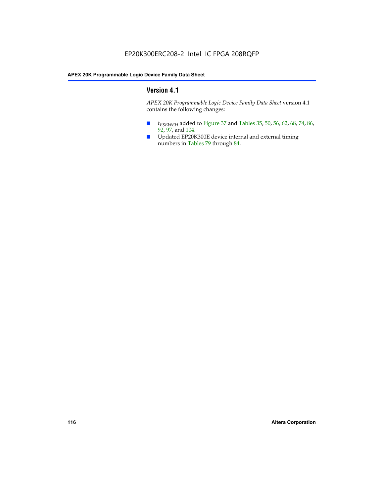### **Version 4.1**

*APEX 20K Programmable Logic Device Family Data Sheet* version 4.1 contains the following changes:

- *t<sub>ESBWEH</sub>* added to Figure 37 and Tables 35, 50, 56, 62, 68, 74, 86, 92, 97, and 104.
- Updated EP20K300E device internal and external timing numbers in Tables 79 through 84.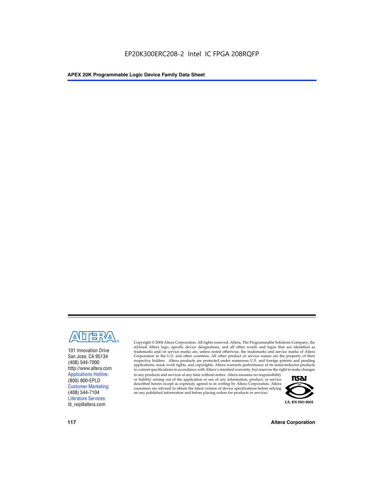

101 Innovation Drive San Jose, CA 95134 (408) 544-7000 http://www.altera.com Applications Hotline: (800) 800-EPLD Customer Marketing: (408) 544-7104 Literature Services: lit\_req@altera.com

Copyright © 2004 Altera Corporation. All rights reserved. Altera, The Programmable Solutions Company, the stylized Altera logo, specific device designations, and all other words and logos that are identified as trademarks and/or service marks are, unless noted otherwise, the trademarks and service marks of Altera Corporation in the U.S. and other countries. All other product or service names are the property of their respective holders. Altera products are protected under numerous U.S. and foreign patents and pending applications, mask work rights, and copyrights. Altera warrants performance of its semiconductor products to current specifications in accordance with Altera's standard warranty, but reserves the right to make changes

to any products and services at any time without notice. Altera assumes no responsibility or liability arising out of the application or use of any information, product, or service described herein except as expressly agreed to in writing by Altera Corporation. Altera customers are advised to obtain the latest version of device specifications before relying on any published information and before placing orders for products or services.



**117 Altera Corporation**